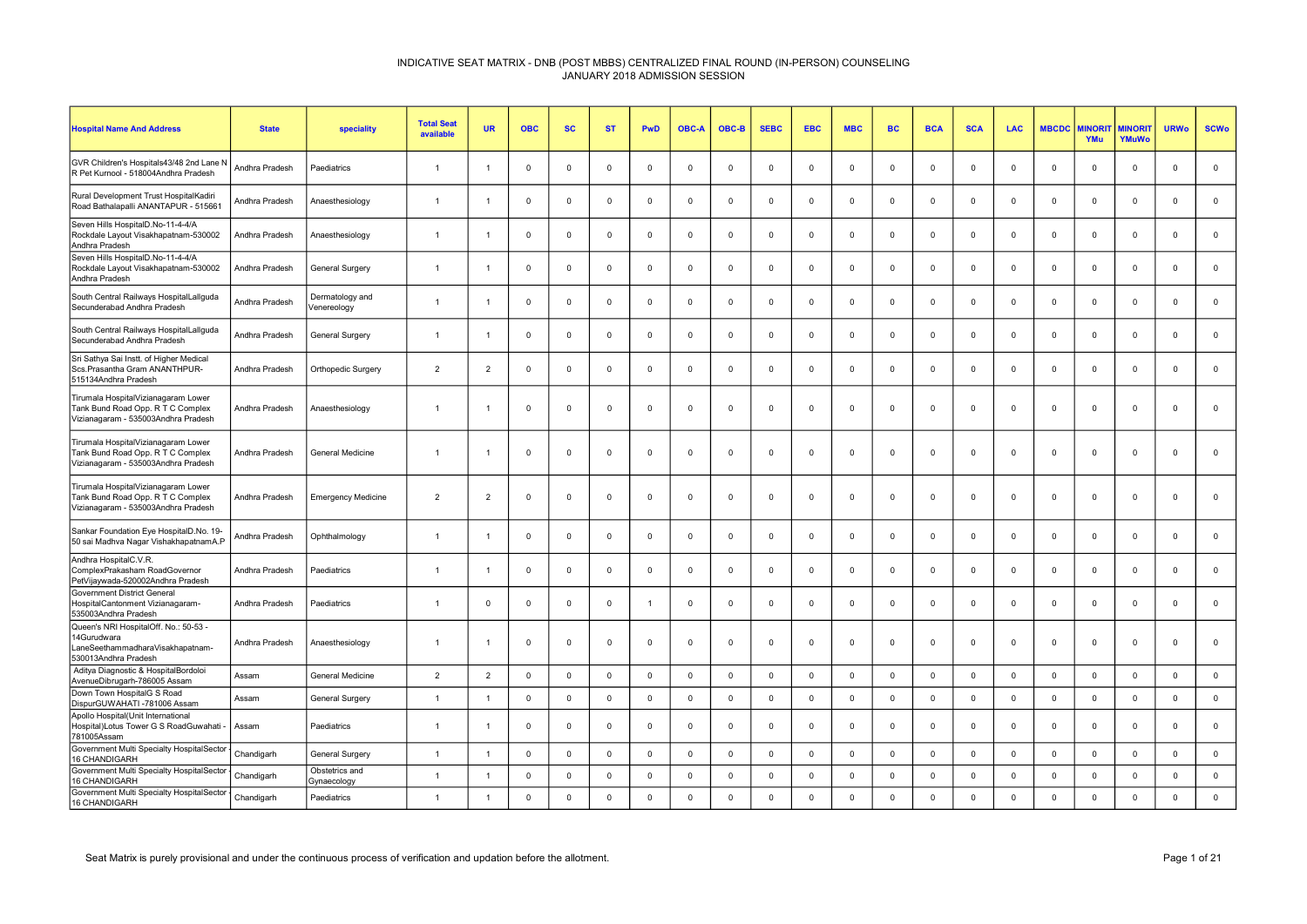| <b>Hospital Name And Address</b>                                                                                 | <b>State</b>   | speciality                     | <b>Total Seat</b><br>available | <b>UR</b>      | <b>OBC</b>  | <b>SC</b>    | <b>ST</b>   | <b>PwD</b>     | <b>OBC-A</b> | OBC-B        | <b>SEBC</b> | <b>EBC</b>     | <b>MBC</b>          | <b>BC</b>   | <b>BCA</b>     | <b>SCA</b>  | <b>LAC</b>  | <b>MBCDC</b> | <b>AINORI</b><br>YMu | <b>MINORIT</b><br>YMuWo | <b>URWo</b>    | <b>SCWo</b>  |
|------------------------------------------------------------------------------------------------------------------|----------------|--------------------------------|--------------------------------|----------------|-------------|--------------|-------------|----------------|--------------|--------------|-------------|----------------|---------------------|-------------|----------------|-------------|-------------|--------------|----------------------|-------------------------|----------------|--------------|
| GVR Children's Hospitals43/48 2nd Lane N<br>R Pet Kurnool - 518004Andhra Pradesh                                 | Andhra Pradesh | Paediatrics                    | $\overline{1}$                 | $\overline{1}$ | $\mathbf 0$ | $\mathbf 0$  | $\mathbf 0$ | $\mathbf 0$    | $\Omega$     | $\mathbf 0$  | $\mathbf 0$ | $\mathbf 0$    | $\mathbf 0$         | $\mathbf 0$ | $\mathbf 0$    | $\mathbf 0$ | $\mathbf 0$ | $\Omega$     | $\mathbf 0$          | $\mathbf 0$             | $\mathsf 0$    | $\mathsf 0$  |
| Rural Development Trust HospitalKadiri<br>Road Bathalapalli ANANTAPUR - 515661                                   | Andhra Pradesh | Anaesthesiology                | $\overline{1}$                 | $\overline{1}$ | $\mathbf 0$ | $\mathbf 0$  | $\mathbf 0$ | $\mathbf 0$    | 0            | $\mathbf 0$  | $\mathbf 0$ | 0              | $\mathbf 0$         | $\mathbf 0$ | $\mathbf{0}$   | 0           | $\mathbf 0$ | $\mathbf 0$  | $\mathbf 0$          | $\mathbf 0$             | $\mathbf{0}$   | $\mathbf 0$  |
| Seven Hills HospitalD.No-11-4-4/A<br>Rockdale Layout Visakhapatnam-530002<br>Andhra Pradesh                      | Andhra Pradesh | Anaesthesiology                | $\overline{1}$                 | $\overline{1}$ | $\mathbf 0$ | $\mathbf 0$  | $\mathbf 0$ | $\mathbf 0$    | $\Omega$     | $\mathbf{0}$ | $^{\circ}$  | $\Omega$       | $\mathbf 0$         | $^{\circ}$  | $\mathbf 0$    | $\Omega$    | $\mathbf 0$ | $\Omega$     | $\mathbf{0}$         | $\mathbf{0}$            | $\mathbf 0$    | $\mathbf 0$  |
| Seven Hills HospitalD.No-11-4-4/A<br>Rockdale Layout Visakhapatnam-530002<br>Andhra Pradesh                      | Andhra Pradesh | <b>General Surgery</b>         | $\overline{1}$                 | $\overline{1}$ | $\mathbf 0$ | $\mathbf{0}$ | $\mathbf 0$ | $\mathsf 0$    | $\Omega$     | $\mathsf 0$  | $\mathbf 0$ | $\Omega$       | $\mathsf{O}\xspace$ | $\mathbf 0$ | $\overline{0}$ | $\Omega$    | $\mathbf 0$ | $\Omega$     | $\Omega$             | $\mathbf{0}$            | $\Omega$       | $\mathbf 0$  |
| South Central Railways HospitalLallguda<br>Secunderabad Andhra Pradesh                                           | Andhra Pradesh | Dermatology and<br>/enereology | $\mathbf{1}$                   | $\overline{1}$ | $\mathbf 0$ | 0            | $\mathbf 0$ | $\mathbf 0$    | $\mathbf 0$  | $\mathbf 0$  | $\mathbf 0$ | $\mathbf 0$    | $\mathbf 0$         | $\mathbf 0$ | $\mathbf 0$    | $\mathbf 0$ | $\Omega$    | $\mathbf 0$  | $\mathbf 0$          | $\mathbf 0$             | $\mathbf{0}$   | $\mathbf 0$  |
| South Central Railways HospitalLallguda<br>Secunderabad Andhra Pradesh                                           | Andhra Pradesh | General Surgery                | $\overline{1}$                 | -1             | $\mathbf 0$ | $\Omega$     | $\mathbf 0$ | $\mathbf{0}$   | $\Omega$     | $\mathbf{0}$ | $^{\circ}$  | $\Omega$       | $\mathbf 0$         | $^{\circ}$  | $\Omega$       | $\Omega$    | $\mathbf 0$ | $\Omega$     | $\Omega$             | $\mathbf{0}$            | $\Omega$       | $\mathbf 0$  |
| Sri Sathya Sai Instt. of Higher Medical<br>Scs.Prasantha Gram ANANTHPUR-<br>515134Andhra Pradesh                 | Andhra Pradesh | Orthopedic Surgery             | $\overline{2}$                 | $\overline{2}$ | $\mathbf 0$ | $\mathbf 0$  | $\mathbf 0$ | $\mathsf 0$    | $\mathbf 0$  | $\mathsf 0$  | $\mathbf 0$ | $\mathbf 0$    | $\mathbf 0$         | $\mathbf 0$ | $\mathbf 0$    | $\mathbf 0$ | $\mathbf 0$ | $\mathbf 0$  | $\mathbf 0$          | $\mathsf 0$             | $\mathbf 0$    | $\mathsf 0$  |
| Tirumala HospitalVizianagaram Lower<br>Tank Bund Road Opp. R T C Complex<br>Vizianagaram - 535003Andhra Pradesh  | Andhra Pradesh | Anaesthesiology                | $\overline{1}$                 | $\overline{1}$ | $\mathbf 0$ | $\Omega$     | $\mathbf 0$ | $\mathbf 0$    | $\Omega$     | $\mathbf{0}$ | $^{\circ}$  | $\Omega$       | $\mathbf 0$         | $^{\circ}$  | $\mathbf 0$    | $\Omega$    | $^{\circ}$  | $\Omega$     | $\Omega$             | $\mathbf{0}$            | $\Omega$       | $\mathbf 0$  |
| Tirumala HospitalVizianagaram Lower<br>Tank Bund Road Opp. R T C Complex<br>Vizianagaram - 535003Andhra Pradesh  | Andhra Pradesh | <b>General Medicine</b>        | $\overline{1}$                 | -1             | $\mathbf 0$ | $\Omega$     | $^{\circ}$  | $\mathbf 0$    | $\Omega$     | $\mathbf{0}$ | $\Omega$    | $\Omega$       | $\mathbf 0$         | $\mathbf 0$ | $\Omega$       | $\Omega$    | $\Omega$    | $\Omega$     | $\Omega$             | $\mathbf 0$             | $\overline{0}$ | $\mathbf{0}$ |
| Tirumala HospitalVizianagaram Lower<br>Tank Bund Road Opp. R T C Complex<br>Vizianagaram - 535003Andhra Pradesh  | Andhra Pradesh | <b>Emergency Medicine</b>      | $\overline{2}$                 | $\overline{2}$ | $\mathbf 0$ | $\mathbf 0$  | $\mathbf 0$ | $\mathbf 0$    | $\Omega$     | $\mathbf 0$  | $^{\circ}$  | $\mathbf 0$    | $\mathbf 0$         | $\mathbf 0$ | $\overline{0}$ | $\Omega$    | $^{\circ}$  | $\mathbf 0$  | $\mathbf 0$          | $\mathbf 0$             | $\mathbf 0$    | $\mathbf 0$  |
| Sankar Foundation Eye HospitalD.No. 19-<br>50 sai Madhva Nagar VishakhapatnamA.F                                 | Andhra Pradesh | Ophthalmology                  | $\overline{1}$                 | $\overline{1}$ | $\mathbf 0$ | $\Omega$     | $\Omega$    | $\mathbf 0$    | $\Omega$     | $\mathbf{0}$ | $\Omega$    | $\Omega$       | $\mathbf 0$         | $\Omega$    | $\Omega$       | $\Omega$    | $\Omega$    | $\Omega$     | $\Omega$             | $\mathbf{0}$            | $\Omega$       | $\mathbf{0}$ |
| Andhra HospitalC.V.R.<br>ComplexPrakasham RoadGovernor<br>PetVijaywada-520002Andhra Pradesh                      | Andhra Pradesh | Paediatrics                    | $\overline{1}$                 | $\overline{1}$ | $\mathbf 0$ | $\Omega$     | $\mathbf 0$ | $\mathbf 0$    | $\Omega$     | $\mathbf{0}$ | $^{\circ}$  | $\Omega$       | $\mathbf 0$         | $\Omega$    | $\mathbf 0$    | $\Omega$    | $^{\circ}$  | $\Omega$     | $\Omega$             | $\Omega$                | $\Omega$       | $\mathbf 0$  |
| Government District General<br>HospitalCantonment Vizianagaram-<br>535003Andhra Pradesh                          | Andhra Pradesh | Paediatrics                    | $\overline{1}$                 | $^{\circ}$     | $\mathbf 0$ | $\mathbf 0$  | $\mathbf 0$ | $\overline{1}$ | $\Omega$     | $\mathbf 0$  | $\mathbf 0$ | $\Omega$       | $\mathbf 0$         | $^{\circ}$  | $\overline{0}$ | $\Omega$    | $\mathbf 0$ | $\Omega$     | $\Omega$             | $\mathbf 0$             | $\overline{0}$ | $\mathbf 0$  |
| Queen's NRI HospitalOff. No.: 50-53 -<br>14Gurudwara<br>LaneSeethammadharaVisakhapatnam-<br>530013Andhra Pradesh | Andhra Pradesh | Anaesthesiology                | $\overline{1}$                 | -1             | $\mathbf 0$ | $\mathbf 0$  | $\mathbf 0$ | $\mathbf 0$    | $\Omega$     | $\mathbf 0$  | $^{\circ}$  | $\Omega$       | $\mathbf 0$         | $\Omega$    | $\mathbf 0$    | $\Omega$    | $^{\circ}$  | 0            | $\mathbf 0$          | $\mathbf 0$             | $\Omega$       | $\mathbf 0$  |
| Aditya Diagnostic & HospitalBordoloi<br>AvenueDibrugarh-786005 Assam                                             | Assam          | General Medicine               | $\overline{2}$                 | $\overline{2}$ | $\mathbf 0$ | $\mathbf 0$  | $\mathbf 0$ | $\mathsf 0$    | $\mathbf 0$  | $\mathbf 0$  | $\mathbf 0$ | $\overline{0}$ | $\mathbf 0$         | $\mathbf 0$ | $\mathbf 0$    | $\mathbf 0$ | $\mathbf 0$ | $\mathbf 0$  | $\mathbf 0$          | $\mathsf 0$             | $\mathbf 0$    | $\mathsf 0$  |
| Down Town HospitalG S Road<br>DispurGUWAHATI -781006 Assam                                                       | Assam          | General Surgery                | $\overline{1}$                 | $\overline{1}$ | $\mathbf 0$ | $\mathbf 0$  | $\mathbf 0$ | $\mathbf 0$    | $\Omega$     | $\mathbf{0}$ | $\mathbf 0$ | $\Omega$       | $\mathsf{O}\xspace$ | $\mathbf 0$ | $\mathbf 0$    | $\Omega$    | $\mathbf 0$ | $\mathbf 0$  | $\mathbf{0}$         | $\mathbf 0$             | $\mathbf 0$    | $\mathbf 0$  |
| Apollo Hospital(Unit International<br>Hospital)Lotus Tower G S RoadGuwahati<br>781005Assam                       | Assam          | Paediatrics                    | $\overline{1}$                 | $\overline{1}$ | $\mathbf 0$ | 0            | $\mathbf 0$ | $\mathbf 0$    | 0            | $\mathbf 0$  | $\Omega$    | 0              | 0                   | $\mathbf 0$ | $^{\circ}$     | 0           | $\mathbf 0$ | 0            | $\mathbf 0$          | $\mathbf 0$             | $\mathbf{0}$   | $\mathbf 0$  |
| Government Multi Specialty HospitalSector<br>16 CHANDIGARH                                                       | Chandigarh     | General Surgery                | $\overline{1}$                 | $\overline{1}$ | $\mathbf 0$ | $\mathbf 0$  | $\mathbf 0$ | $\mathbf 0$    | $\mathbf 0$  | $\mathbf 0$  | $\mathbf 0$ | $\Omega$       | $\mathbf 0$         | $\mathbf 0$ | $\mathbf 0$    | $\mathbf 0$ | $\mathbf 0$ | $\mathbf 0$  | $\mathbf 0$          | $\mathbf 0$             | $\mathsf 0$    | $\mathbf 0$  |
| Government Multi Specialty HospitalSector<br>16 CHANDIGARH                                                       | Chandigarh     | Obstetrics and<br>Gynaecology  | $\overline{1}$                 | $\overline{1}$ | $\Omega$    | $\mathbf{0}$ | $^{\circ}$  | $\mathbf 0$    | $\Omega$     | $\mathbf{0}$ | $\Omega$    | $\Omega$       | $\mathbf 0$         | $\Omega$    | $\Omega$       | $\Omega$    | $\mathbf 0$ | $\Omega$     | $\Omega$             | $\mathbf{0}$            | $\Omega$       | $\mathbf 0$  |
| Government Multi Specialty HospitalSector<br>16 CHANDIGARH                                                       | Chandigarh     | Paediatrics                    | $\overline{1}$                 | $\overline{1}$ | $\Omega$    | $\Omega$     | $\mathbf 0$ | $\mathbf 0$    | $\Omega$     | $\mathbf 0$  | $\Omega$    | $\Omega$       | $\mathsf 0$         | $\Omega$    | $\Omega$       | $\Omega$    | $\Omega$    | $\Omega$     | $\mathbf 0$          | $\mathbf{0}$            | $\mathbf 0$    | $\mathbf{0}$ |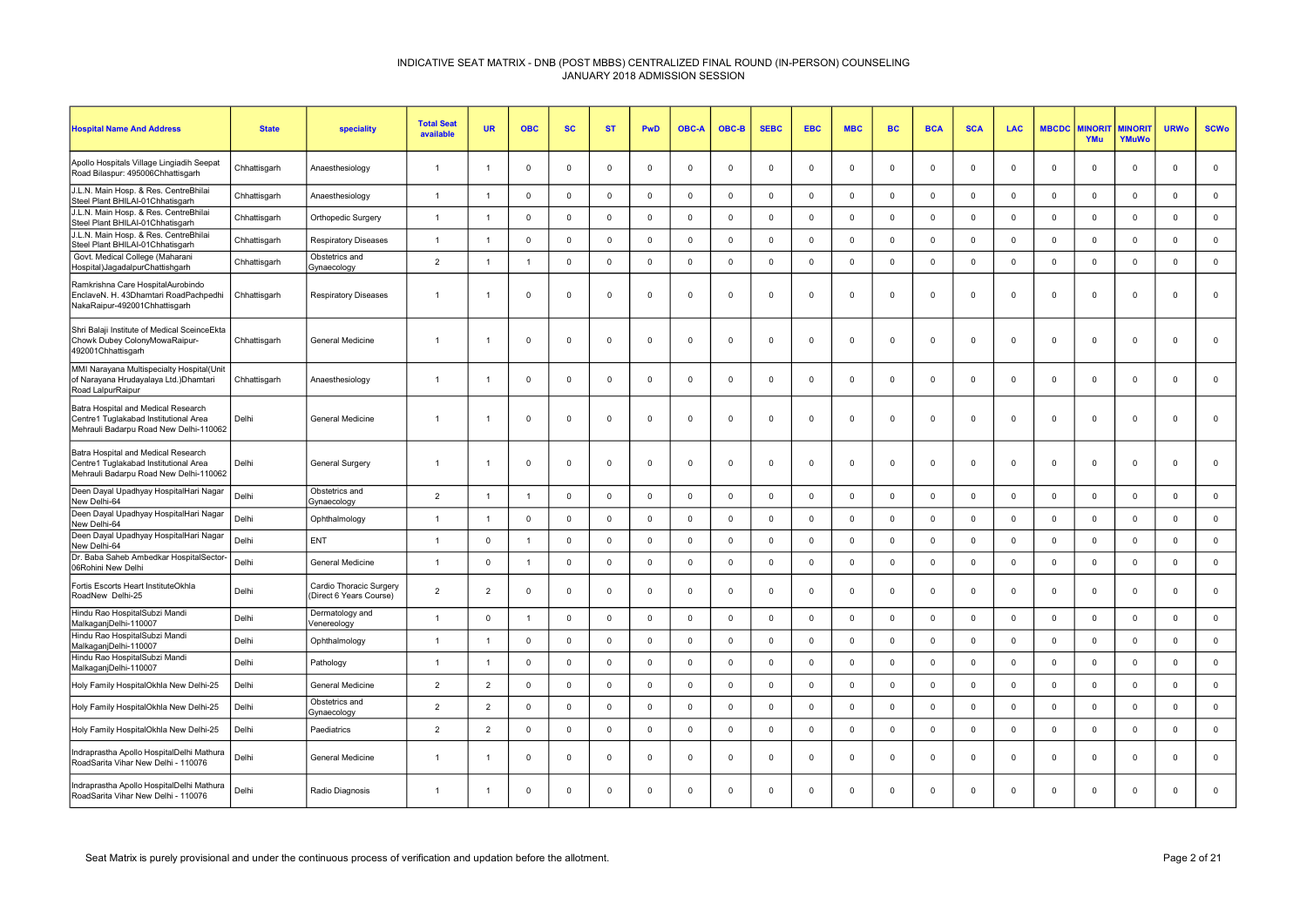| <b>Hospital Name And Address</b>                                                                                       | <b>State</b> | speciality                                         | <b>Total Seat</b><br>available | <b>UR</b>      | <b>OBC</b>     | <b>SC</b>    | <b>ST</b>   | <b>PwD</b>     | <b>OBC-A</b> | OBC-B       | <b>SEBC</b> | <b>EBC</b>     | <b>MBC</b>  | <b>BC</b>   | <b>BCA</b>  | <b>SCA</b>  | <b>LAC</b>   | <b>MBCDC</b>   | <b><i>INORI</i></b><br>YMu | <b>MINORIT</b><br>YMuWo | <b>URWo</b>    | <b>SCWo</b>  |
|------------------------------------------------------------------------------------------------------------------------|--------------|----------------------------------------------------|--------------------------------|----------------|----------------|--------------|-------------|----------------|--------------|-------------|-------------|----------------|-------------|-------------|-------------|-------------|--------------|----------------|----------------------------|-------------------------|----------------|--------------|
| Apollo Hospitals Village Lingiadih Seepat<br>Road Bilaspur: 495006Chhattisgarh                                         | Chhattisgarh | Anaesthesiology                                    | $\mathbf{1}$                   |                | $\mathbf 0$    | $\mathbf 0$  | $\mathbf 0$ | $\mathbf 0$    | $\mathbf 0$  | $\mathbf 0$ | $\mathbf 0$ | $\mathbf 0$    | $\mathbf 0$ | $\mathbf 0$ | $\mathbf 0$ | $\mathbf 0$ | $\mathbf 0$  | $\overline{0}$ | $\mathbf 0$                | $\mathbf 0$             | $\mathbf 0$    | $\mathbf 0$  |
| J.L.N. Main Hosp. & Res. CentreBhilai<br>Steel Plant BHILAI-01Chhatisgarh                                              | Chhattisgarh | Anaesthesiology                                    | $\overline{1}$                 | $\overline{1}$ | $\mathbf 0$    | $\mathbf 0$  | $\mathbf 0$ | $\mathbb O$    | $\mathbf 0$  | $\mathbf 0$ | $\mathbf 0$ | $\overline{0}$ | $\mathbf 0$ | $\mathbf 0$ | $\mathbf 0$ | $\mathbf 0$ | $\mathbf 0$  | $\mathbf 0$    | $\mathbf 0$                | $\mathsf 0$             | $\mathbf 0$    | $\mathbf 0$  |
| J.L.N. Main Hosp. & Res. CentreBhilai<br>Steel Plant BHILAI-01Chhatisgarh                                              | Chhattisgarh | Orthopedic Surgery                                 | $\overline{1}$                 |                | $\overline{0}$ | $\mathbf 0$  | $\mathbf 0$ | $\mathsf 0$    | $\mathbf 0$  | $\mathbf 0$ | $\mathbf 0$ | $\Omega$       | $\mathsf 0$ | $\mathbf 0$ | $\mathbf 0$ | $\mathbf 0$ | $\mathbf{0}$ | $\mathbf 0$    | $\mathbf 0$                | $\mathbf 0$             | $\mathbf 0$    | $\mathbf 0$  |
| J.L.N. Main Hosp. & Res. CentreBhilai<br>Steel Plant BHILAI-01Chhatisgarh                                              | Chhattisgarh | <b>Respiratory Diseases</b>                        | $\overline{1}$                 | -1             | $\mathbf 0$    | $\mathbf 0$  | $\mathbf 0$ | $\mathbf 0$    | $\mathbf 0$  | $\mathbf 0$ | $\mathbf 0$ | $\mathbf 0$    | $\mathbf 0$ | $\mathbf 0$ | $\mathbf 0$ | $\mathbf 0$ | $\mathbf 0$  | $\mathbf 0$    | $\mathbf 0$                | $\mathbf 0$             | $\mathbf 0$    | $\mathbf 0$  |
| Govt. Medical College (Maharani<br>Hospital)JagadalpurChattishgarh                                                     | Chhattisgarh | Obstetrics and<br>Gynaecology                      | $\overline{2}$                 | -1             | $\overline{1}$ | $\mathbf 0$  | $^{\circ}$  | $\mathsf 0$    | $\mathbf 0$  | $\mathbf 0$ | $\mathbf 0$ | $\mathbf 0$    | $\mathbf 0$ | $\mathbf 0$ | $\mathbf 0$ | $\mathbf 0$ | $\mathbf 0$  | $\mathbf 0$    | $\mathbf 0$                | $\mathsf 0$             | $\mathbf 0$    | $\mathbf 0$  |
| Ramkrishna Care HospitalAurobindo<br>EnclaveN. H. 43Dhamtari RoadPachpedhi<br>NakaRaipur-492001Chhattisgarh            | Chhattisgarh | <b>Respiratory Diseases</b>                        | $\overline{1}$                 |                | $\Omega$       | $\mathbf{0}$ | $\mathbf 0$ | $\overline{0}$ | $\Omega$     | $\mathbf 0$ | $\mathbf 0$ | $\Omega$       | $^{\circ}$  | $^{\circ}$  | $\Omega$    | $\Omega$    | $^{\circ}$   | $\Omega$       | $\Omega$                   | $\mathbf{0}$            | $\Omega$       | $\mathbf 0$  |
| Shri Balaji Institute of Medical SceinceEkta<br>Chowk Dubey ColonyMowaRaipur-<br>492001Chhattisgarh                    | Chhattisgarh | <b>General Medicine</b>                            | $\overline{1}$                 |                | $\Omega$       | $\Omega$     | $\mathbf 0$ | $\overline{0}$ | $\Omega$     | $\mathbf 0$ | $\mathbf 0$ | $\Omega$       | $^{\circ}$  | $\mathbf 0$ | $\mathbf 0$ | $\Omega$    | $\mathbf{0}$ | $\Omega$       | $\Omega$                   | $\mathbf{0}$            | $\Omega$       | $\mathbf 0$  |
| MMI Narayana Multispecialty Hospital(Unit<br>of Narayana Hrudayalaya Ltd.) Dhamtari<br>Road LalpurRaipur               | Chhattisgarh | Anaesthesiology                                    | $\overline{1}$                 |                | $\Omega$       | $\mathbf{0}$ | $\Omega$    | $\Omega$       | $\Omega$     | $\mathbf 0$ | $\Omega$    | $\Omega$       | $\mathbf 0$ | $\Omega$    | $\Omega$    | $\Omega$    | $\mathbf 0$  | $\Omega$       | $\Omega$                   | $\mathbf{0}$            | $\Omega$       | $\mathbf{0}$ |
| Batra Hospital and Medical Research<br>Centre1 Tuglakabad Institutional Area<br>Mehrauli Badarpu Road New Delhi-110062 | Delhi        | General Medicine                                   | $\overline{1}$                 |                | $\overline{0}$ | $\mathbf{0}$ | $\mathbf 0$ | $\overline{0}$ | $\Omega$     | $\mathbf 0$ | $\mathbf 0$ | $\Omega$       | $\mathbf 0$ | $\mathbf 0$ | $\Omega$    | $\Omega$    | $\mathbf{0}$ | $\Omega$       | $\Omega$                   | $\mathbf{0}$            | $\overline{0}$ | $\Omega$     |
| Batra Hospital and Medical Research<br>Centre1 Tuglakabad Institutional Area<br>Mehrauli Badarpu Road New Delhi-110062 | Delhi        | General Surgery                                    | $\overline{1}$                 |                | $\mathbf 0$    | $\mathbf 0$  | $\mathbf 0$ | $\mathbf 0$    | $\mathbf 0$  | $\mathbf 0$ | $\mathbf 0$ | $\Omega$       | $\mathbf 0$ | $\mathbf 0$ | $\mathbf 0$ | $\Omega$    | $\Omega$     | $\mathbf 0$    | $\mathbf 0$                | $\mathbf 0$             | $\Omega$       | $\mathsf 0$  |
| Deen Dayal Upadhyay HospitalHari Nagar<br>New Delhi-64                                                                 | Delhi        | Obstetrics and<br>Gynaecology                      | $\overline{2}$                 | $\overline{1}$ | $\overline{1}$ | $\mathbf 0$  | $\mathbf 0$ | $\mathsf 0$    | 0            | $\mathbf 0$ | $\mathbf 0$ | $\mathbf 0$    | $\mathbf 0$ | $\mathbf 0$ | $\mathbf 0$ | $\mathbf 0$ | $\mathbf 0$  | $\mathbf 0$    | $\mathbf 0$                | $\mathsf 0$             | $\mathsf 0$    | $\mathsf 0$  |
| Deen Dayal Upadhyay HospitalHari Nagar<br>New Delhi-64                                                                 | Delhi        | Ophthalmology                                      | $\overline{1}$                 |                | $\mathbf 0$    | $\mathbf 0$  | $\mathbf 0$ | $\mathbf 0$    | $\mathbf 0$  | $\mathbf 0$ | $\mathbf 0$ | $\mathbf 0$    | $\mathbf 0$ | $\mathbf 0$ | $\mathbf 0$ | $\mathbf 0$ | $\mathbf 0$  | 0              | $\mathbf 0$                | $\mathbf 0$             | $\mathbf 0$    | $\mathbf 0$  |
| Deen Dayal Upadhyay HospitalHari Nagar<br>New Delhi-64                                                                 | Delhi        | ENT                                                | $\overline{1}$                 | $\Omega$       | $\mathbf{1}$   | $\mathbf 0$  | $\mathbf 0$ | $\mathsf 0$    | $\mathbf 0$  | $\mathbf 0$ | $\mathbf 0$ | $\mathbf 0$    | $\mathbf 0$ | $\mathbf 0$ | $\mathbf 0$ | $\mathbf 0$ | $\mathbf 0$  | $\mathbf 0$    | $\mathbf 0$                | $\mathbf 0$             | $\mathbf 0$    | $\mathsf 0$  |
| Dr. Baba Saheb Ambedkar HospitalSector-<br>06Rohini New Delhi                                                          | Delhi        | General Medicine                                   | $\overline{1}$                 | $\mathbf 0$    | $\overline{1}$ | $\mathbf 0$  | $\mathbf 0$ | $\mathsf 0$    | $\mathbf 0$  | $\mathbf 0$ | $\mathsf 0$ | $\mathbf 0$    | $\mathsf 0$ | $\mathbf 0$ | $\mathbf 0$ | $\mathbf 0$ | $\mathbf 0$  | $\mathbf 0$    | $\mathbf 0$                | $\mathsf 0$             | $\mathsf 0$    | $\mathbf 0$  |
| Fortis Escorts Heart InstituteOkhla<br>RoadNew Delhi-25                                                                | Delhi        | Cardio Thoracic Surgery<br>(Direct 6 Years Course) | $\overline{2}$                 | $\overline{2}$ | $\Omega$       | $\mathbf 0$  | $\Omega$    | $\mathbf 0$    | $\Omega$     | $\mathbf 0$ | $\Omega$    | $\Omega$       | $\mathbf 0$ | $\Omega$    | $\mathbf 0$ | $\Omega$    | $\Omega$     | $\Omega$       | $\Omega$                   | $\mathbf{0}$            | $\Omega$       | $\mathbf 0$  |
| Hindu Rao HospitalSubzi Mandi<br>MalkaganjDelhi-110007                                                                 | Delhi        | Dermatology and<br>Venereology                     | $\overline{1}$                 | $\Omega$       | $\overline{1}$ | $\mathbf 0$  | $\mathbf 0$ | $\mathsf 0$    | $\mathbf 0$  | $\mathbf 0$ | $\mathsf 0$ | $\Omega$       | $\mathsf 0$ | $\mathbf 0$ | $\mathsf 0$ | $\Omega$    | $\mathbf{0}$ | $\overline{0}$ | $\mathbf 0$                | $\mathbf{0}$            | $\mathsf 0$    | $\mathbf 0$  |
| Hindu Rao HospitalSubzi Mandi<br>MalkaganjDelhi-110007                                                                 | Delhi        | Ophthalmology                                      | $\overline{1}$                 | -1             | $\mathbf 0$    | $\mathbf 0$  | $\mathbf 0$ | $\mathsf 0$    | $\mathbf 0$  | $\mathbf 0$ | $\mathbf 0$ | $\overline{0}$ | $\mathbf 0$ | $\mathbf 0$ | $\mathbf 0$ | $\Omega$    | $\mathbf{0}$ | $\mathbf 0$    | $\mathbf{0}$               | $\mathbf{0}$            | $\mathbf 0$    | $\mathbf 0$  |
| Hindu Rao HospitalSubzi Mandi<br>MalkaganjDelhi-110007                                                                 | Delhi        | Pathology                                          | $\overline{1}$                 | $\overline{1}$ | $\mathbf 0$    | $\mathbf 0$  | $\mathbf 0$ | $\mathsf 0$    | $\mathbf 0$  | $\mathbf 0$ | $\mathsf 0$ | $\Omega$       | $\mathsf 0$ | $\mathsf 0$ | $\mathsf 0$ | $\mathbf 0$ | $\mathbf 0$  | $\mathbf 0$    | $\mathbf 0$                | $\mathbf{0}$            | $\mathbf 0$    | $\mathbf 0$  |
| Holy Family HospitalOkhla New Delhi-25                                                                                 | Delhi        | General Medicine                                   | 2                              | $\overline{2}$ | $\Omega$       | $\mathbf 0$  | $\mathbf 0$ | $\mathbf 0$    | $\Omega$     | $\mathbf 0$ | $\mathbf 0$ | $\Omega$       | $\mathbf 0$ | $\mathbf 0$ | $\Omega$    | $\Omega$    | $\Omega$     | $\Omega$       | $\Omega$                   | $\mathbf{0}$            | $\mathbf 0$    | $\mathbf{0}$ |
| Holy Family HospitalOkhla New Delhi-25                                                                                 | Delhi        | Obstetrics and<br>Gynaecology                      | 2                              | $\overline{2}$ | $\mathbf{0}$   | $\mathbf 0$  | $\mathbf 0$ | $\mathbf 0$    | $\Omega$     | $\mathbf 0$ | $\mathbf 0$ | $\Omega$       | $\mathbf 0$ | $\mathbf 0$ | $\mathbf 0$ | $\Omega$    | $\mathbf{0}$ | $\Omega$       | $\Omega$                   | $\mathbf{0}$            | $\mathbf 0$    | $\mathbf 0$  |
| Holy Family HospitalOkhla New Delhi-25                                                                                 | Delhi        | Paediatrics                                        | $\overline{2}$                 | $\overline{2}$ | $\mathbf 0$    | $\mathsf 0$  | $\mathbf 0$ | $\mathbf 0$    | $\mathbf 0$  | $\mathbf 0$ | $\mathsf 0$ | $\Omega$       | $\mathbf 0$ | $\mathsf 0$ | $\mathbf 0$ | $\mathbf 0$ | $\mathbf 0$  | $\mathbf 0$    | $\mathsf 0$                | $\mathbf{0}$            | $\mathsf 0$    | $\mathbf 0$  |
| Indraprastha Apollo HospitalDelhi Mathura<br>RoadSarita Vihar New Delhi - 110076                                       | Delhi        | General Medicine                                   | $\overline{1}$                 |                | $\overline{0}$ | $\mathbf 0$  | $\mathbf 0$ | $\mathsf 0$    | $\Omega$     | $\mathbf 0$ | $\mathbf 0$ | $\Omega$       | $\mathbf 0$ | $\mathbf 0$ | $\mathbf 0$ | $\Omega$    | $\Omega$     | $\Omega$       | $\Omega$                   | $\mathbf{0}$            | $\Omega$       | $\mathbf 0$  |
| Indraprastha Apollo HospitalDelhi Mathura<br>RoadSarita Vihar New Delhi - 110076                                       | Delhi        | Radio Diagnosis                                    | $\overline{1}$                 |                | $\Omega$       | $\mathbf{0}$ | $\Omega$    | $\Omega$       | $\Omega$     | $\mathbf 0$ | $\Omega$    | $\Omega$       | $\mathbf 0$ | $\Omega$    | $\Omega$    | $\Omega$    | $\Omega$     | $\Omega$       | $\Omega$                   | $\Omega$                | $\Omega$       | $\Omega$     |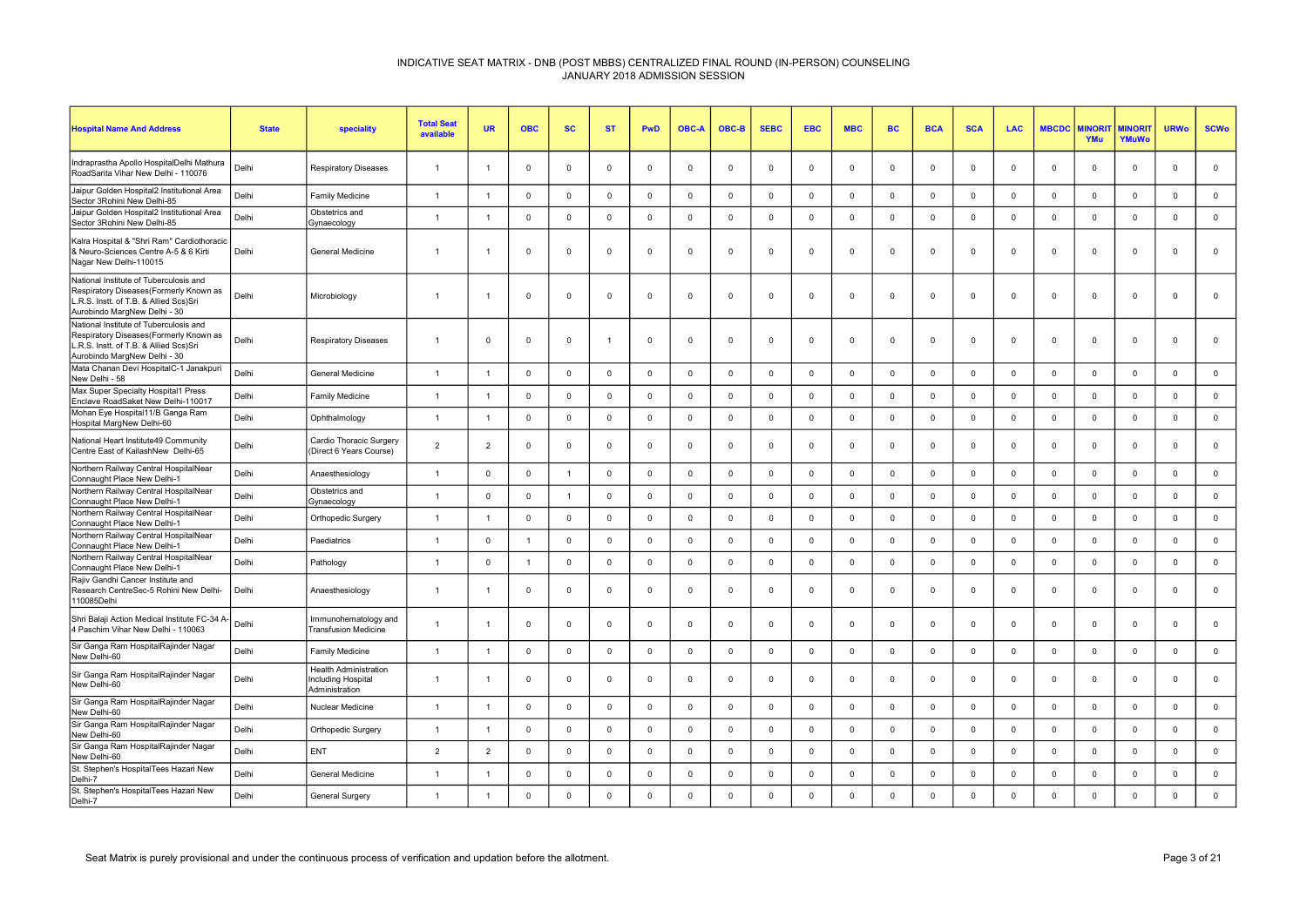| <b>Hospital Name And Address</b>                                                                                                                            | <b>State</b> | speciality                                                                  | <b>Total Seat</b><br>available | <b>UR</b>      | <b>OBC</b>     | <b>SC</b>   | <b>ST</b>      | <b>PwD</b>   | <b>OBC-A</b>   | OBC-B        | <b>SEBC</b> | <b>EBC</b>     | <b>MBC</b>          | <b>BC</b>    | <b>BCA</b>     | <b>SCA</b>  | <b>LAC</b>   | <b>MBCDC</b> | <b>MINORI</b><br><b>YMu</b> | <b>MINORIT</b><br>YMuWo | <b>URWo</b>  | <b>SCWo</b>    |
|-------------------------------------------------------------------------------------------------------------------------------------------------------------|--------------|-----------------------------------------------------------------------------|--------------------------------|----------------|----------------|-------------|----------------|--------------|----------------|--------------|-------------|----------------|---------------------|--------------|----------------|-------------|--------------|--------------|-----------------------------|-------------------------|--------------|----------------|
| Indraprastha Apollo HospitalDelhi Mathura<br>RoadSarita Vihar New Delhi - 110076                                                                            | Delhi        | <b>Respiratory Diseases</b>                                                 | $\overline{1}$                 | -1             | $\overline{0}$ | $\Omega$    | $\mathbf 0$    | $\mathbf 0$  | $\Omega$       | $\mathbf 0$  | $\Omega$    | $\Omega$       | $\mathbf 0$         | $\Omega$     | $\overline{0}$ | 0           | $\mathbf 0$  | $\Omega$     | $\Omega$                    | $\mathbf 0$             | $\mathbf 0$  | $\mathbf 0$    |
| Jaipur Golden Hospital2 Institutional Area<br>Sector 3Rohini New Delhi-85                                                                                   | Delhi        | Family Medicine                                                             | $\overline{1}$                 | $\overline{1}$ | $\overline{0}$ | $\mathbf 0$ | $\mathbf 0$    | $\mathsf 0$  | $\mathbf 0$    | $\mathbf{0}$ | $\mathbf 0$ | $\Omega$       | $\mathsf{O}\xspace$ | $\Omega$     | $\mathsf 0$    | $\Omega$    | $\mathbf{0}$ | $\mathsf 0$  | $\Omega$                    | $\mathbf 0$             | $\mathbf 0$  | $\mathbf 0$    |
| Jaipur Golden Hospital2 Institutional Area<br>Sector 3Rohini New Delhi-85                                                                                   | Delhi        | Obstetrics and<br>Gynaecology                                               | $\overline{1}$                 | $\overline{1}$ | $\Omega$       | $\Omega$    | $\mathbf 0$    | $\mathbf 0$  | $\Omega$       | $\mathbf{0}$ | $\mathbf 0$ | $\Omega$       | $\mathbf{0}$        | $\Omega$     | $\Omega$       | $\Omega$    | $\Omega$     | $\Omega$     | $\Omega$                    | $\mathbf 0$             | $\mathbf{0}$ | $\mathbf 0$    |
| Kalra Hospital & "Shri Ram" Cardiothoracic<br>& Neuro-Sciences Centre A-5 & 6 Kirti<br>Nagar New Delhi-110015                                               | Delhi        | General Medicine                                                            | $\overline{1}$                 | -1             | $\overline{0}$ | $\Omega$    | $\mathbf 0$    | $\mathbf{0}$ | $\Omega$       | $\mathbf{0}$ | $\Omega$    | $\Omega$       | $\Omega$            | $\Omega$     | $\Omega$       | $\Omega$    | $\mathbf{0}$ | $\Omega$     | $\Omega$                    | $\mathbf 0$             | $\mathbf{0}$ | $\mathbf 0$    |
| National Institute of Tuberculosis and<br>Respiratory Diseases(Formerly Known as<br>R.S. Instt. of T.B. & Allied Scs)Sri<br>Aurobindo MargNew Delhi - 30    | Delhi        | Microbiology                                                                | $\overline{1}$                 | -1             | $\mathbf 0$    | 0           | $\mathbf 0$    | $\mathbf 0$  | $\mathbf 0$    | $\mathbf 0$  | $\Omega$    | $\mathbf 0$    | $\mathbf 0$         | $\Omega$     | $\mathbf 0$    | $^{\circ}$  | $\mathbf 0$  | $\mathbf 0$  | $\mathbf 0$                 | $\mathbf 0$             | $^{\circ}$   | $\mathbf 0$    |
| National Institute of Tuberculosis and<br>Respiratory Diseases (Formerly Known as<br>L.R.S. Instt. of T.B. & Allied Scs)Sri<br>Aurobindo MargNew Delhi - 30 | Delhi        | <b>Respiratory Diseases</b>                                                 | $\overline{1}$                 | $\mathbf 0$    | $\mathbf 0$    | 0           | $\overline{1}$ | $\mathbf 0$  | 0              | $\mathbf 0$  | $\mathbf 0$ | $\Omega$       | $\mathbf 0$         | $\mathbf 0$  | $\overline{0}$ | 0           | $\mathbf 0$  | $\mathbf 0$  | $\mathbf 0$                 | $\mathbf 0$             | $\mathbf 0$  | $\mathbf 0$    |
| Mata Chanan Devi HospitalC-1 Janakpuri<br>New Delhi - 58                                                                                                    | Delhi        | General Medicine                                                            | $\overline{1}$                 | $\overline{1}$ | $\overline{0}$ | $\Omega$    | $^{\circ}$     | $\mathbf 0$  | $\Omega$       | $\mathbf{0}$ | $^{\circ}$  | $\Omega$       | $\mathbf 0$         | $\Omega$     | $\mathbf 0$    | $\Omega$    | $\Omega$     | $\Omega$     | $\Omega$                    | $\mathbf 0$             | $\mathbf 0$  | $\mathsf 0$    |
| Max Super Specialty Hospital1 Press<br>Enclave RoadSaket New Delhi-110017                                                                                   | Delhi        | Family Medicine                                                             | $\overline{1}$                 | -1             | $\Omega$       | $\Omega$    | $^{\circ}$     | $\mathbf 0$  | $\Omega$       | $\Omega$     | $^{\circ}$  | $\Omega$       | $\mathbf{0}$        | $\Omega$     | $\Omega$       | $\Omega$    | $\Omega$     | $\Omega$     | $\Omega$                    | $\mathbf 0$             | $\mathbf 0$  | $\mathsf 0$    |
| Mohan Eye Hospital11/B Ganga Ram<br>Hospital MargNew Delhi-60                                                                                               | Delhi        | Ophthalmology                                                               | $\overline{1}$                 | $\overline{1}$ | $\overline{0}$ | $\mathbf 0$ | $\mathbf 0$    | $\mathbf 0$  | $\Omega$       | $\mathbf 0$  | $^{\circ}$  | $\Omega$       | $\mathsf 0$         | $\Omega$     | $\mathbf 0$    | $\Omega$    | $\mathbf 0$  | $\Omega$     | $\Omega$                    | $\mathbf{0}$            | $\mathbf 0$  | $\mathbf 0$    |
| National Heart Institute49 Community<br>Centre East of KailashNew Delhi-65                                                                                  | Delhi        | Cardio Thoracic Surgery<br>(Direct 6 Years Course)                          | $\overline{2}$                 | $\mathcal{P}$  | $\Omega$       | $\Omega$    | $^{\circ}$     | $\mathbf{0}$ | $\Omega$       | $\mathbf{0}$ | $\Omega$    | $\Omega$       | $\mathbf{0}$        | $\Omega$     | $\Omega$       | $\Omega$    | $\Omega$     | $\Omega$     | $\Omega$                    | $\mathbf 0$             | $\Omega$     | $\mathbf 0$    |
| Northern Railway Central HospitalNear<br>Connaught Place New Delhi-1                                                                                        | Delhi        | Anaesthesiology                                                             | $\overline{1}$                 | $\mathbf 0$    | $\mathbf 0$    | 1           | $\mathbf 0$    | $\mathbf 0$  | $\mathbf 0$    | $\mathbf 0$  | $\mathbf 0$ | $^{\circ}$     | $\mathbf 0$         | $\Omega$     | $\mathbf 0$    | $\mathbf 0$ | $\mathbf 0$  | $\mathbf 0$  | $\mathbf 0$                 | $\mathbf 0$             | $\mathbf 0$  | $\overline{0}$ |
| Northern Railway Central HospitalNear<br>Connaught Place New Delhi-1                                                                                        | Delhi        | Obstetrics and<br>Gynaecology                                               | $\overline{1}$                 | $\mathbf 0$    | $\mathbf 0$    | 1           | $\mathbf 0$    | $\mathbf 0$  | $\mathbf 0$    | $\mathbf 0$  | $\mathbf 0$ | $\overline{0}$ | $\mathbf 0$         | $\mathbf 0$  | $\mathbf 0$    | $^{\circ}$  | $\Omega$     | $\mathbf 0$  | $\mathbf 0$                 | $\mathbf 0$             | $\mathbf 0$  | $\pmb{0}$      |
| Northern Railway Central HospitalNear<br>Connaught Place New Delhi-1                                                                                        | Delhi        | Orthopedic Surgery                                                          | $\overline{1}$                 | $\overline{1}$ | $\overline{0}$ | $\mathbf 0$ | $\mathbf 0$    | $\mathbf 0$  | $\mathbf 0$    | $\mathbf 0$  | $^{\circ}$  | $\Omega$       | $\mathbf 0$         | $\Omega$     | $\mathbf 0$    | $\mathbf 0$ | $\mathbf 0$  | $\Omega$     | $\Omega$                    | $\mathbf 0$             | $\mathbf 0$  | $\mathsf 0$    |
| Northern Railway Central HospitalNear<br>Connaught Place New Delhi-1                                                                                        | Delhi        | Paediatrics                                                                 | $\overline{1}$                 | $\Omega$       | $\overline{1}$ | $\Omega$    | $^{\circ}$     | $\mathbf 0$  | $\Omega$       | $\mathbf{0}$ | $^{\circ}$  | $\Omega$       | $\mathbf{0}$        | $\Omega$     | $\Omega$       | $\Omega$    | $\Omega$     | $\Omega$     | $\Omega$                    | $^{\circ}$              | $\mathbf 0$  | $\mathbf 0$    |
| Northern Railway Central HospitalNear<br>Connaught Place New Delhi-1                                                                                        | Delhi        | Pathology                                                                   | $\overline{1}$                 | $\mathbf 0$    | $\overline{1}$ | $\mathbf 0$ | $\mathbf 0$    | $\mathsf 0$  | $\overline{0}$ | $\mathsf 0$  | $^{\circ}$  | $\mathbf 0$    | $\mathsf 0$         | $\mathbf 0$  | $\mathbf 0$    | $\mathbf 0$ | $\mathbf 0$  | $\mathbf 0$  | $\mathbf 0$                 | $\mathbf 0$             | $\mathbf 0$  | $\mathbf 0$    |
| Rajiv Gandhi Cancer Institute and<br>Research CentreSec-5 Rohini New Delhi-<br>110085Delhi                                                                  | Delhi        | Anaesthesiology                                                             | $\overline{1}$                 | $\overline{1}$ | $\overline{0}$ | $\mathbf 0$ | $\mathbf 0$    | $\mathsf 0$  | $\Omega$       | $\mathbf 0$  | $\Omega$    | $\Omega$       | $\mathbf 0$         | $\Omega$     | $\mathbf 0$    | $\Omega$    | $\Omega$     | $\Omega$     | $\Omega$                    | $\mathbf 0$             | $\mathbf{0}$ | $\mathsf 0$    |
| Shri Balaji Action Medical Institute FC-34 A-<br>4 Paschim Vihar New Delhi - 110063                                                                         | Delhi        | Immunohematology and<br><b>Transfusion Medicine</b>                         | $\overline{1}$                 | $\overline{1}$ | $\overline{0}$ | $\Omega$    | $\mathbf 0$    | $\mathbf{0}$ | $\Omega$       | $\mathbf{0}$ | $\Omega$    | $\Omega$       | $\mathbf{0}$        | $\Omega$     | $\Omega$       | $\Omega$    | $\Omega$     | $\Omega$     | $\Omega$                    | $\mathbf 0$             | $\Omega$     | $\mathbf{0}$   |
| Sir Ganga Ram HospitalRajinder Nagar<br>New Delhi-60                                                                                                        | Delhi        | Family Medicine                                                             | $\overline{1}$                 |                | $\mathbf 0$    | $\mathbf 0$ | $\mathbf 0$    | $\mathbf 0$  | $\mathbf 0$    | $\mathbf 0$  | $^{\circ}$  | $\overline{0}$ | $\mathbf 0$         | $\Omega$     | $\mathbf 0$    | $\mathbf 0$ | $\mathbf 0$  | $\mathbf 0$  | $\mathbf 0$                 | $\mathbf 0$             | $\mathbf 0$  | $\mathbf 0$    |
| Sir Ganga Ram HospitalRajinder Nagar<br>New Delhi-60                                                                                                        | Delhi        | <b>Health Administration</b><br><b>Including Hospital</b><br>Administration | $\overline{1}$                 | $\overline{1}$ | $\mathbf 0$    | 0           | $\mathbf 0$    | $\mathbf 0$  | $\Omega$       | $\mathbf 0$  | $\Omega$    | $^{\circ}$     | $\mathbf 0$         | $\Omega$     | $\overline{0}$ | 0           | $\Omega$     | $\mathbf 0$  | $\Omega$                    | $\mathbf 0$             | $\Omega$     | $\mathbf 0$    |
| Sir Ganga Ram HospitalRajinder Nagar<br>New Delhi-60                                                                                                        | Delhi        | Nuclear Medicine                                                            | $\overline{1}$                 | $\overline{1}$ | $\overline{0}$ | $\mathbf 0$ | $\mathbf 0$    | $\mathbf 0$  | $\mathbf 0$    | $\mathbf 0$  | $\mathbf 0$ | $\mathbf 0$    | $\mathbf 0$         | $\Omega$     | $\mathsf 0$    | $\mathbf 0$ | $\mathbf 0$  | $\mathbf 0$  | $\Omega$                    | $\mathbf 0$             | $\mathbf 0$  | $\mathbf 0$    |
| Sir Ganga Ram HospitalRajinder Nagar<br>New Delhi-60                                                                                                        | Delhi        | Orthopedic Surgery                                                          | $\overline{1}$                 | $\overline{1}$ | $\overline{0}$ | $\mathbf 0$ | $\mathbf 0$    | $\mathsf 0$  | $\mathbf 0$    | $\mathsf 0$  | $\mathbf 0$ | $\overline{0}$ | $\mathbf 0$         | $\mathbf{0}$ | $\mathsf 0$    | $\mathbf 0$ | $\Omega$     | $\mathsf 0$  | $\Omega$                    | $\mathbf 0$             | $\mathbf 0$  | $\mathsf 0$    |
| Sir Ganga Ram HospitalRajinder Nagar<br>New Delhi-60                                                                                                        | Delhi        | ENT                                                                         | $\overline{2}$                 | $\overline{2}$ | $\overline{0}$ | $\mathbf 0$ | $^{\circ}$     | $\mathbf 0$  | $\Omega$       | $\mathbf{0}$ | $^{\circ}$  | $\Omega$       | $\mathbf 0$         | $\Omega$     | $\mathsf 0$    | $\Omega$    | $\Omega$     | $\Omega$     | $\Omega$                    | $\mathbf 0$             | $\mathbf 0$  | $\mathsf 0$    |
| St. Stephen's HospitalTees Hazari New<br>Delhi-7                                                                                                            | Delhi        | General Medicine                                                            | $\overline{1}$                 | $\overline{1}$ | $\Omega$       | $\Omega$    | $^{\circ}$     | $\mathbf 0$  | $\Omega$       | $\mathbf 0$  | $\Omega$    | $\Omega$       | $\mathbf 0$         | $\Omega$     | $\Omega$       | $\Omega$    | $\Omega$     | $\Omega$     | $\Omega$                    | $\mathbf{0}$            | $\mathbf 0$  | $\mathsf 0$    |
| St. Stephen's HospitalTees Hazari New<br>Delhi-7                                                                                                            | Delhi        | General Surgery                                                             | $\overline{1}$                 |                | $\Omega$       | $\Omega$    | $\mathbf 0$    | $\mathbf 0$  | $\Omega$       | $\Omega$     | $\Omega$    | $\Omega$       | $\mathbf{0}$        | $\Omega$     | $\Omega$       | $\Omega$    | $\Omega$     | $\Omega$     | $\Omega$                    | $\mathbf 0$             | $\mathbf{0}$ | $\Omega$       |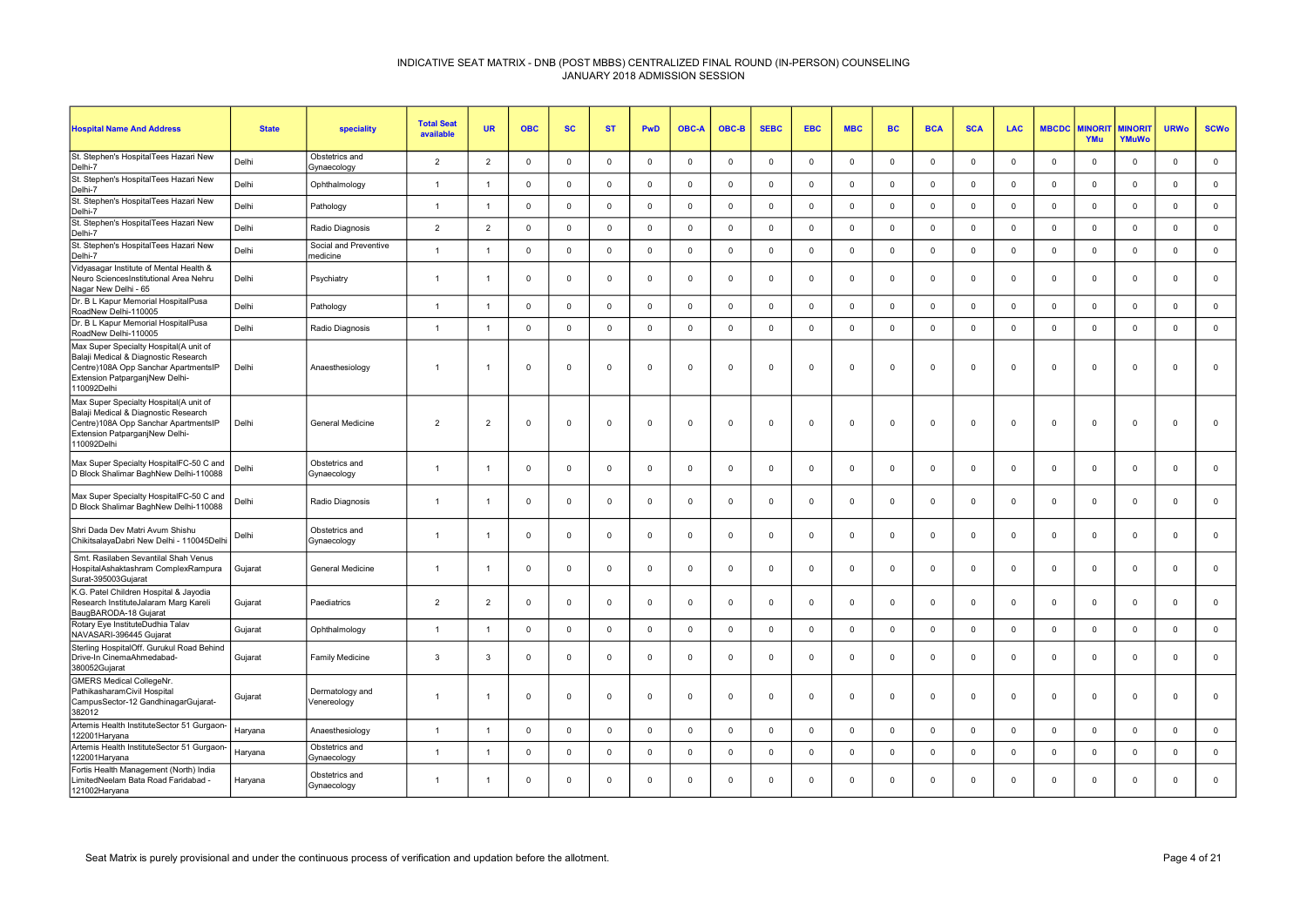| <b>Hospital Name And Address</b>                                                                                                                                        | <b>State</b> | <b>speciality</b>                 | <b>Total Seat</b><br>available | <b>UR</b>      | <b>OBC</b>  | <b>SC</b>   | <b>ST</b>   | PwD         | <b>OBC-A</b>            | OBC-B       | <b>SEBC</b> | <b>EBC</b>              | <b>MBC</b>   | <b>BC</b>      | <b>BCA</b>              | <b>SCA</b>  | <b>LAC</b>  | <b>MBCDC</b> | <b>AINORI</b><br>YMu | <b>MINORIT</b><br>YMuWo | <b>URWo</b>    | <b>SCWo</b> |
|-------------------------------------------------------------------------------------------------------------------------------------------------------------------------|--------------|-----------------------------------|--------------------------------|----------------|-------------|-------------|-------------|-------------|-------------------------|-------------|-------------|-------------------------|--------------|----------------|-------------------------|-------------|-------------|--------------|----------------------|-------------------------|----------------|-------------|
| St. Stephen's HospitalTees Hazari New<br>Delhi-7                                                                                                                        | Delhi        | Obstetrics and<br>Gynaecology     | $\overline{2}$                 | $\overline{2}$ | $\Omega$    | $\Omega$    | $\mathbf 0$ | $\mathbf 0$ | $\Omega$                | $\mathbf 0$ | $\mathbf 0$ | $\Omega$                | $\mathbf 0$  | $\Omega$       | $\Omega$                | $\Omega$    | $\mathbf 0$ | $\Omega$     | $\Omega$             | $^{\circ}$              | $\mathbf 0$    | $\mathbf 0$ |
| St. Stephen's HospitalTees Hazari New<br>Delhi-7                                                                                                                        | Delhi        | Ophthalmology                     | $\overline{1}$                 | $\mathbf{1}$   | $\mathbf 0$ | $\Omega$    | $\mathbf 0$ | $\mathbf 0$ | $\Omega$                | $\mathbf 0$ | $\mathbf 0$ | $\overline{0}$          | $\mathbf 0$  | $\Omega$       | $\overline{0}$          | $\Omega$    | $\mathbf 0$ | $\mathbf 0$  | $\Omega$             | $\mathbf{0}$            | $\overline{0}$ | $\mathbf 0$ |
| St. Stephen's HospitalTees Hazari New<br>Delhi-7                                                                                                                        | Delhi        | Pathology                         | $\mathbf{1}$                   | $\mathbf{1}$   | $\mathbf 0$ | $\mathbf 0$ | $\mathbf 0$ | $\mathbf 0$ | $\overline{0}$          | $\mathbf 0$ | $\mathbf 0$ | $\mathbf 0$             | $\mathbf 0$  | $\mathbf 0$    | $\overline{\mathbf{0}}$ | $\mathbf 0$ | $\mathbf 0$ | $\mathbf 0$  | $\mathbf 0$          | $\mathsf 0$             | $\mathbf 0$    | $\mathbf 0$ |
| St. Stephen's HospitalTees Hazari New<br>Delhi-7                                                                                                                        | Delhi        | Radio Diagnosis                   | $\overline{2}$                 | $\overline{2}$ | $^{\circ}$  | $\mathbf 0$ | $\mathbf 0$ | $\mathsf 0$ | $\mathbf 0$             | $\mathsf 0$ | $^{\circ}$  | $\overline{0}$          | $\mathsf 0$  | $\Omega$       | $\mathsf 0$             | $\Omega$    | $\Omega$    | $\mathbf 0$  | $\Omega$             | $\mathbf 0$             | $\Omega$       | $\mathbf 0$ |
| St. Stephen's HospitalTees Hazari New<br>Delhi-7                                                                                                                        | Delhi        | Social and Preventive<br>medicine | $\overline{1}$                 | $\overline{1}$ | $\mathbf 0$ | 0           | $\mathbf 0$ | $\mathsf 0$ | $\mathbf 0$             | $\mathbf 0$ | $\Omega$    | $\overline{0}$          | $\mathbf 0$  | $\mathbf 0$    | $\overline{0}$          | $\mathbf 0$ | $\mathbf 0$ | $\mathbf 0$  | $\mathbf 0$          | $\mathbf{0}$            | $\mathbf 0$    | $\mathbf 0$ |
| Vidyasagar Institute of Mental Health &<br>Neuro SciencesInstitutional Area Nehru<br>Nagar New Delhi - 65                                                               | Delhi        | Psychiatry                        | $\overline{1}$                 |                | $^{\circ}$  | $\Omega$    | $\mathbf 0$ | $\mathbf 0$ | $\Omega$                | $\mathbf 0$ | $\Omega$    | $\Omega$                | $\mathbf 0$  | $\Omega$       | $\Omega$                | $\Omega$    | $\Omega$    | $\Omega$     | $\Omega$             | $\mathbf{0}$            | $\Omega$       | $\mathbf 0$ |
| Dr. B L Kapur Memorial HospitalPusa<br>RoadNew Delhi-110005                                                                                                             | Delhi        | Pathology                         | $\overline{1}$                 | $\overline{1}$ | $\mathbf 0$ | 0           | $\mathbf 0$ | $\mathbf 0$ | $\mathbf 0$             | $\mathbf 0$ | $^{\circ}$  | $\overline{0}$          | $\mathbf 0$  | $\Omega$       | $\overline{0}$          | $\mathbf 0$ | $\Omega$    | $\mathbf 0$  | $\mathbf 0$          | $\mathbf 0$             | $\mathbf 0$    | $\mathsf 0$ |
| Dr. B L Kapur Memorial HospitalPusa<br>RoadNew Delhi-110005                                                                                                             | Delhi        | Radio Diagnosis                   | $\overline{1}$                 | $\overline{1}$ | $\mathbf 0$ | $\mathbf 0$ | $\mathsf 0$ | $\mathsf 0$ | $\Omega$                | $\mathsf 0$ | $^{\circ}$  | $\Omega$                | $\mathsf 0$  | $\Omega$       | $\mathsf 0$             | $\Omega$    | $\Omega$    | $\mathbf 0$  | $\Omega$             | $\mathbf 0$             | $\Omega$       | $\mathsf 0$ |
| Max Super Specialty Hospital(A unit of<br>Balaji Medical & Diagnostic Research<br>Centre)108A Opp Sanchar ApartmentsIP<br>Extension PatparganjNew Delhi-<br>110092Delhi | Delhi        | Anaesthesiology                   | -1                             |                | $\mathbf 0$ | $\Omega$    | 0           | $^{\circ}$  | 0                       | $\mathbf 0$ |             | $\mathbf 0$             | $\mathbf 0$  | $\Omega$       | $\Omega$                | 0           | $\Omega$    | $\Omega$     | $^{\circ}$           | $\Omega$                | $\mathbf{0}$   | $\mathbf 0$ |
| Max Super Specialty Hospital(A unit of<br>Balaji Medical & Diagnostic Research<br>Centre)108A Opp Sanchar ApartmentsIP<br>Extension PatparganjNew Delhi-<br>110092Delhi | Delhi        | <b>General Medicine</b>           | $\overline{2}$                 | $\overline{2}$ | $\Omega$    | $\Omega$    | $\Omega$    | $\Omega$    | $\Omega$                | $\Omega$    |             | $\Omega$                | $\Omega$     | $\Omega$       | $\Omega$                | $\Omega$    | $\Omega$    | $\Omega$     | $\Omega$             | $\Omega$                | $\Omega$       | $\Omega$    |
| Max Super Specialty HospitalFC-50 C and<br>D Block Shalimar BaghNew Delhi-110088                                                                                        | Delhi        | Obstetrics and<br>Gynaecology     | $\overline{1}$                 | $\overline{1}$ | $\mathbf 0$ | $\mathbf 0$ | $\mathbf 0$ | $\mathbf 0$ | $\overline{\mathbf{0}}$ | $\mathbf 0$ | $^{\circ}$  | $\overline{\mathbf{0}}$ | $\mathbf 0$  | $\mathbf 0$    | $\overline{0}$          | $\mathbf 0$ | $\mathbf 0$ | $\mathbf 0$  | $\mathbf 0$          | $\mathbf 0$             | $\mathbf 0$    | $\mathbf 0$ |
| Max Super Specialty HospitalFC-50 C and<br>D Block Shalimar BaghNew Delhi-110088                                                                                        | Delhi        | Radio Diagnosis                   | $\overline{1}$                 | $\overline{1}$ | $\mathbf 0$ | $\Omega$    | $\Omega$    | $\mathbf 0$ | $\Omega$                | $\mathbf 0$ | $\Omega$    | $\Omega$                | $\mathbf{0}$ | $\Omega$       | $\Omega$                | $\Omega$    | $\Omega$    | $\Omega$     | $\Omega$             | $\mathbf 0$             | $\Omega$       | $\mathbf 0$ |
| Shri Dada Dev Matri Avum Shishu<br>ChikitsalayaDabri New Delhi - 110045Delhi                                                                                            | Delhi        | Obstetrics and<br>Gynaecology     | $\overline{1}$                 | $\overline{1}$ | $\mathbf 0$ | $\mathbf 0$ | $\mathsf 0$ | $\mathsf 0$ | $\mathbf 0$             | $\mathsf 0$ | $\mathbf 0$ | $\Omega$                | $\mathsf 0$  | $\Omega$       | $\Omega$                | $\Omega$    | $\mathbf 0$ | $\Omega$     | $\Omega$             | $\mathbf 0$             | $\Omega$       | $\mathsf 0$ |
| Smt. Rasilaben Sevantilal Shah Venus<br>HospitalAshaktashram ComplexRampura<br>Surat-395003Gujarat                                                                      | Gujarat      | General Medicine                  | $\overline{1}$                 | $\overline{1}$ | $\mathbf 0$ | 0           | 0           | $\mathbf 0$ | $^{\circ}$              | $\mathbf 0$ | $\Omega$    | $^{\circ}$              | $\mathbf 0$  | $^{\circ}$     | $\overline{0}$          | $\Omega$    | $^{\circ}$  | $\mathbf 0$  | $\mathbf 0$          | $^{\circ}$              | $\Omega$       | $\mathbf 0$ |
| K.G. Patel Children Hospital & Jayodia<br>Research InstituteJalaram Marg Kareli<br>BaugBARODA-18 Gujarat                                                                | Gujarat      | Paediatrics                       | $\overline{2}$                 | $\overline{2}$ | $\mathbf 0$ | $\Omega$    | $\mathbf 0$ | $\mathbf 0$ | $\Omega$                | $\mathbf 0$ | $\Omega$    | $\Omega$                | $\mathbf{0}$ | $\Omega$       | $\Omega$                | $\Omega$    | $\Omega$    | $\Omega$     | $\Omega$             | $\mathbf{0}$            | $\overline{0}$ | $\mathbf 0$ |
| Rotary Eye InstituteDudhia Talav<br>NAVASARI-396445 Gujarat                                                                                                             | Gujarat      | Ophthalmology                     | $\overline{1}$                 | $\overline{1}$ | $\mathbf 0$ | $\mathbf 0$ | $\mathbf 0$ | $\mathbf 0$ | $\overline{0}$          | $\mathbf 0$ | $\mathbf 0$ | $\mathbf 0$             | $\mathbf 0$  | $\overline{0}$ | $\overline{0}$          | $\mathbf 0$ | $\mathbf 0$ | $\mathbf 0$  | $\mathbf 0$          | $\mathsf 0$             | $\mathbf 0$    | $\mathbf 0$ |
| Sterling HospitalOff. Gurukul Road Behind<br>Drive-In CinemaAhmedabad-<br>380052Gujarat                                                                                 | Gujarat      | <b>Family Medicine</b>            | 3                              | $\mathbf{3}$   | $\mathbf 0$ | $\Omega$    | $\mathbf 0$ | $\mathsf 0$ | $^{\circ}$              | $\mathbf 0$ | $\Omega$    | $\Omega$                | $\mathbf 0$  | $\Omega$       | $\overline{0}$          | $\Omega$    | $\Omega$    | $\Omega$     | $\mathbf 0$          | $\Omega$                | $\Omega$       | $\mathbf 0$ |
| GMERS Medical CollegeNr.<br>PathikasharamCivil Hospital<br>CampusSector-12 GandhinagarGujarat-<br>382012                                                                | Gujarat      | Dermatology and<br>Venereology    | $\overline{1}$                 |                | $\mathbf 0$ | $\Omega$    | $\mathbf 0$ | $\mathbf 0$ | $\Omega$                | $\mathbf 0$ | $\Omega$    | $\Omega$                | $\mathbf 0$  | $\Omega$       | $\Omega$                | $\Omega$    | $\Omega$    | $\Omega$     | $\Omega$             | $\Omega$                | $\overline{0}$ | $\Omega$    |
| Artemis Health InstituteSector 51 Gurgaon-<br>122001Haryana                                                                                                             | Haryana      | Anaesthesiology                   | $\overline{1}$                 | $\overline{1}$ | $\mathbf 0$ | $\mathbf 0$ | $\mathbf 0$ | $\mathbf 0$ | $\mathbf 0$             | $\mathbf 0$ | $\Omega$    | $\mathbf 0$             | $\mathbf 0$  | $\overline{0}$ | $\mathbf 0$             | $\mathbf 0$ | $\mathbf 0$ | $\mathbf 0$  | $\mathbf 0$          | $\mathbf 0$             | $\mathbf 0$    | $\mathbf 0$ |
| Artemis Health InstituteSector 51 Gurgaon-<br>122001Haryana                                                                                                             | Haryana      | Obstetrics and<br>Gynaecology     | $\overline{1}$                 |                | $\mathbf 0$ | $\Omega$    | $\mathbf 0$ | $\mathbf 0$ | $\Omega$                | $\mathbf 0$ | $\Omega$    | $\Omega$                | $\mathbf 0$  | $\Omega$       | $\Omega$                | $\Omega$    | $\Omega$    | $\Omega$     | $\Omega$             | $\mathbf{0}$            | $\Omega$       | $\mathsf 0$ |
| Fortis Health Management (North) India<br>LimitedNeelam Bata Road Faridabad -<br>121002Haryana                                                                          | Haryana      | Obstetrics and<br>Gynaecology     | $\mathbf{1}$                   | $\overline{1}$ | $^{\circ}$  | $\Omega$    | 0           | $\mathbf 0$ | $\Omega$                | $^{\circ}$  | $\Omega$    | $\Omega$                | $\mathbf 0$  | $\Omega$       | $\Omega$                | $\Omega$    | $\Omega$    | $\Omega$     | $\Omega$             | $\Omega$                | $\Omega$       | $\Omega$    |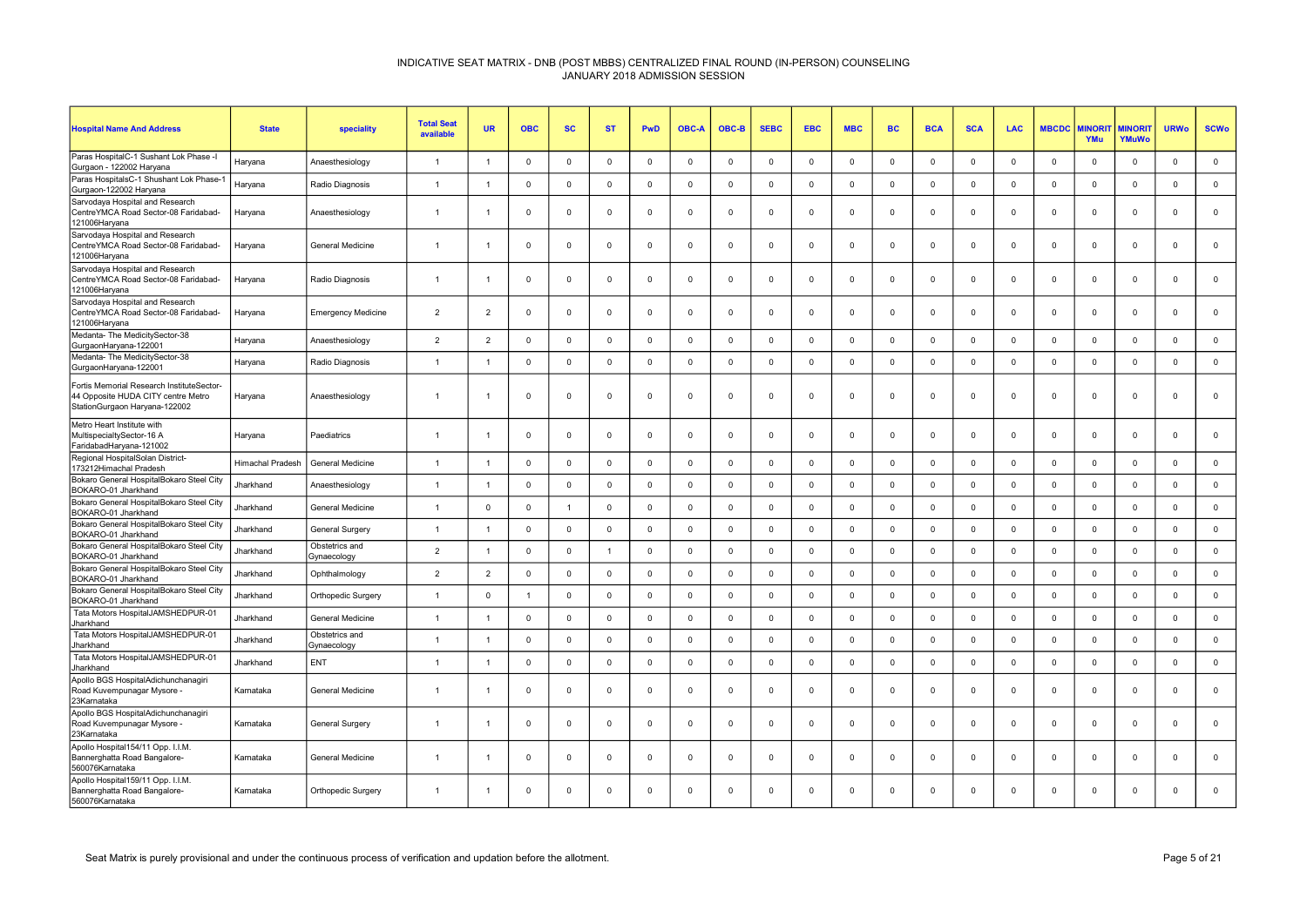| <b>Hospital Name And Address</b>                                                                                 | <b>State</b>            | speciality                    | <b>Total Seat</b><br>available | <b>UR</b>      | <b>OBC</b>     | <b>SC</b>      | <b>ST</b>      | <b>PwD</b>     | <b>OBC-A</b> | OBC-B       | <b>SEBC</b>  | <b>EBC</b>     | <b>MBC</b>   | <b>BC</b>   | <b>BCA</b>  | <b>SCA</b>   | <b>LAC</b>   | <b>MBCDC</b> | <b>AINORI</b><br>YMu | <b>MINORI</b><br>YMuWo | <b>URWo</b>    | <b>SCWo</b>  |
|------------------------------------------------------------------------------------------------------------------|-------------------------|-------------------------------|--------------------------------|----------------|----------------|----------------|----------------|----------------|--------------|-------------|--------------|----------------|--------------|-------------|-------------|--------------|--------------|--------------|----------------------|------------------------|----------------|--------------|
| Paras HospitalC-1 Sushant Lok Phase -I<br>Gurgaon - 122002 Haryana                                               | Haryana                 | Anaesthesiology               | $\overline{1}$                 | $\overline{1}$ | $\Omega$       | $\mathbf{0}$   | $\mathbf 0$    | $\mathbf 0$    | $\Omega$     | $\mathbf 0$ | $\mathbf 0$  | $\Omega$       | $\mathbf 0$  | $\mathbf 0$ | $\Omega$    | $\Omega$     | $^{\circ}$   | $\Omega$     | $\Omega$             | $\mathbf{0}$           | $\mathsf 0$    | $\mathbf 0$  |
| Paras HospitalsC-1 Shushant Lok Phase-1<br>Gurgaon-122002 Haryana                                                | Haryana                 | Radio Diagnosis               | $\overline{1}$                 | $\overline{1}$ | $\overline{0}$ | $\mathbf 0$    | $\mathbf 0$    | $\mathbf 0$    | $\Omega$     | $\mathbf 0$ | $\mathbf 0$  | $\Omega$       | $\mathbf 0$  | $\mathbf 0$ | $\mathsf 0$ | $\Omega$     | $\mathbf{0}$ | $\mathbf 0$  | $\mathbf 0$          | $\mathbf{0}$           | $\mathbf 0$    | $\mathbf 0$  |
| Sarvodaya Hospital and Research<br>CentreYMCA Road Sector-08 Faridabad-<br>121006Haryana                         | Haryana                 | Anaesthesiology               | $\overline{1}$                 |                | $\Omega$       | $\mathbf 0$    | $^{\circ}$     | $\mathsf 0$    | $\Omega$     | $\mathbf 0$ | $\mathbf 0$  | $\Omega$       | $\mathbf 0$  | $\mathbf 0$ | $\mathbf 0$ | $\Omega$     | $^{\circ}$   | $\mathbf 0$  | $\mathbf 0$          | $\mathbf{0}$           | $\Omega$       | $\mathbf 0$  |
| Sarvodaya Hospital and Research<br>CentreYMCA Road Sector-08 Faridabad-<br>121006Haryana                         | Haryana                 | <b>General Medicine</b>       | $\overline{1}$                 |                | $\Omega$       | $\mathbf{0}$   | $\Omega$       | $\overline{0}$ | $\Omega$     | $\Omega$    | $\mathbf 0$  | $\Omega$       | $^{\circ}$   | $\mathbf 0$ | $\Omega$    | $\Omega$     | $\Omega$     | $\Omega$     | $\Omega$             | $\mathbf{0}$           | $\Omega$       | $\mathbf{0}$ |
| Sarvodaya Hospital and Research<br>CentreYMCA Road Sector-08 Faridabad-<br>121006Haryana                         | Haryana                 | Radio Diagnosis               | $\overline{1}$                 |                | $\Omega$       | $\mathbf 0$    | $\mathbf 0$    | $\mathsf 0$    | $\mathbf 0$  | $\mathbf 0$ | $\mathbf 0$  | $\Omega$       | $\mathbf 0$  | $\mathbf 0$ | $\mathbf 0$ | $\Omega$     | $\mathbf{0}$ | $\mathbf 0$  | $\Omega$             | $\mathbf 0$            | $\Omega$       | $\mathsf 0$  |
| Sarvodaya Hospital and Research<br>CentreYMCA Road Sector-08 Faridabad-<br>121006Haryana                         | Haryana                 | <b>Emergency Medicine</b>     | $\overline{2}$                 | 2              | $\Omega$       | $\mathbf 0$    | $^{\circ}$     | $\mathbf 0$    | $\Omega$     | $\mathbf 0$ | $^{\circ}$   | $\Omega$       | $\mathbf 0$  | $\mathbf 0$ | $\mathbf 0$ | $\Omega$     | $^{\circ}$   | $\Omega$     | $\mathbf 0$          | $\mathbf 0$            | $\Omega$       | $\mathbf 0$  |
| Medanta- The MedicitySector-38<br>GurgaonHaryana-122001                                                          | Haryana                 | Anaesthesiology               | $\overline{2}$                 | $\overline{2}$ | $\Omega$       | $\mathbf 0$    | $\mathbf 0$    | $\mathsf 0$    | $\Omega$     | $\mathbf 0$ | $\mathbf 0$  | $\Omega$       | $\mathbf 0$  | $\mathbf 0$ | $\Omega$    | $^{\circ}$   | $\mathbf 0$  | $\Omega$     | $\mathbf{0}$         | $\mathbf 0$            | $\mathbf 0$    | $\mathbf 0$  |
| Medanta- The MedicitySector-38<br>GurgaonHaryana-122001                                                          | Haryana                 | Radio Diagnosis               | $\overline{1}$                 | $\overline{1}$ | $\overline{0}$ | $\mathbf{0}$   | $\Omega$       | $\mathbf 0$    | $\Omega$     | $\mathbf 0$ | $\mathbf{0}$ | $\Omega$       | $\mathbf{0}$ | $\mathbf 0$ | $\mathbf 0$ | $\Omega$     | $\mathbf{0}$ | $\Omega$     | $\Omega$             | $\mathbf 0$            | $\Omega$       | $\mathbf 0$  |
| Fortis Memorial Research InstituteSector-<br>44 Opposite HUDA CITY centre Metro<br>StationGurgaon Haryana-122002 | Haryana                 | Anaesthesiology               | $\overline{1}$                 |                | $\Omega$       | $\Omega$       | $\mathbf 0$    | $\mathbf 0$    | $\Omega$     | $\mathbf 0$ | $\mathbf 0$  | $\Omega$       | $\mathbf 0$  | $\mathbf 0$ | $\Omega$    | $\Omega$     | $\mathbf 0$  | $\Omega$     | $\Omega$             | $\mathbf{0}$           | $\Omega$       | $\mathbf{0}$ |
| Metro Heart Institute with<br>MultispecialtySector-16 A<br>FaridabadHaryana-121002                               | Haryana                 | Paediatrics                   | $\overline{1}$                 | $\overline{1}$ | $\overline{0}$ | $\mathbf{0}$   | $\Omega$       | $\overline{0}$ | $\Omega$     | $\mathbf 0$ | $\mathbf 0$  | $\Omega$       | $\mathbf{0}$ | $\mathbf 0$ | $\Omega$    | $\Omega$     | $\Omega$     | $\Omega$     | $\Omega$             | $\mathbf{0}$           | $\Omega$       | $\mathbf 0$  |
| Regional HospitalSolan District-<br>173212Himachal Pradesh                                                       | <b>Himachal Pradesh</b> | General Medicine              | $\overline{1}$                 |                | $\mathbf 0$    | $\mathbf 0$    | $^{\circ}$     | $\mathbf 0$    | $^{\circ}$   | $\mathbf 0$ | $^{\circ}$   | $\mathbf 0$    | $\mathbf 0$  | $\mathbf 0$ | $\mathbf 0$ | $\mathbf 0$  | $\Omega$     | 0            | $\mathbf 0$          | $\mathbf 0$            | $\mathbf 0$    | $\mathbf 0$  |
| Bokaro General HospitalBokaro Steel City<br>BOKARO-01 Jharkhand                                                  | Jharkhand               | Anaesthesiology               | $\overline{1}$                 | -1             | $\overline{0}$ | $\mathbf 0$    | $\mathbf 0$    | $\mathbf 0$    | $^{\circ}$   | $\mathbf 0$ | $\mathbf 0$  | $\overline{0}$ | $\mathbf 0$  | $\mathbf 0$ | $\mathbf 0$ | $\Omega$     | $\mathbf 0$  | $\mathbf 0$  | $\mathbf 0$          | $\mathbf 0$            | $\mathbf 0$    | $\mathbf 0$  |
| Bokaro General HospitalBokaro Steel City<br>BOKARO-01 Jharkhand                                                  | Jharkhand               | General Medicine              | $\overline{1}$                 | $\Omega$       | $\overline{0}$ | $\overline{1}$ | $\mathbf 0$    | $\mathbf 0$    | $^{\circ}$   | $\mathbf 0$ | $\mathbf 0$  | $\Omega$       | $\mathsf 0$  | $\mathsf 0$ | $\Omega$    | $\Omega$     | $\mathbf{0}$ | $\mathsf 0$  | $\mathbf 0$          | $\mathbf{0}$           | $\mathsf 0$    | $\mathbf 0$  |
| Bokaro General HospitalBokaro Steel City<br>BOKARO-01 Jharkhand                                                  | Jharkhand               | General Surgery               | $\overline{1}$                 | -1             | $\overline{0}$ | $\mathbf 0$    | $\mathbf 0$    | $\mathsf 0$    | $\Omega$     | $\mathbf 0$ | $\mathbf 0$  | $\Omega$       | $\mathbf 0$  | $\mathbf 0$ | $\mathbf 0$ | $\Omega$     | $\mathbf{0}$ | $\mathbf 0$  | $\mathbf{0}$         | $\mathbf{0}$           | $\overline{0}$ | $\mathsf 0$  |
| Bokaro General HospitalBokaro Steel City<br>BOKARO-01 Jharkhand                                                  | Jharkhand               | Obstetrics and<br>Gynaecology | $\overline{2}$                 | $\overline{1}$ | $\Omega$       | $\mathbf 0$    | $\overline{1}$ | $\mathbf 0$    | $\Omega$     | $\Omega$    | $\mathbf 0$  | $\Omega$       | $\mathbf 0$  | $\Omega$    | $\mathbf 0$ | $\Omega$     | $\mathbf{0}$ | 0            | $\Omega$             | $\mathbf{0}$           | $\Omega$       | $\mathbf 0$  |
| Bokaro General HospitalBokaro Steel City<br>BOKARO-01 Jharkhand                                                  | Jharkhand               | Ophthalmology                 | $\overline{2}$                 | $\overline{2}$ | $\Omega$       | $\mathbf{0}$   | $\mathbf 0$    | $\mathbf 0$    | $\Omega$     | $\Omega$    | $\mathbf 0$  | $\Omega$       | $\mathbf 0$  | $\mathbf 0$ | $\Omega$    | $\Omega$     | $\mathbf{0}$ | $\Omega$     | $\Omega$             | $\mathbf{0}$           | $\mathbf 0$    | $\mathbf 0$  |
| Bokaro General HospitalBokaro Steel City<br>BOKARO-01 Jharkhand                                                  | Jharkhand               | Orthopedic Surgery            | $\overline{1}$                 | $\mathbf 0$    | $\overline{1}$ | $\mathbf{0}$   | $\Omega$       | $\mathbf 0$    | $\Omega$     | $\mathbf 0$ | $\mathbf 0$  | $\Omega$       | $\mathbf 0$  | $\mathbf 0$ | $\mathbf 0$ | $\Omega$     | $\mathbf{0}$ | $\Omega$     | $\Omega$             | $\mathbf{0}$           | $\Omega$       | $\mathbf 0$  |
| Tata Motors HospitalJAMSHEDPUR-01<br>Jharkhand                                                                   | Jharkhand               | General Medicine              | $\overline{1}$                 | $\overline{1}$ | $\mathbf{0}$   | $\mathbf 0$    | $\mathbf 0$    | $\mathbf 0$    | $\Omega$     | $\mathbf 0$ | $\mathbf 0$  | $\Omega$       | $\mathbf 0$  | $\mathsf 0$ | $\mathbf 0$ | $\mathbf{0}$ | $\mathbf 0$  | $\mathsf 0$  | $\mathbf 0$          | $\mathbf{0}$           | $\mathsf 0$    | $\mathbf 0$  |
| Tata Motors HospitalJAMSHEDPUR-01<br>Jharkhand                                                                   | Jharkhand               | Obstetrics and<br>Gynaecology | $\overline{1}$                 |                | $\mathbf 0$    | $\mathbf 0$    | $\mathbf 0$    | $\mathbf 0$    | $^{\circ}$   | $\mathbf 0$ | $\mathbf 0$  | $\mathbf 0$    | $\mathbf 0$  | $\mathbf 0$ | $\mathbf 0$ | $\mathbf 0$  | $\mathbf 0$  | $\mathbf 0$  | $\mathbf 0$          | $\mathbf 0$            | $\overline{0}$ | $\mathbf 0$  |
| Tata Motors HospitalJAMSHEDPUR-01<br>Iharkhand                                                                   | Jharkhand               | ENT                           | $\overline{1}$                 | $\overline{1}$ | $\Omega$       | $\mathbf 0$    | $\mathbf 0$    | $\mathbf 0$    | $^{\circ}$   | $\Omega$    | $\mathbf 0$  | $\mathbf 0$    | $\mathbf 0$  | $\mathbf 0$ | $\mathbf 0$ | $\Omega$     | $\mathbf{0}$ | $\mathbf 0$  | $\Omega$             | $\mathsf 0$            | $\overline{0}$ | $\mathbf 0$  |
| Apollo BGS HospitalAdichunchanagiri<br>Road Kuvempunagar Mysore -<br>23Karnataka                                 | Karnataka               | General Medicine              | $\mathbf{1}$                   |                | $\mathbf 0$    | $\mathbf 0$    | $\mathbf 0$    | $\mathbf 0$    | $\mathbf 0$  | $\mathbf 0$ | $\mathbf 0$  | $\mathbf 0$    | $\mathbf 0$  | $\mathbf 0$ | $\mathbf 0$ | $\mathbf 0$  | $\mathbf 0$  | $\mathbf 0$  | $\mathbf 0$          | $\mathbf 0$            | $\mathbf 0$    | $\mathbf 0$  |
| Apollo BGS HospitalAdichunchanagiri<br>Road Kuvempunagar Mysore -<br>23Karnataka                                 | Karnataka               | General Surgery               | $\overline{1}$                 |                | $\Omega$       | $^{\circ}$     | $\Omega$       | $\overline{0}$ | $\Omega$     | $^{\circ}$  | $^{\circ}$   | $\Omega$       | $^{\circ}$   | $\Omega$    | $\Omega$    | $\Omega$     | $\Omega$     | $\Omega$     | $\Omega$             | $^{\circ}$             | $\Omega$       | $\mathbf 0$  |
| Apollo Hospital154/11 Opp. I.I.M.<br>Bannerghatta Road Bangalore-<br>560076Karnataka                             | Karnataka               | <b>General Medicine</b>       | $\overline{1}$                 | $\overline{1}$ | $\Omega$       | $\mathbf{0}$   | $\mathbf 0$    | $\overline{0}$ | $\Omega$     | $\mathbf 0$ | $\mathbf 0$  | $\Omega$       | $\mathbf 0$  | $\mathbf 0$ | $\Omega$    | $\Omega$     | $\Omega$     | $\Omega$     | $\Omega$             | $\mathbf{0}$           | $\Omega$       | $\mathbf{0}$ |
| Apollo Hospital159/11 Opp. I.I.M.<br>Bannerghatta Road Bangalore-<br>560076Karnataka                             | Karnataka               | Orthopedic Surgery            | $\overline{1}$                 |                | $\Omega$       | $\Omega$       | $\Omega$       | $\Omega$       | $\Omega$     | $\Omega$    | $\Omega$     | $\Omega$       | $\mathbf 0$  | $\Omega$    | $\Omega$    | $\Omega$     | $\Omega$     | $\Omega$     | $\Omega$             | $\Omega$               | $\Omega$       | $\Omega$     |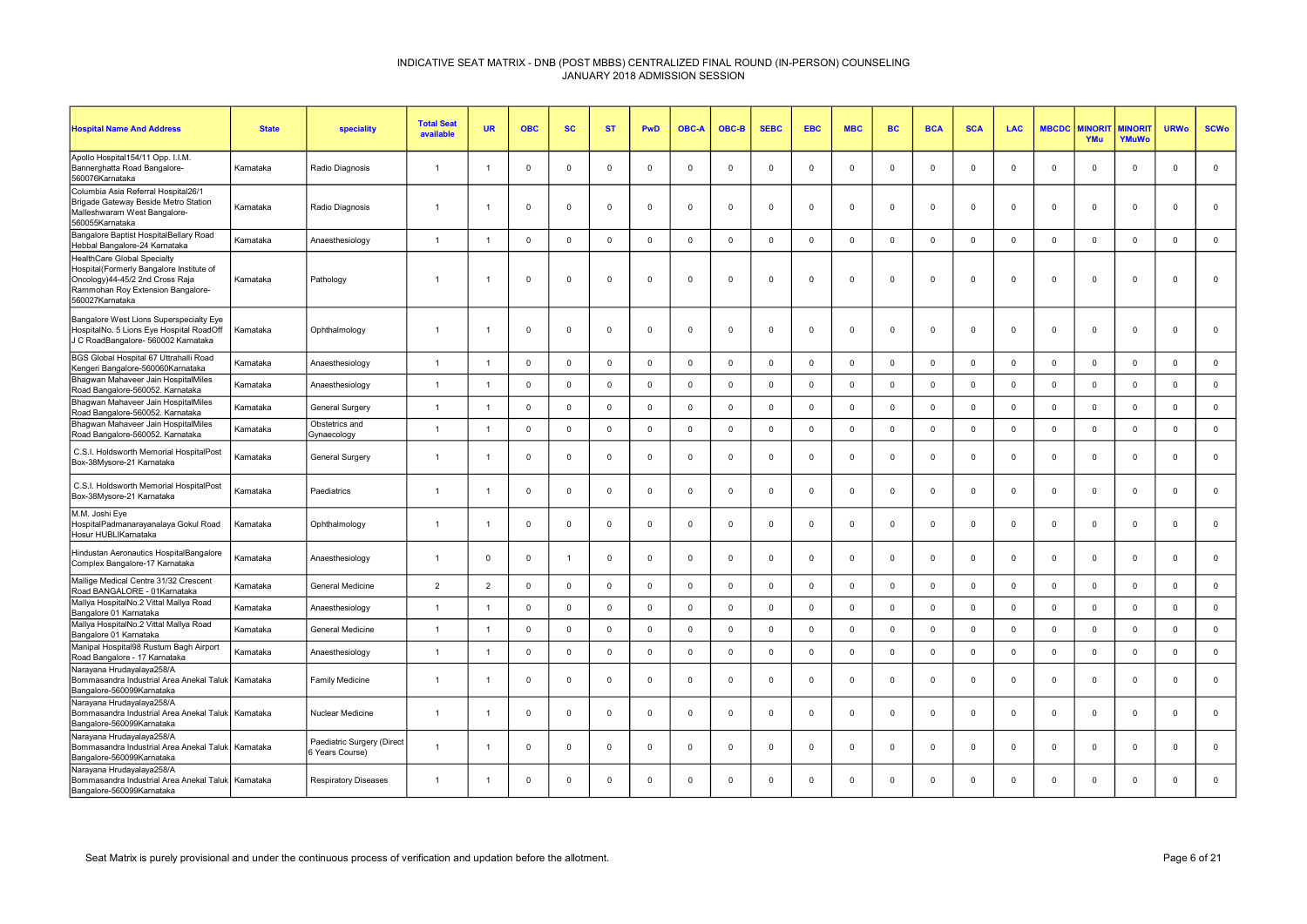| <b>Hospital Name And Address</b>                                                                                                                                   | <b>State</b> | speciality                                    | <b>Total Seat</b><br>available | <b>UR</b>      | <b>OBC</b>     | <b>SC</b>      | <b>ST</b>   | <b>PwD</b>     | <b>OBC-A</b> | OBC-B       | <b>SEBC</b> | <b>EBC</b>     | <b>MBC</b>  | <b>BC</b>   | <b>BCA</b>     | <b>SCA</b>  | <b>LAC</b>   | <b>MBCDC</b> | <b><i>INORI</i></b><br>YMu | <b>MINORIT</b><br>YMuWo | <b>URWo</b>    | <b>SCWo</b>         |
|--------------------------------------------------------------------------------------------------------------------------------------------------------------------|--------------|-----------------------------------------------|--------------------------------|----------------|----------------|----------------|-------------|----------------|--------------|-------------|-------------|----------------|-------------|-------------|----------------|-------------|--------------|--------------|----------------------------|-------------------------|----------------|---------------------|
| Apollo Hospital154/11 Opp. I.I.M.<br>Bannerghatta Road Bangalore-<br>560076Karnataka                                                                               | Karnataka    | Radio Diagnosis                               | $\mathbf{1}$                   |                | $\Omega$       | $^{\circ}$     | $^{\circ}$  | $\overline{0}$ | $\Omega$     | $^{\circ}$  | $^{\circ}$  | $\Omega$       | $^{\circ}$  | $^{\circ}$  | $\Omega$       | $\Omega$    | $^{\circ}$   | $\Omega$     | $^{\circ}$                 | $^{\circ}$              | $\mathbf{0}$   | $\mathbf{0}$        |
| Columbia Asia Referral Hospital26/1<br>Brigade Gateway Beside Metro Station<br>Malleshwaram West Bangalore-<br>560055Karnataka                                     | Karnataka    | Radio Diagnosis                               | $\overline{1}$                 |                | $\Omega$       | $\mathbf 0$    | $\mathbf 0$ | $\mathsf 0$    | $\mathbf 0$  | $\mathbf 0$ | $\mathbf 0$ | $\Omega$       | $\mathbf 0$ | $\mathbf 0$ | $\mathbf 0$    | $\mathbf 0$ | $\Omega$     | 0            | $\mathbf 0$                | $\mathbf 0$             | $\mathbf 0$    | $\mathbf 0$         |
| Bangalore Baptist HospitalBellary Road<br>Hebbal Bangalore-24 Karnataka                                                                                            | Karnataka    | Anaesthesiology                               |                                |                | $\Omega$       | $\mathbf 0$    | $\Omega$    | $\mathbf 0$    | $\Omega$     | $\mathbf 0$ | $\mathbf 0$ | $\Omega$       | $\mathbf 0$ | $\Omega$    | $\Omega$       | $\Omega$    | $\mathbf 0$  | $\Omega$     | $\Omega$                   | $\mathbf 0$             | $\Omega$       | $\mathbf 0$         |
| HealthCare Global Specialty<br>Hospital(Formerly Bangalore Institute of<br>Oncology)44-45/2 2nd Cross Raja<br>Rammohan Roy Extension Bangalore-<br>560027Karnataka | Karnataka    | Pathology                                     | $\overline{1}$                 |                | $\Omega$       | $^{\circ}$     | $^{\circ}$  | $\mathbf 0$    | $\Omega$     | $\mathbf 0$ | $^{\circ}$  | $\Omega$       | $\mathbf 0$ | $\mathbf 0$ | $\mathbf 0$    | $\Omega$    | $^{\circ}$   | $\Omega$     | $\mathbf 0$                | $\Omega$                | $\Omega$       | $\mathbf 0$         |
| Bangalore West Lions Superspecialty Eye<br>HospitalNo. 5 Lions Eye Hospital RoadOff<br>J C RoadBangalore- 560002 Karnataka                                         | Karnataka    | Ophthalmology                                 | $\overline{1}$                 | -1             | $\Omega$       | $\mathbf 0$    | $\mathbf 0$ | $\mathbf 0$    | $\Omega$     | $^{\circ}$  | $^{\circ}$  | $\Omega$       | $\mathbf 0$ | $^{\circ}$  | $\mathbf 0$    | $\Omega$    | $^{\circ}$   | $\Omega$     | $\mathbf 0$                | $^{\circ}$              | $\mathbf{0}$   | $\mathbf 0$         |
| BGS Global Hospital 67 Uttrahalli Road<br>Kengeri Bangalore-560060Karnataka                                                                                        | Karnataka    | Anaesthesiology                               | $\overline{1}$                 | $\overline{1}$ | $\mathbf{0}$   | $\mathsf 0$    | $\mathbf 0$ | $\mathsf 0$    | $\mathbf 0$  | $\mathbf 0$ | $\mathsf 0$ | $\Omega$       | $\mathbf 0$ | $\mathsf 0$ | $\mathbf 0$    | $\Omega$    | $\mathbf 0$  | $\mathbf 0$  | $\mathbf 0$                | $\mathbf 0$             | $\mathsf 0$    | $\mathsf 0$         |
| Bhagwan Mahaveer Jain HospitalMiles<br>Road Bangalore-560052. Karnataka                                                                                            | Karnataka    | Anaesthesiology                               | $\overline{1}$                 |                | $\Omega$       | $\mathbf 0$    | $\Omega$    | $\mathsf 0$    | $\Omega$     | $\mathbf 0$ | $\Omega$    | $\Omega$       | $\mathbf 0$ | $\mathbf 0$ | $\mathbf 0$    | $\Omega$    | $\mathbf 0$  | 0            | $\Omega$                   | $\mathbf{0}$            | $\Omega$       | $\mathsf{O}\xspace$ |
| Bhagwan Mahaveer Jain HospitalMiles<br>Road Bangalore-560052. Karnataka                                                                                            | Karnataka    | <b>General Surgery</b>                        | $\overline{1}$                 | -1             | $\mathbf 0$    | $\mathbf 0$    | $\mathbf 0$ | $\mathbf 0$    | $\mathbf 0$  | $\mathbf 0$ | $\mathbf 0$ | $\mathbf 0$    | $\mathbf 0$ | $\mathbf 0$ | $\mathbf 0$    | $\mathbf 0$ | $\mathbf 0$  | $\mathbf 0$  | $\mathbf 0$                | $\mathbf 0$             | $\mathbf 0$    | $\mathbf 0$         |
| Bhagwan Mahaveer Jain HospitalMiles<br>Road Bangalore-560052. Karnataka                                                                                            | Karnataka    | Obstetrics and<br>Gynaecology                 | $\overline{1}$                 | $\overline{1}$ | $\Omega$       | $\mathbf 0$    | $\mathbf 0$ | $\mathbf 0$    | $\Omega$     | $\Omega$    | $\mathbf 0$ | $\Omega$       | $\mathbf 0$ | $\mathbf 0$ | $\Omega$       | $\Omega$    | $\Omega$     | $\Omega$     | $\Omega$                   | $\mathbf{0}$            | $\Omega$       | $\mathbf{0}$        |
| C.S.I. Holdsworth Memorial HospitalPost<br>Box-38Mysore-21 Karnataka                                                                                               | Karnataka    | <b>General Surgery</b>                        | $\mathbf{1}$                   |                | $\Omega$       | $\mathbf 0$    | $\Omega$    | $\overline{0}$ | $\Omega$     | $\mathbf 0$ | $\mathbf 0$ | $\Omega$       | $\mathbf 0$ | $\mathbf 0$ | $\mathbf 0$    | $\Omega$    | $\mathbf{0}$ | $\Omega$     | $\Omega$                   | $\mathbf 0$             | $\Omega$       | $\mathbf 0$         |
| C.S.I. Holdsworth Memorial HospitalPost<br>Box-38Mysore-21 Karnataka                                                                                               | Karnataka    | Paediatrics                                   | $\overline{1}$                 | -1             | $\Omega$       | $\mathbf{0}$   | $\Omega$    | $\mathbf 0$    | $\Omega$     | $\mathbf 0$ | $\mathbf 0$ | $\Omega$       | $\mathbf 0$ | $\mathbf 0$ | $\Omega$       | $\Omega$    | $\mathbf{0}$ | $\Omega$     | $\Omega$                   | $\mathbf{0}$            | $\Omega$       | $\mathsf 0$         |
| M.M. Joshi Eye<br>HospitalPadmanarayanalaya Gokul Road<br>Hosur HUBLIKarnataka                                                                                     | Karnataka    | Ophthalmology                                 | $\overline{1}$                 | -1             | $\overline{0}$ | $\mathbf 0$    | $\mathbf 0$ | $\mathbf 0$    | $^{\circ}$   | $\mathbf 0$ | $\mathbf 0$ | $\overline{0}$ | $\mathbf 0$ | $\mathbf 0$ | $\overline{0}$ | $\Omega$    | $\mathbf{0}$ | $\mathbf 0$  | $\mathbf 0$                | $\mathbf{0}$            | $\mathbf 0$    | $\mathbf 0$         |
| Hindustan Aeronautics HospitalBangalore<br>Complex Bangalore-17 Karnataka                                                                                          | Karnataka    | Anaesthesiology                               | $\overline{1}$                 | $\Omega$       | $\Omega$       | $\overline{1}$ | $\Omega$    | $\mathbf 0$    | $\Omega$     | $\mathbf 0$ | $\mathbf 0$ | $\Omega$       | $\mathbf 0$ | $\mathbf 0$ | $\Omega$       | $\Omega$    | $\mathbf 0$  | $\Omega$     | $\Omega$                   | $\mathbf 0$             | $\Omega$       | $\mathbf 0$         |
| Mallige Medical Centre 31/32 Crescent<br>Road BANGALORE - 01Karnataka                                                                                              | Karnataka    | General Medicine                              | $\overline{2}$                 | $\overline{2}$ | $\Omega$       | $\mathbf 0$    | $\Omega$    | $\mathbf 0$    | $\Omega$     | $\Omega$    | $\mathbf 0$ | $\Omega$       | $\mathsf 0$ | $\Omega$    | $\Omega$       | $\Omega$    | $\mathbf{0}$ | $\Omega$     | $\Omega$                   | $\mathbf{0}$            | $\mathbf 0$    | $\mathbf 0$         |
| Mallya HospitalNo.2 Vittal Mallya Road<br>Bangalore 01 Karnataka                                                                                                   | Karnataka    | Anaesthesiology                               | $\overline{1}$                 | -1             | $\overline{0}$ | $\mathbf 0$    | $\mathbf 0$ | $\overline{0}$ | $\Omega$     | $\mathbf 0$ | $\mathbf 0$ | $\Omega$       | $\mathbf 0$ | $\mathbf 0$ | $\overline{0}$ | $\Omega$    | $\mathbf 0$  | $\mathbf 0$  | $\mathbf{0}$               | $\mathbf{0}$            | $\overline{0}$ | $\mathbf 0$         |
| Mallya HospitalNo.2 Vittal Mallya Road<br>Bangalore 01 Karnataka                                                                                                   | Karnataka    | General Medicine                              | $\overline{1}$                 | $\overline{1}$ | $\overline{0}$ | $\mathbf 0$    | $\Omega$    | $\mathbf 0$    | $\Omega$     | $\mathbf 0$ | $\mathsf 0$ | $\Omega$       | $\mathbf 0$ | $\mathbf 0$ | $\mathbf 0$    | $\Omega$    | $\mathbf 0$  | $\mathbf 0$  | $\Omega$                   | $\mathbf{0}$            | $\overline{0}$ | $\mathsf 0$         |
| Manipal Hospital98 Rustum Bagh Airport<br>Road Bangalore - 17 Karnataka                                                                                            | Karnataka    | Anaesthesiology                               | $\overline{1}$                 | $\overline{1}$ | $\overline{0}$ | $\mathbf 0$    | $\mathbf 0$ | $\mathsf 0$    | $\mathbf 0$  | $\mathbf 0$ | $\mathbf 0$ | $\mathbf 0$    | $\mathbf 0$ | $\mathbf 0$ | $\mathbf 0$    | $\mathbf 0$ | $\mathbf 0$  | $\mathbf 0$  | $\mathbf 0$                | $\mathbf 0$             | $\mathsf 0$    | $\mathbf 0$         |
| Narayana Hrudayalaya258/A<br>Bommasandra Industrial Area Anekal Taluk Karnataka<br>Bangalore-560099Karnataka                                                       |              | Family Medicine                               | $\overline{1}$                 |                | $\Omega$       | $\mathbf{0}$   | $\Omega$    | $\overline{0}$ | $\Omega$     | $^{\circ}$  | $\Omega$    | $\Omega$       | $\mathbf 0$ | $\Omega$    | $\Omega$       | $\Omega$    | $\Omega$     | $\Omega$     | $\Omega$                   | $\mathbf{0}$            | $\Omega$       | $\mathbf 0$         |
| Narayana Hrudayalaya258/A<br>Bommasandra Industrial Area Anekal Taluk   Karnataka<br>Bangalore-560099Karnataka                                                     |              | Nuclear Medicine                              | $\overline{1}$                 | -1             | $\overline{0}$ | $\mathbf 0$    | $\mathbf 0$ | $\mathbf 0$    | $\mathbf 0$  | $\mathbf 0$ | $\mathbf 0$ | $\mathbf 0$    | $\mathbf 0$ | $\mathbf 0$ | $\mathbf 0$    | $\Omega$    | $^{\circ}$   | $\mathbf 0$  | $\mathbf 0$                | $\mathbf 0$             | $\mathbf 0$    | $\mathbf 0$         |
| Narayana Hrudayalaya258/A<br>Bommasandra Industrial Area Anekal Taluk<br>Bangalore-560099Karnataka                                                                 | Karnataka    | Paediatric Surgery (Direct<br>6 Years Course) |                                |                | $\Omega$       | $\Omega$       | $\Omega$    | $\Omega$       | $\Omega$     | $\Omega$    | $\Omega$    | $\Omega$       | $\mathbf 0$ | $\Omega$    | $\Omega$       | $\Omega$    | $\Omega$     | $\Omega$     | $\Omega$                   | $\Omega$                | $\Omega$       | $\mathbf{0}$        |
| Narayana Hrudayalaya258/A<br>Bommasandra Industrial Area Anekal Taluk   Karnataka<br>Bangalore-560099Karnataka                                                     |              | <b>Respiratory Diseases</b>                   | $\overline{1}$                 |                | $\Omega$       | $\mathbf{0}$   | $\Omega$    | $\overline{0}$ | $\Omega$     | $\mathbf 0$ | $\Omega$    | $\Omega$       | $\Omega$    | $\mathbf 0$ | $\Omega$       | $\Omega$    | $^{\circ}$   | $\Omega$     | $\Omega$                   | $\mathbf{0}$            | $\Omega$       | $\mathbf{0}$        |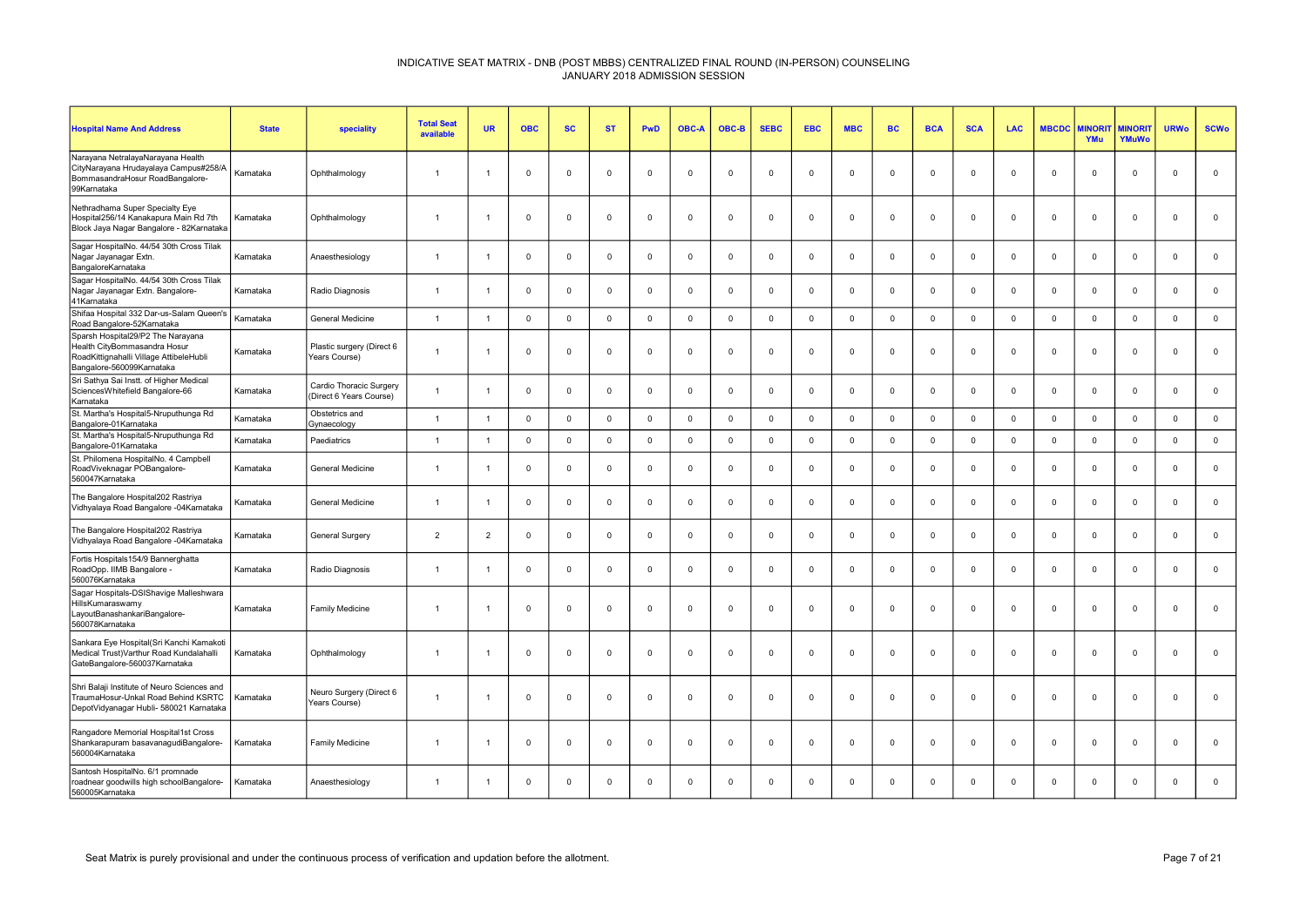| <b>Hospital Name And Address</b>                                                                                                          | <b>State</b> | speciality                                         | <b>Total Seat</b><br>available | <b>UR</b>      | <b>OBC</b>     | <b>SC</b>    | <b>ST</b>      | PwD            | OBC-A       | OBC-B        | <b>SEBC</b> | <b>EBC</b>  | <b>MBC</b>   | <b>BC</b>   | <b>BCA</b>  | <b>SCA</b>  | <b>LAC</b>  | <b>MBCDC</b> | <b>MINORI</b><br>YMu | <b>MINORIT</b><br><b>YMuWo</b> | <b>URWo</b>    | <b>SCWo</b>         |
|-------------------------------------------------------------------------------------------------------------------------------------------|--------------|----------------------------------------------------|--------------------------------|----------------|----------------|--------------|----------------|----------------|-------------|--------------|-------------|-------------|--------------|-------------|-------------|-------------|-------------|--------------|----------------------|--------------------------------|----------------|---------------------|
| Narayana NetralayaNarayana Health<br>CityNarayana Hrudayalaya Campus#258/A<br>BommasandraHosur RoadBangalore-<br>99Karnataka              | Karnataka    | Ophthalmology                                      | $\overline{1}$                 |                | $\Omega$       | $\mathbf 0$  | $\Omega$       | $\Omega$       | $\Omega$    | $\Omega$     | $\Omega$    | $\Omega$    | $\mathbf{0}$ | $\mathbf 0$ | $\Omega$    | $\Omega$    | $\mathbf 0$ | $\Omega$     | $\mathbf{0}$         | $\mathbf 0$                    | $\Omega$       | $\mathsf 0$         |
| Nethradhama Super Specialty Eye<br>Hospital256/14 Kanakapura Main Rd 7th<br>Block Jaya Nagar Bangalore - 82Karnataka                      | Karnataka    | Ophthalmology                                      | $\overline{1}$                 |                | $\mathbf 0$    | $\mathbf 0$  | $\mathbf{0}$   | $\mathbf 0$    | $^{\circ}$  | $\mathbf 0$  | $\mathbf 0$ | $\mathbf 0$ | $\mathbf 0$  | $\mathbf 0$ | $\mathbf 0$ | $\mathbf 0$ | $\mathbf 0$ | $\mathbf 0$  | $\mathbf 0$          | $\mathbf 0$                    | $\overline{0}$ | $\mathbf 0$         |
| Sagar HospitalNo. 44/54 30th Cross Tilak<br>Nagar Jayanagar Extn.<br>BangaloreKarnataka                                                   | Karnataka    | Anaesthesiology                                    | $\overline{1}$                 |                | $\mathbf 0$    | $\mathbf 0$  | $\Omega$       | $\mathbf 0$    | $^{\circ}$  | $\mathbf 0$  | $\mathbf 0$ | $\mathbf 0$ | $\mathbf 0$  | $\mathbf 0$ | $\mathbf 0$ | $^{\circ}$  | $\mathbf 0$ | $\Omega$     | $\mathbf 0$          | $\mathsf 0$                    | $\overline{0}$ | $\mathsf 0$         |
| Sagar HospitalNo. 44/54 30th Cross Tilak<br>Nagar Jayanagar Extn. Bangalore-<br>41Karnataka                                               | Karnataka    | Radio Diagnosis                                    | $\overline{1}$                 |                | $\overline{0}$ | $\mathbf 0$  | $\mathbf 0$    | $\mathbf 0$    | $\Omega$    | $\mathbf 0$  | $\Omega$    | $\Omega$    | $\mathbf 0$  | $\mathbf 0$ | $\Omega$    | $\mathbf 0$ | $\mathbf 0$ | $\mathbf 0$  | $^{\circ}$           | $\mathbf 0$                    | $\mathbf 0$    | $\mathbf 0$         |
| Shifaa Hospital 332 Dar-us-Salam Queen's<br>Road Bangalore-52Karnataka                                                                    | Karnataka    | General Medicine                                   | $\overline{1}$                 | $\overline{1}$ | $\Omega$       | $\mathsf 0$  | $\mathbf 0$    | $\Omega$       | $\Omega$    | $\mathbf 0$  | $\mathbf 0$ | $\Omega$    | $\mathsf 0$  | $\mathbf 0$ | $\Omega$    | $\mathbf 0$ | $\mathbf 0$ | $\Omega$     | $\mathbf{0}$         | $\mathsf 0$                    | $\mathbf 0$    | $\mathsf{O}\xspace$ |
| Sparsh Hospital29/P2 The Narayana<br>Health CityBommasandra Hosur<br>RoadKittignahalli Village AttibeleHubli<br>Bangalore-560099Karnataka | Karnataka    | Plastic surgery (Direct 6<br>Years Course)         | $\overline{1}$                 |                | $\overline{0}$ | 0            | $\mathbf 0$    | $\mathbf 0$    | 0           | $\mathbf 0$  | $\mathbf 0$ | $\mathbf 0$ | $\mathbf 0$  | $\mathbf 0$ | $\mathbf 0$ | $\mathbf 0$ | $\mathsf 0$ | $\mathbf 0$  | $\mathbf 0$          | $\mathbf 0$                    | $\overline{0}$ | $\mathbf 0$         |
| Sri Sathya Sai Instt. of Higher Medical<br>SciencesWhitefield Bangalore-66<br>Karnataka                                                   | Karnataka    | Cardio Thoracic Surgery<br>(Direct 6 Years Course) | $\overline{1}$                 |                | $\Omega$       | $\mathbf 0$  | $\Omega$       | $\mathbf 0$    | $^{\circ}$  | $\Omega$     | $\Omega$    | $\Omega$    | $\mathbf 0$  | $\mathbf 0$ | $\mathbf 0$ | $\Omega$    | $\mathbf 0$ | $\Omega$     | $\mathbf{0}$         | $\mathsf 0$                    | $\overline{0}$ | $\mathbf 0$         |
| St. Martha's Hospital5-Nruputhunga Rd<br>Bangalore-01Karnataka                                                                            | Karnataka    | Obstetrics and<br>Gynaecology                      | $\overline{1}$                 | $\overline{1}$ | $\overline{0}$ | $\mathbf{0}$ | $\Omega$       | $\mathbf 0$    | $\Omega$    | $\mathbf 0$  | $\Omega$    | $\Omega$    | $\mathbf 0$  | $\mathbf 0$ | $\mathbf 0$ | $\mathbf 0$ | $\mathbf 0$ | $\Omega$     | $\mathbf{0}$         | $\mathbf 0$                    | $\Omega$       | $\mathsf{O}\xspace$ |
| St. Martha's Hospital5-Nruputhunga Rd<br>Bangalore-01Karnataka                                                                            | Karnataka    | Paediatrics                                        | $\overline{1}$                 | $\overline{1}$ | $\overline{0}$ | $\mathsf 0$  | $\overline{0}$ | $\mathsf 0$    | $\Omega$    | $^{\circ}$   | $\mathbf 0$ | $\Omega$    | $\mathsf 0$  | $\mathbf 0$ | $\Omega$    | $\mathbf 0$ | $\mathsf 0$ | $\mathbf 0$  | $\mathbf{0}$         | $\mathsf 0$                    | $\overline{0}$ | $\mathsf{O}\xspace$ |
| St. Philomena HospitalNo. 4 Campbell<br>RoadViveknagar POBangalore-<br>560047Karnataka                                                    | Karnataka    | General Medicine                                   | $\overline{1}$                 |                | $\overline{0}$ | $\mathbf 0$  | $\Omega$       | $\mathbf 0$    | $\mathbf 0$ | $\mathbf 0$  | $\mathbf 0$ | $\mathbf 0$ | $\mathbf 0$  | $\mathbf 0$ | $\Omega$    | $\mathbf 0$ | $\mathbf 0$ | $\mathbf 0$  | $\mathbf 0$          | $\mathbf 0$                    | $\overline{0}$ | $\mathbf 0$         |
| The Bangalore Hospital202 Rastriya<br>Vidhyalaya Road Bangalore -04Karnataka                                                              | Karnataka    | <b>General Medicine</b>                            | $\overline{1}$                 |                | $\Omega$       | $\mathbf{0}$ | $\Omega$       | $\overline{0}$ | $\Omega$    | $\mathbf 0$  | $\Omega$    | $\Omega$    | $\mathbf{0}$ | $\mathbf 0$ | $\Omega$    | $\mathbf 0$ | $\mathbf 0$ | $\Omega$     | $\mathbf{0}$         | $\mathbf 0$                    | $\Omega$       | $\mathbf{0}$        |
| The Bangalore Hospital202 Rastriya<br>Vidhyalaya Road Bangalore -04Karnataka                                                              | Karnataka    | General Surgery                                    | $\overline{2}$                 | $\overline{2}$ | $\overline{0}$ | $\mathbf 0$  | $\mathbf{0}$   | $\mathbf 0$    | $^{\circ}$  | $\mathbf 0$  | $\mathbf 0$ | $\mathbf 0$ | $\mathbf 0$  | $\mathbf 0$ | $\mathbf 0$ | $\mathbf 0$ | $\mathbf 0$ | $\mathbf 0$  | $\mathbf 0$          | $\mathsf 0$                    | $\overline{0}$ | $\mathbf 0$         |
| Fortis Hospitals154/9 Bannerghatta<br>RoadOpp. IIMB Bangalore -<br>560076Karnataka                                                        | Karnataka    | Radio Diagnosis                                    | $\overline{1}$                 |                | $\Omega$       | $\mathbf 0$  | $\Omega$       | $\Omega$       | $\Omega$    | $\mathbf 0$  | $\Omega$    | $\Omega$    | $\mathbf{0}$ | $\mathbf 0$ | $\Omega$    | $\Omega$    | $\mathbf 0$ | $\Omega$     | $\mathbf{0}$         | $\mathbf 0$                    | $\Omega$       | $\mathbf 0$         |
| Sagar Hospitals-DSIShavige Malleshwara<br>HillsKumaraswamy<br>LayoutBanashankariBangalore-<br>560078Karnataka                             | Karnataka    | <b>Family Medicine</b>                             |                                |                | $\overline{0}$ | $\mathbf 0$  | $\mathbf 0$    | $\mathbf 0$    | $\Omega$    | $\mathbf 0$  | $\Omega$    | $\Omega$    | $^{\circ}$   | $\mathbf 0$ | $\Omega$    | $^{\circ}$  | $\mathbf 0$ | $\Omega$     | $^{\circ}$           | $\mathbf 0$                    | $\Omega$       | $\mathbf 0$         |
| Sankara Eye Hospital(Sri Kanchi Kamakoti<br>Medical Trust) Varthur Road Kundalahalli<br>GateBangalore-560037Karnataka                     | Karnataka    | Ophthalmology                                      | $\overline{1}$                 |                | $\overline{0}$ | $\mathbf 0$  | $\Omega$       | $\mathbf 0$    | $\mathbf 0$ | $\mathbf{0}$ | $\mathbf 0$ | $\mathbf 0$ | $\mathbf 0$  | $\mathbf 0$ | $\mathbf 0$ | $\mathbf 0$ | $\mathbf 0$ | $\mathbf 0$  | $\mathbf 0$          | $\mathsf 0$                    | $\overline{0}$ | $\mathbf 0$         |
| Shri Balaji Institute of Neuro Sciences and<br>TraumaHosur-Unkal Road Behind KSRTC<br>DepotVidyanagar Hubli- 580021 Karnataka             | Karnataka    | Neuro Surgery (Direct 6<br>Years Course)           | $\overline{1}$                 |                | $\Omega$       | $\mathbf 0$  | $\Omega$       | $\mathbf 0$    | $\mathbf 0$ | $\Omega$     | $\Omega$    | $\mathbf 0$ | $^{\circ}$   | $\mathbf 0$ | $\mathbf 0$ | $\Omega$    | $\mathbf 0$ | $\Omega$     | $\mathbf 0$          | $\mathbf 0$                    | $\Omega$       | $\mathbf 0$         |
| Rangadore Memorial Hospital1st Cross<br>Shankarapuram basavanagudiBangalore-<br>560004Karnataka                                           | Karnataka    | <b>Family Medicine</b>                             | $\overline{1}$                 |                | $\Omega$       | $\mathbf{0}$ | $\overline{0}$ | $\Omega$       | $\Omega$    | $\mathbf 0$  | $\Omega$    | $\Omega$    | $\mathbf{0}$ | $\mathbf 0$ | $\Omega$    | $\mathbf 0$ | $\mathbf 0$ | $\Omega$     | $\Omega$             | $\mathbf 0$                    | $\Omega$       | $\mathbf 0$         |
| Santosh HospitalNo. 6/1 promnade<br>roadnear goodwills high schoolBangalore-   Karnataka<br>560005Karnataka                               |              | Anaesthesiology                                    | $\overline{1}$                 |                | $\Omega$       | $^{\circ}$   | $\Omega$       | $\Omega$       | $\Omega$    | $^{\circ}$   | $\Omega$    | $\Omega$    | $\Omega$     | $\mathbf 0$ | $\Omega$    | $\Omega$    | $\Omega$    | $\Omega$     | $\mathbf 0$          | $\mathbf 0$                    | $\Omega$       | $\mathbf 0$         |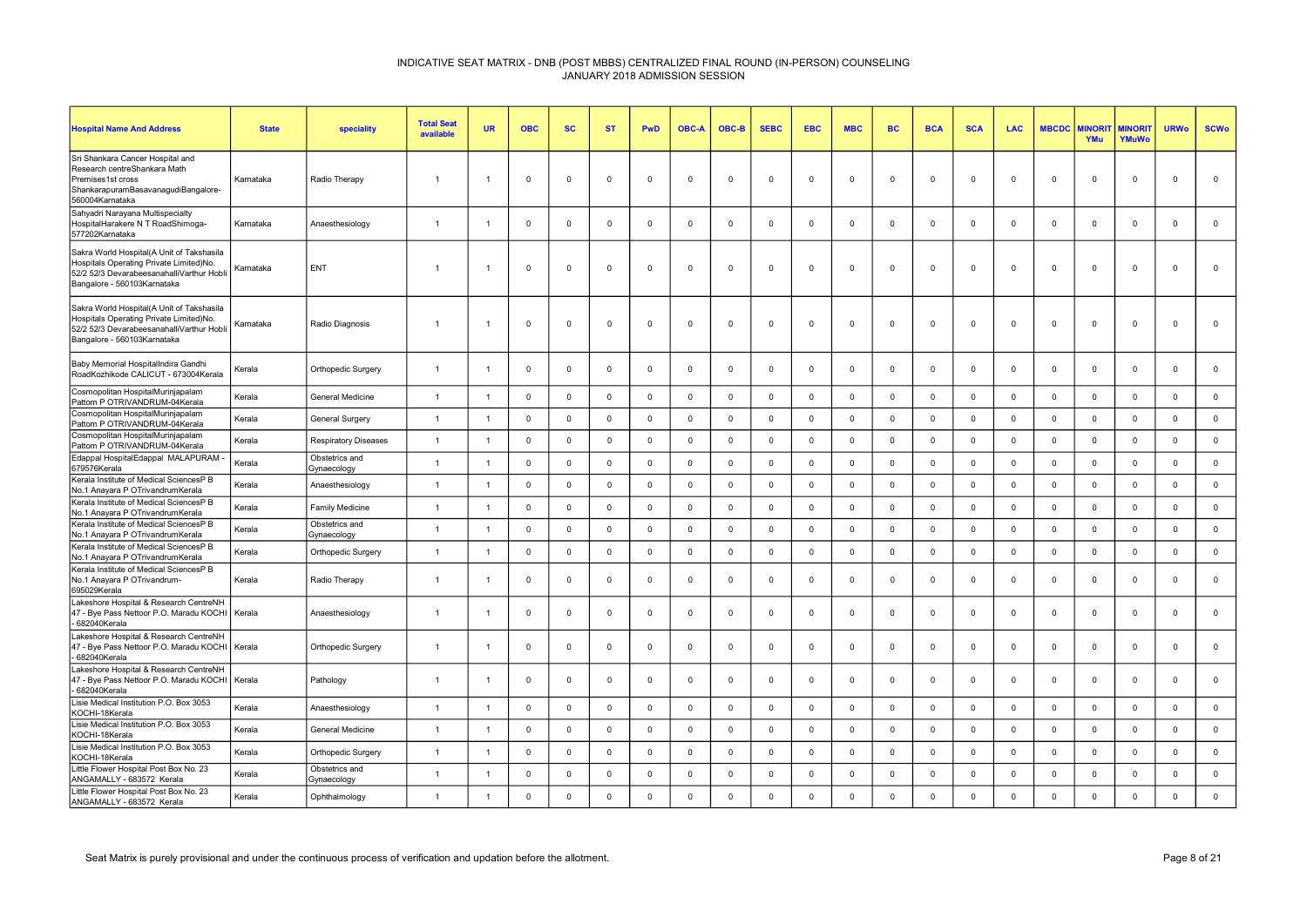| <b>Hospital Name And Address</b>                                                                                                                                 | <b>State</b> | speciality                    | <b>Total Seat</b><br>available | <b>UR</b>      | <b>OBC</b>              | <b>SC</b>   | <b>ST</b>      | <b>PwD</b>     | <b>OBC-A</b> | OBC-B       | <b>SEBC</b>    | <b>EBC</b>  | <b>MBC</b>   | <b>BC</b>   | <b>BCA</b>     | <b>SCA</b>   | <b>LAC</b>   | <b>MBCDC</b> | <b>MINORI</b><br>YMu | <b>MINORIT</b><br>YMuWo | <b>URWo</b>    | <b>SCWo</b> |
|------------------------------------------------------------------------------------------------------------------------------------------------------------------|--------------|-------------------------------|--------------------------------|----------------|-------------------------|-------------|----------------|----------------|--------------|-------------|----------------|-------------|--------------|-------------|----------------|--------------|--------------|--------------|----------------------|-------------------------|----------------|-------------|
| Sri Shankara Cancer Hospital and<br>Research centreShankara Math<br>Premises1st cross<br>ShankarapuramBasavanagudiBangalore-<br>560004Karnataka                  | Karnataka    | Radio Therapy                 | $\overline{1}$                 |                | $\Omega$                | 0           | $\Omega$       | $\Omega$       | $\Omega$     | $^{\circ}$  | $\Omega$       | $\Omega$    | $\mathbf 0$  | $^{\circ}$  | $\Omega$       | $\Omega$     | $^{\circ}$   | $\Omega$     | $\mathbf 0$          | $\mathbf{0}$            | $\overline{0}$ | $\mathbf 0$ |
| Sahyadri Narayana Multispecialty<br>HospitalHarakere N T RoadShimoga-<br>577202Karnataka                                                                         | Karnataka    | Anaesthesiology               | $\overline{1}$                 |                | $\Omega$                | $\mathbf 0$ | $\Omega$       | $\Omega$       | $\Omega$     | $\mathbf 0$ | $\overline{0}$ | $\Omega$    | $\mathbf 0$  | $\mathbf 0$ | $\Omega$       | $\Omega$     | $\mathbf 0$  | $\Omega$     | $\Omega$             | $\mathbf 0$             | $\Omega$       | $\mathsf 0$ |
| Sakra World Hospital(A Unit of Takshasila<br>Hospitals Operating Private Limited)No.<br>52/2 52/3 DevarabeesanahalliVarthur Hobli<br>Bangalore - 560103Karnataka | Karnataka    | ENT                           | $\overline{1}$                 |                | $\mathbf 0$             | $\mathbf 0$ | $\Omega$       | $\mathbf 0$    | $\mathbf 0$  | $\Omega$    | $\mathbf{0}$   | $\mathbf 0$ | $\mathbf 0$  | $\mathbf 0$ | $\overline{0}$ | $\mathbf 0$  | $\Omega$     | $\mathbf 0$  | $\mathbf 0$          | $\mathbf 0$             | $\mathbf 0$    | $\mathbf 0$ |
| Sakra World Hospital(A Unit of Takshasila<br>Hospitals Operating Private Limited)No.<br>52/2 52/3 DevarabeesanahalliVarthur Hobli<br>Bangalore - 560103Karnataka | Karnataka    | Radio Diagnosis               | $\overline{1}$                 |                | $\Omega$                | $\mathbf 0$ | $\Omega$       | $\Omega$       | $\Omega$     | $\Omega$    | $\Omega$       | $\Omega$    | $\mathbf 0$  | $\mathbf 0$ | $\Omega$       | $\Omega$     | $\Omega$     | $\Omega$     | $\mathbf 0$          | $\Omega$                | $\Omega$       | $\mathbf 0$ |
| Baby Memorial HospitalIndira Gandhi<br>RoadKozhikode CALICUT - 673004Kerala                                                                                      | Kerala       | Orthopedic Surgery            | $\overline{1}$                 |                | $\Omega$                | $\mathbf 0$ | $\Omega$       | $\mathbf 0$    | $\Omega$     | $\mathbf 0$ | $\overline{0}$ | $\Omega$    | $\mathbf{0}$ | $\mathbf 0$ | $\mathbf{0}$   | $^{\circ}$   | $\mathbf{0}$ | $\Omega$     | $^{\circ}$           | $\mathbf{0}$            | $\mathbf 0$    | $\mathsf 0$ |
| Cosmopolitan HospitalMurinjapalam<br>Pattom P OTRIVANDRUM-04Kerala                                                                                               | Kerala       | General Medicine              | $\overline{1}$                 | $\overline{1}$ | $\Omega$                | $\mathbf 0$ | $\Omega$       | $\Omega$       | $\Omega$     | $^{\circ}$  | $\mathbf 0$    | $\Omega$    | $\mathbf 0$  | $\mathbf 0$ | $\Omega$       | $\Omega$     | $^{\circ}$   | $\mathbf 0$  | $\Omega$             | $\mathbf 0$             | $\mathbf 0$    | $\mathbf 0$ |
| Cosmopolitan HospitalMurinjapalam<br>Pattom P OTRIVANDRUM-04Kerala                                                                                               | Kerala       | General Surgery               | $\overline{1}$                 |                | $\overline{\mathbf{0}}$ | $\mathbf 0$ | $\Omega$       | $\mathsf 0$    | $^{\circ}$   | $\mathbf 0$ | $\mathbf 0$    | $\mathbf 0$ | $\mathbf 0$  | $\mathbf 0$ | $\mathbf 0$    | $\mathbf 0$  | $\mathbf 0$  | $\mathbf 0$  | $\mathbf 0$          | $\mathbf 0$             | $\mathbf 0$    | $\mathbf 0$ |
| Cosmopolitan HospitalMurinjapalam<br>Pattom P OTRIVANDRUM-04Kerala                                                                                               | Kerala       | <b>Respiratory Diseases</b>   | $\overline{1}$                 | $\overline{1}$ | $\mathbf 0$             | $\mathbf 0$ | $\mathbf 0$    | $\mathbf 0$    | $\mathbf 0$  | $\mathbf 0$ | $\mathbf 0$    | $\Omega$    | $\mathbf 0$  | $\mathbf 0$ | $\mathbf 0$    | $\mathbf 0$  | $\mathbf 0$  | $\mathbf 0$  | $\mathbf 0$          | $\mathsf 0$             | $\mathbf 0$    | $\mathsf 0$ |
| Edappal HospitalEdappal MALAPURAM<br>679576Kerala                                                                                                                | Kerala       | Obstetrics and<br>Gynaecology | $\overline{1}$                 |                | $\Omega$                | $\mathbf 0$ | $\Omega$       | $\mathbf 0$    | $\Omega$     | $\Omega$    | $\mathbf 0$    | $\Omega$    | $\mathbf 0$  | $\mathbf 0$ | $\Omega$       | $\Omega$     | $\mathbf{0}$ | $\mathbf 0$  | $\Omega$             | $\mathbf{0}$            | $\Omega$       | $\mathsf 0$ |
| Kerala Institute of Medical SciencesP B<br>No.1 Anayara P OTrivandrumKerala                                                                                      | Kerala       | Anaesthesiology               | $\overline{1}$                 | $\overline{1}$ | $\overline{\mathbf{0}}$ | $\mathbf 0$ | $\overline{0}$ | $\mathbf 0$    | $\Omega$     | $^{\circ}$  | $\mathsf 0$    | $\Omega$    | $\mathbf 0$  | $\mathbf 0$ | $\mathbf 0$    | $\Omega$     | $\mathbf 0$  | $\mathbf 0$  | $\mathbf{0}$         | $\mathbf 0$             | $\mathbf 0$    | $\mathsf 0$ |
| Kerala Institute of Medical SciencesP B<br>No.1 Anavara P OTrivandrumKerala                                                                                      | Kerala       | <b>Family Medicine</b>        | $\overline{1}$                 | $\overline{1}$ | $\overline{0}$          | $\mathbf 0$ | $\Omega$       | $\overline{0}$ | $\Omega$     | $\mathbf 0$ | $\mathbf 0$    | $\Omega$    | $\mathbf 0$  | $\mathsf 0$ | $\mathbf 0$    | $\Omega$     | $\mathbf 0$  | $\mathbf 0$  | $\mathbf{0}$         | $\mathbf{0}$            | $\mathbf 0$    | $\mathbf 0$ |
| Kerala Institute of Medical SciencesP B<br>No.1 Anayara P OTrivandrumKerala                                                                                      | Kerala       | Obstetrics and<br>Gynaecology | $\overline{1}$                 |                | $\overline{0}$          | $\mathsf 0$ | $\Omega$       | $\mathsf 0$    | $\mathbf 0$  | $\Omega$    | $\mathbf 0$    | $\mathbf 0$ | $\mathbf 0$  | $\mathsf 0$ | $\mathbf 0$    | $\mathbf 0$  | $\mathsf 0$  | $\mathbf 0$  | $\mathbf 0$          | $\mathsf 0$             | $\mathbf 0$    | $\mathbf 0$ |
| Kerala Institute of Medical SciencesP B<br>No.1 Anayara P OTrivandrumKerala                                                                                      | Kerala       | Orthopedic Surgery            | $\overline{1}$                 | $\overline{1}$ | $\overline{0}$          | $\mathbf 0$ | $\mathbf 0$    | $\mathsf 0$    | $^{\circ}$   | $\mathbf 0$ | $\mathbf 0$    | $\mathbf 0$ | $\mathbf 0$  | $\mathbf 0$ | $\mathbf 0$    | $\mathbf 0$  | $\mathbf 0$  | $\mathbf 0$  | $\mathbf 0$          | $\mathsf 0$             | $\mathbf 0$    | $\mathbf 0$ |
| Kerala Institute of Medical SciencesP B<br>No.1 Anayara P OTrivandrum-<br>695029Kerala                                                                           | Kerala       | Radio Therapy                 | $\overline{1}$                 |                | $\overline{0}$          | $\mathbf 0$ | $\mathbf 0$    | $\mathbf 0$    | 0            | $\mathbf 0$ | $\mathbf 0$    | $\mathbf 0$ | $\mathbf 0$  | $\mathbf 0$ | $\mathbf 0$    | $\mathbf 0$  | $\mathbf 0$  | $\mathbf 0$  | $\mathbf 0$          | $\overline{0}$          | $\overline{0}$ | $\mathbf 0$ |
| Lakeshore Hospital & Research CentreNH<br>47 - Bye Pass Nettoor P.O. Maradu KOCHI   Kerala<br>682040Kerala                                                       |              | Anaesthesiology               | $\overline{1}$                 |                | $\Omega$                | $\mathbf 0$ | $\Omega$       | $\Omega$       | $\Omega$     | $\mathbf 0$ | $\Omega$       | $\Omega$    | $^{\circ}$   | $\Omega$    | $\Omega$       | $\Omega$     | $^{\circ}$   | $\Omega$     | $\Omega$             | $\mathbf{0}$            | $\Omega$       | $\mathbf 0$ |
| Lakeshore Hospital & Research CentreNH<br>47 - Bye Pass Nettoor P.O. Maradu KOCHI   Kerala<br>682040Kerala                                                       |              | Orthopedic Surgery            | $\overline{1}$                 |                | $\Omega$                | $\mathbf 0$ | $\Omega$       | $\mathbf 0$    | $\Omega$     | $\mathbf 0$ | $\Omega$       | $\Omega$    | $\mathbf{0}$ | $\mathbf 0$ | $\mathbf 0$    | $\Omega$     | $\mathbf{0}$ | $\Omega$     | $\mathbf{0}$         | $\mathbf 0$             | $\overline{0}$ | $\mathsf 0$ |
| Lakeshore Hospital & Research CentreNH<br>47 - Bye Pass Nettoor P.O. Maradu KOCHI   Kerala<br>- 682040Kerala                                                     |              | Pathology                     | $\overline{1}$                 |                | $\overline{0}$          | 0           | $\Omega$       | $\mathbf 0$    | $\mathbf 0$  | $\mathbf 0$ | 0              | $\mathbf 0$ | $\mathbf 0$  | $\mathbf 0$ | $\overline{0}$ | 0            | $\mathbf 0$  | $\mathbf 0$  | $\mathbf 0$          | $\mathbf 0$             | $\overline{0}$ | $\mathbf 0$ |
| Lisie Medical Institution P.O. Box 3053<br>KOCHI-18Kerala                                                                                                        | Kerala       | Anaesthesiology               | $\overline{1}$                 |                | $\overline{0}$          | $\mathbf 0$ | $\Omega$       | $\mathbf 0$    | $\mathbf 0$  | $\mathbf 0$ | $\mathbf 0$    | $\mathbf 0$ | $\mathbf 0$  | $\mathbf 0$ | $\overline{0}$ | $\mathbf 0$  | $\mathbf 0$  | $\mathbf 0$  | $\mathbf 0$          | $\mathbf 0$             | $\mathbf 0$    | $\mathbf 0$ |
| Lisie Medical Institution P.O. Box 3053<br>KOCHI-18Kerala                                                                                                        | Kerala       | General Medicine              | $\overline{1}$                 | $\overline{1}$ | $\Omega$                | $\mathbf 0$ | $\Omega$       | $\mathsf 0$    | $\mathbf 0$  | $\Omega$    | $\mathsf 0$    | $\Omega$    | $\mathbf 0$  | $\mathbf 0$ | $\mathbf 0$    | $\mathbf 0$  | $\mathbf{0}$ | $\mathbf 0$  | $\mathbf 0$          | $\mathsf 0$             | $\mathbf 0$    | $\mathsf 0$ |
| Lisie Medical Institution P.O. Box 3053<br>KOCHI-18Kerala                                                                                                        | Kerala       | Orthopedic Surgery            | $\overline{1}$                 |                | $\Omega$                | $\mathsf 0$ | $\Omega$       | $\mathbf 0$    | $\Omega$     | $\Omega$    | $\mathbf 0$    | $\Omega$    | $\mathsf 0$  | $\mathbf 0$ | $\mathbf 0$    | $\mathbf{0}$ | $\mathbf 0$  | $\Omega$     | $\mathbf{0}$         | $\mathbf 0$             | $\mathbf 0$    | $\mathsf 0$ |
| Little Flower Hospital Post Box No. 23<br>ANGAMALLY - 683572 Kerala                                                                                              | Kerala       | Obstetrics and<br>Gynaecology | $\overline{1}$                 |                | $\Omega$                | $\mathbf 0$ | $\Omega$       | $\Omega$       | $\Omega$     | $\mathbf 0$ | $\Omega$       | $\Omega$    | $\mathbf 0$  | $\mathbf 0$ | $\Omega$       | $\Omega$     | $\mathbf{0}$ | $\Omega$     | $\mathbf{0}$         | $\mathbf{0}$            | $\Omega$       | $\mathsf 0$ |
| Little Flower Hospital Post Box No. 23<br>ANGAMALLY - 683572 Kerala                                                                                              | Kerala       | Ophthalmology                 | $\overline{1}$                 |                | $\Omega$                | $\mathbf 0$ | $\Omega$       | $\mathbf 0$    | $\Omega$     | $\Omega$    | $\Omega$       | $\Omega$    | $\mathbf 0$  | $\mathbf 0$ | $\Omega$       | $\Omega$     | $\Omega$     | $\Omega$     | $\mathbf 0$          | $\mathbf{0}$            | $\mathbf 0$    | $\mathbf 0$ |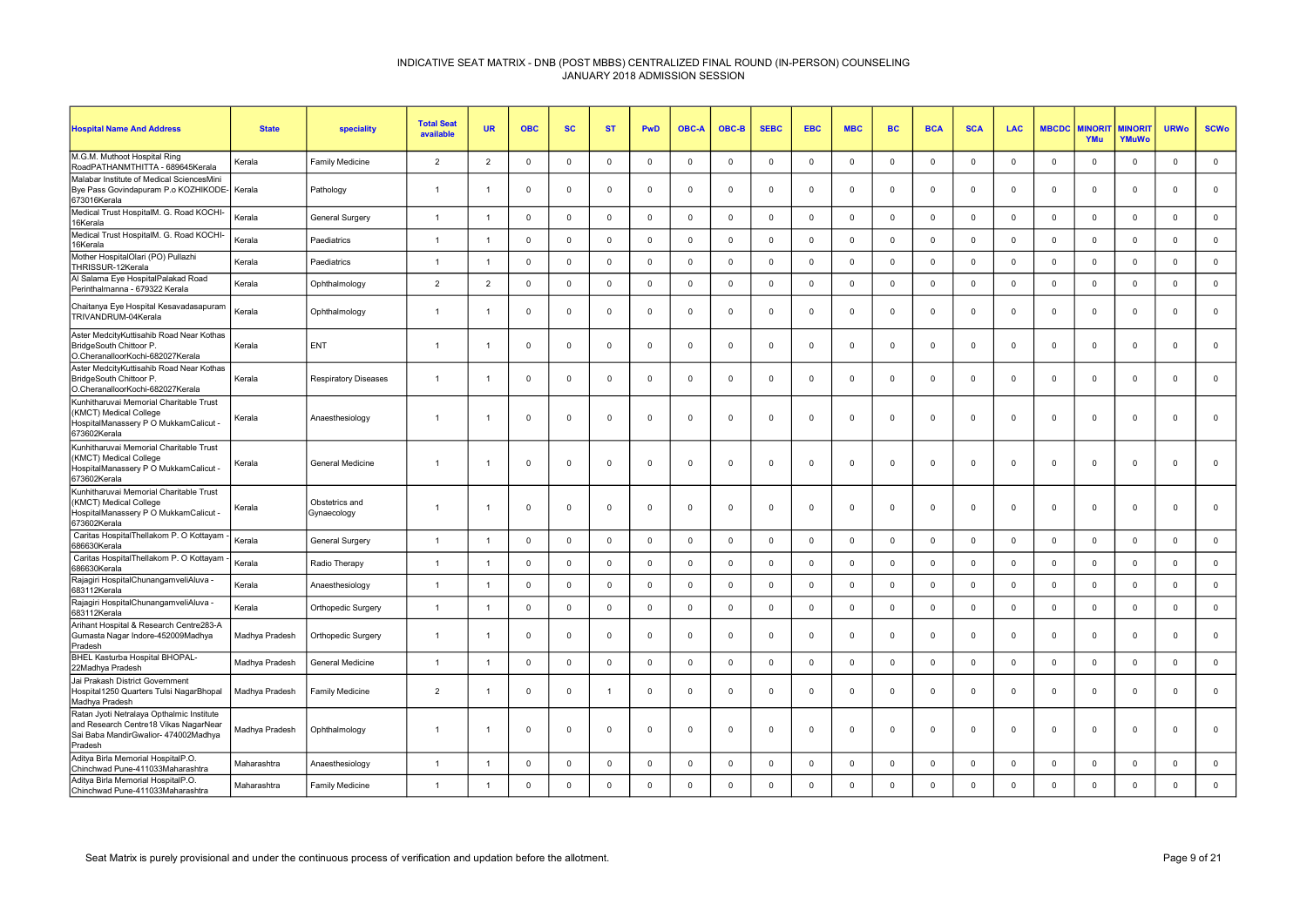| <b>Hospital Name And Address</b>                                                                                                      | <b>State</b>   | speciality                    | <b>Total Seat</b><br>available | <b>UR</b>      | <b>OBC</b>  | <b>SC</b>    | <b>ST</b>   | <b>PwD</b>   | <b>OBC-A</b> | OBC-B        | <b>SEBC</b> | <b>EBC</b>     | <b>MBC</b>          | <b>BC</b>   | <b>BCA</b>     | <b>SCA</b>  | <b>LAC</b>  | <b>MBCDC</b> | <b>MINORI</b><br>YMu | <b>MINORIT</b><br>YMuWo | <b>URWo</b>    | <b>SCWo</b> |
|---------------------------------------------------------------------------------------------------------------------------------------|----------------|-------------------------------|--------------------------------|----------------|-------------|--------------|-------------|--------------|--------------|--------------|-------------|----------------|---------------------|-------------|----------------|-------------|-------------|--------------|----------------------|-------------------------|----------------|-------------|
| M.G.M. Muthoot Hospital Ring<br>RoadPATHANMTHITTA - 689645Kerala                                                                      | Kerala         | Family Medicine               | $\overline{2}$                 | $\overline{2}$ | $\mathbf 0$ | $\mathbf 0$  | $\mathbf 0$ | $\mathbf{0}$ | $\Omega$     | $\mathbf{0}$ | $\mathbf 0$ | $\Omega$       | $\mathbf 0$         | $\mathbf 0$ | $\Omega$       | $\Omega$    | $\mathbf 0$ | $\mathbf 0$  | $\Omega$             | $^{\circ}$              | $\mathsf 0$    | $\mathbf 0$ |
| Malabar Institute of Medical SciencesMini<br>Bye Pass Govindapuram P.o KOZHIKODE-<br>673016Kerala                                     | Kerala         | Pathology                     | $\overline{1}$                 | -1             | $\mathbf 0$ | $\mathbf 0$  | $\mathbf 0$ | $\mathbf 0$  | $\mathbf 0$  | $\mathbf 0$  | $\mathbf 0$ | $\mathbf 0$    | $\mathbf 0$         | $\mathbf 0$ | $\overline{0}$ | $\mathbf 0$ | 0           | $\mathbf 0$  | $\mathbf 0$          | $\mathbf 0$             | $\overline{0}$ | $\mathbf 0$ |
| Medical Trust HospitalM. G. Road KOCHI-<br>16Kerala                                                                                   | Kerala         | <b>General Surgery</b>        | $\overline{1}$                 | $\overline{1}$ | $\Omega$    | $\Omega$     | $^{\circ}$  | $\mathbf 0$  | $\Omega$     | $\mathbf{0}$ | $^{\circ}$  | $\Omega$       | $\mathsf 0$         | $\Omega$    | $\Omega$       | $\Omega$    | $\Omega$    | $\Omega$     | $\Omega$             | $\mathbf{0}$            | $\Omega$       | $\mathbf 0$ |
| Medical Trust HospitalM. G. Road KOCHI-<br>16Kerala                                                                                   | Kerala         | Paediatrics                   | $\overline{1}$                 | $\overline{1}$ | $\mathbf 0$ | $\mathbf 0$  | $\mathbf 0$ | $\mathbf 0$  | $\Omega$     | $\mathbf 0$  | $\mathbf 0$ | $\Omega$       | $\mathbf 0$         | $\mathbf 0$ | $\mathbf 0$    | $\Omega$    | $\mathbf 0$ | $\mathbf 0$  | $\Omega$             | $\mathbf 0$             | $\overline{0}$ | $\mathbf 0$ |
| Mother HospitalOlari (PO) Pullazhi<br>THRISSUR-12Kerala                                                                               | Kerala         | Paediatrics                   | $\overline{1}$                 | $\overline{1}$ | $\mathbf 0$ | $\mathbf{0}$ | $^{\circ}$  | $\mathbf 0$  | $\Omega$     | $\mathbf 0$  | $^{\circ}$  | $\Omega$       | $\mathsf{O}\xspace$ | $\mathbf 0$ | $\mathbf 0$    | $\Omega$    | $\mathbf 0$ | $\Omega$     | $\mathbf{0}$         | $\mathbf{0}$            | $\mathbf 0$    | $\mathbf 0$ |
| Al Salama Eye HospitalPalakad Road<br>Perinthalmanna - 679322 Kerala                                                                  | Kerala         | Ophthalmology                 | $\overline{2}$                 | $\overline{2}$ | $\mathbf 0$ | $\mathbf 0$  | $\mathbf 0$ | $\mathsf 0$  | $\mathbf 0$  | $\mathbf 0$  | $\mathbf 0$ | $\overline{0}$ | $\mathbf 0$         | $\mathbf 0$ | $\mathbf 0$    | $\mathbf 0$ | $\mathbf 0$ | $\mathbf 0$  | $\mathbf 0$          | $\mathbf 0$             | $\mathbf 0$    | $\mathsf 0$ |
| Chaitanya Eye Hospital Kesavadasapuram<br>TRIVANDRUM-04Kerala                                                                         | Kerala         | Ophthalmology                 | $\overline{1}$                 | -1             | $\mathbf 0$ | $\mathbf 0$  | $\mathbf 0$ | $\mathbf 0$  | $\Omega$     | $\mathbf 0$  | $^{\circ}$  | $\Omega$       | $\mathbf 0$         | $\Omega$    | $\overline{0}$ | $\Omega$    | $\Omega$    | $\Omega$     | $\mathbf 0$          | $\mathbf{0}$            | $\Omega$       | $\mathbf 0$ |
| Aster MedcityKuttisahib Road Near Kothas<br>BridgeSouth Chittoor P.<br>O.CheranalloorKochi-682027Kerala                               | Kerala         | ENT                           | $\overline{1}$                 | $\overline{1}$ | $\mathbf 0$ | $\mathbf 0$  | $\mathbf 0$ | $\mathbf 0$  | $\Omega$     | $\mathbf 0$  | $^{\circ}$  | $\Omega$       | 0                   | $\mathbf 0$ | $\mathbf 0$    | $\Omega$    | $^{\circ}$  | $\Omega$     | $\Omega$             | $\mathbf 0$             | $\Omega$       | $\mathbf 0$ |
| Aster MedcityKuttisahib Road Near Kothas<br>BridgeSouth Chittoor P.<br>O.CheranalloorKochi-682027Kerala                               | Kerala         | <b>Respiratory Diseases</b>   | $\overline{1}$                 | -1             | $\mathbf 0$ | $\mathbf 0$  | $\mathbf 0$ | $\mathbf 0$  | $\mathbf 0$  | $\mathbf 0$  | $\mathbf 0$ | $\mathbf 0$    | $\mathbf 0$         | $\mathbf 0$ | $\overline{0}$ | $\mathbf 0$ | $\mathbf 0$ | $\mathbf 0$  | $\mathbf 0$          | $\mathbf 0$             | $\overline{0}$ | $\mathbf 0$ |
| Kunhitharuvai Memorial Charitable Trust<br>(KMCT) Medical College<br>HospitalManassery P O MukkamCalicut -<br>673602Kerala            | Kerala         | Anaesthesiology               | $\overline{1}$                 | $\overline{1}$ | $\mathbf 0$ | $\mathbf 0$  | $\mathbf 0$ | $\mathbf 0$  | $\mathbf 0$  | $\mathbf 0$  | $^{\circ}$  | $\Omega$       | $\mathbf 0$         | $\mathbf 0$ | $\mathbf 0$    | $\mathbf 0$ | $\mathbf 0$ | $\Omega$     | $\mathbf 0$          | $\mathbf 0$             | $\overline{0}$ | $\mathbf 0$ |
| Kunhitharuvai Memorial Charitable Trust<br>(KMCT) Medical College<br>HospitalManassery P O MukkamCalicut -<br>673602Kerala            | Kerala         | General Medicine              | $\overline{1}$                 | -1             | $\mathbf 0$ | $\Omega$     | $\mathbf 0$ | $\mathbf 0$  | $\Omega$     | $\mathbf{0}$ | $\Omega$    | $\Omega$       | $\mathbf 0$         | $^{\circ}$  | $\mathbf 0$    | $\Omega$    | $\Omega$    | $\Omega$     | $\Omega$             | $\mathbf{0}$            | $\Omega$       | $\mathbf 0$ |
| Kunhitharuvai Memorial Charitable Trust<br>(KMCT) Medical College<br>HospitalManassery P O MukkamCalicut -<br>673602Kerala            | Kerala         | Obstetrics and<br>Gynaecology | $\overline{1}$                 | -1             | $\mathsf 0$ | $\Omega$     | $\mathbf 0$ | $\mathsf 0$  | $\Omega$     | $\mathsf 0$  | $^{\circ}$  | $\overline{0}$ | $\mathsf 0$         | $\mathbf 0$ | $\overline{0}$ | $\Omega$    | $\mathbf 0$ | $\Omega$     | $\mathbf 0$          | $\mathsf 0$             | $\mathbf 0$    | $\mathsf 0$ |
| Caritas HospitalThellakom P. O Kottayam<br>686630Kerala                                                                               | Kerala         | General Surgery               | $\overline{1}$                 | $\overline{1}$ | $\mathbf 0$ | $\mathbf 0$  | $\mathbf 0$ | $\mathbf 0$  | $\mathbf 0$  | $\mathbf 0$  | $\mathbf 0$ | $\mathbf 0$    | 0                   | $\Omega$    | $\overline{0}$ | $\mathbf 0$ | $\Omega$    | $\mathbf 0$  | $\mathbf 0$          | $\mathbf 0$             | $\overline{0}$ | $\mathbf 0$ |
| Caritas HospitalThellakom P. O Kottayam<br>686630Kerala                                                                               | Kerala         | Radio Therapy                 | $\overline{1}$                 | $\overline{1}$ | $\mathsf 0$ | $\mathbf 0$  | $\mathsf 0$ | $\mathbf 0$  | $\Omega$     | $\mathsf 0$  | $\mathsf 0$ | $\Omega$       | $\mathsf{O}\xspace$ | $\mathsf 0$ | $\mathsf 0$    | $\mathbf 0$ | $\mathbf 0$ | $\Omega$     | $\mathbf 0$          | $\mathsf 0$             | $\mathbf 0$    | $\mathbf 0$ |
| Rajagiri HospitalChunangamveliAluva -<br>683112Kerala                                                                                 | Kerala         | Anaesthesiology               | $\overline{1}$                 | $\overline{1}$ | $\mathbf 0$ | $\mathbf 0$  | $\mathbf 0$ | $\mathbf 0$  | $\mathbf 0$  | $\mathbf{0}$ | $\mathbf 0$ | $\Omega$       | $\mathbf 0$         | $\mathbf 0$ | $\overline{0}$ | $\mathbf 0$ | $\mathbf 0$ | $\mathbf 0$  | $\Omega$             | $\mathbf 0$             | $\mathbf 0$    | $\mathbf 0$ |
| Rajagiri HospitalChunangamveliAluva -<br>683112Kerala                                                                                 | Kerala         | Orthopedic Surgery            | $\overline{1}$                 | $\overline{1}$ | $\mathbf 0$ | $\Omega$     | $^{\circ}$  | $\mathbf 0$  | $\Omega$     | $\mathbf{0}$ | $^{\circ}$  | $\Omega$       | $\mathbf 0$         | $\Omega$    | $\mathbf 0$    | $\Omega$    | $\Omega$    | $\Omega$     | $\Omega$             | $\mathbf{0}$            | $\Omega$       | $\mathbf 0$ |
| Arihant Hospital & Research Centre283-A<br>Gumasta Nagar Indore-452009Madhya<br>Pradesh                                               | Madhya Pradesh | Orthopedic Surgery            | $\overline{1}$                 | $\overline{1}$ | $\mathbf 0$ | $\Omega$     | $\mathbf 0$ | $\mathbf 0$  | $\Omega$     | $\mathbf 0$  | $^{\circ}$  | $\Omega$       | $\mathbf 0$         | $^{\circ}$  | $\mathbf 0$    | $\mathbf 0$ | $^{\circ}$  | $\Omega$     | $\Omega$             | $\mathbf 0$             | $\Omega$       | $\mathbf 0$ |
| BHEL Kasturba Hospital BHOPAL-<br>22Madhya Pradesh                                                                                    | Madhya Pradesh | <b>General Medicine</b>       | $\overline{1}$                 | $\overline{1}$ | $\mathbf 0$ | $\mathbf{0}$ | $^{\circ}$  | $\mathbf 0$  | $\Omega$     | $\mathbf{0}$ | $^{\circ}$  | $\Omega$       | $\mathbf 0$         | $\mathbf 0$ | $\Omega$       | $\Omega$    | $\mathbf 0$ | $\mathbf 0$  | $\Omega$             | $\mathbf{0}$            | $\Omega$       | $\mathbf 0$ |
| Jai Prakash District Government<br>Hospital1250 Quarters Tulsi NagarBhopal<br>Madhya Pradesh                                          | Madhya Pradesh | Family Medicine               | $\overline{2}$                 | -1             | $\mathbf 0$ | 0            | -1          | $\mathbf 0$  | $\Omega$     | $\mathbf 0$  | $^{\circ}$  | $\Omega$       | $\mathbf 0$         | $\Omega$    | $\mathbf 0$    | $\Omega$    | $^{\circ}$  | $\Omega$     | $\Omega$             | $\Omega$                | $\Omega$       | $\mathbf 0$ |
| Ratan Jyoti Netralaya Opthalmic Institute<br>and Research Centre18 Vikas NagarNear<br>Sai Baba MandirGwalior- 474002Madhya<br>Pradesh | Madhya Pradesh | Ophthalmology                 | $\overline{1}$                 | $\overline{1}$ | $\mathbf 0$ | 0            | $\mathbf 0$ | $\mathsf 0$  | $\mathbf 0$  | $\mathbf 0$  | $\mathbf 0$ | $\overline{0}$ | $\mathbf 0$         | $\mathbf 0$ | $\mathbf 0$    | $\mathbf 0$ | $\mathbf 0$ | $\mathbf 0$  | $\mathbf 0$          | $\mathbf 0$             | $\mathbf 0$    | $\mathbf 0$ |
| Aditya Birla Memorial HospitalP.O.<br>Chinchwad Pune-411033Maharashtra                                                                | Maharashtra    | Anaesthesiology               | $\overline{1}$                 | $\overline{1}$ | $\mathbf 0$ | $\mathbf 0$  | $^{\circ}$  | $\mathsf 0$  | $\Omega$     | $\mathbf{0}$ | $\mathbf 0$ | $\Omega$       | $\mathbf 0$         | $\Omega$    | $\mathbf 0$    | $\Omega$    | $^{\circ}$  | $\mathbf 0$  | $\mathbf 0$          | $\mathbf 0$             | $\Omega$       | $\mathbf 0$ |
| Aditya Birla Memorial HospitalP.O.<br>Chinchwad Pune-411033Maharashtra                                                                | Maharashtra    | <b>Family Medicine</b>        | $\overline{1}$                 | -1             | $\mathbf 0$ | $\mathbf 0$  | $\mathbf 0$ | $\mathbf 0$  | $\mathbf 0$  | $\mathbf 0$  | $\mathbf 0$ | $\mathbf 0$    | $\mathbf 0$         | $\mathbf 0$ | $\mathbf 0$    | $\mathbf 0$ | $\Omega$    | $\mathbf 0$  | $\mathbf 0$          | $\mathbf 0$             | $\mathbf 0$    | $\mathsf 0$ |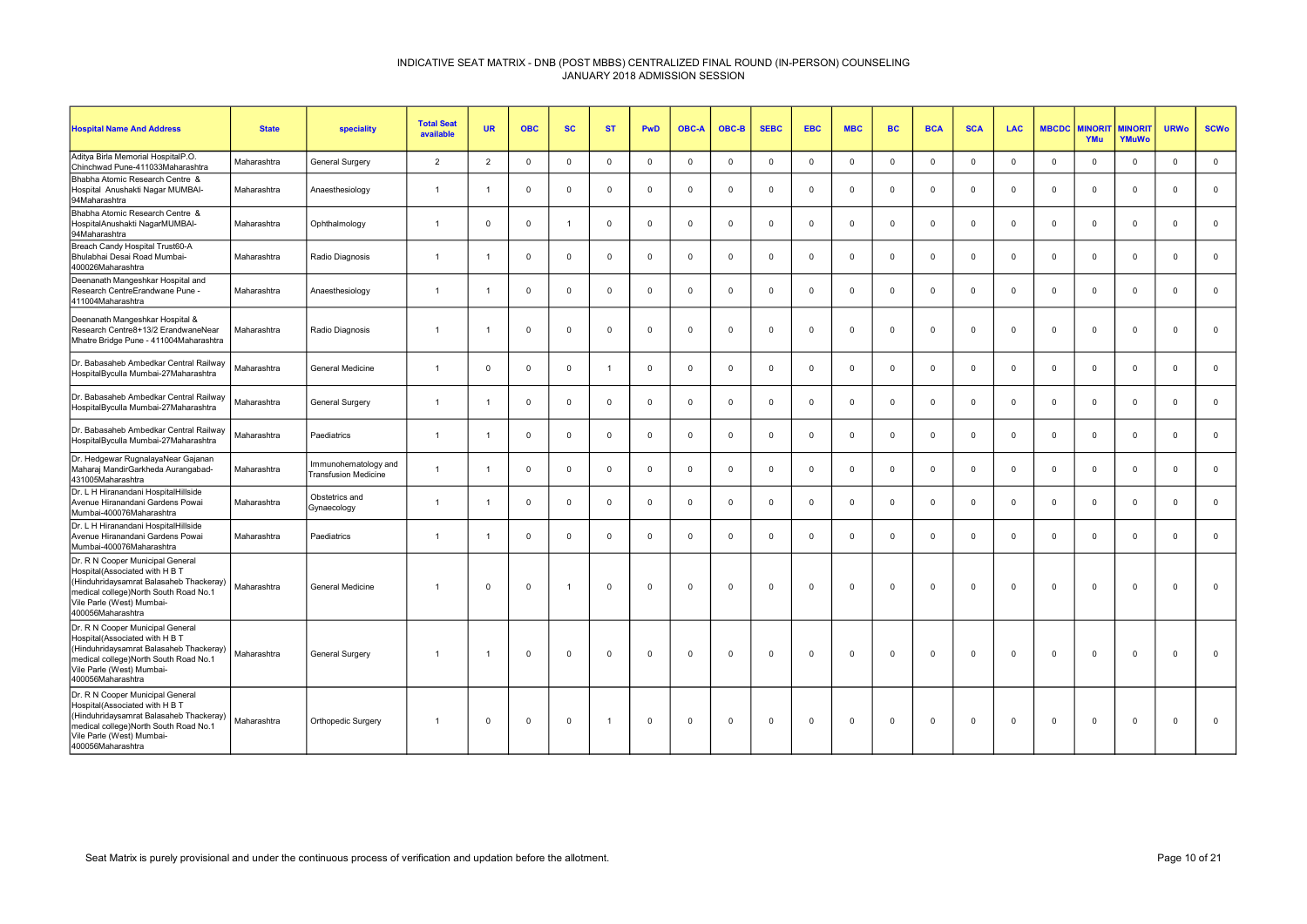| <b>Hospital Name And Address</b>                                                                                                                                                                          | <b>State</b> | speciality                                          | <b>Total Seat</b><br>available | <b>UR</b>      | <b>OBC</b>     | <b>SC</b>      | <b>ST</b>    | <b>PwD</b>     | <b>OBC-A</b> | OBC-B       | <b>SEBC</b> | <b>EBC</b>  | <b>MBC</b>   | <b>BC</b>   | <b>BCA</b>  | <b>SCA</b>  | <b>LAC</b>   | <b>MBCDC</b> | <b>MINORI</b><br>YMu | <b>MINORIT</b><br>YMuWo | <b>URWo</b>    | <b>SCWo</b>         |
|-----------------------------------------------------------------------------------------------------------------------------------------------------------------------------------------------------------|--------------|-----------------------------------------------------|--------------------------------|----------------|----------------|----------------|--------------|----------------|--------------|-------------|-------------|-------------|--------------|-------------|-------------|-------------|--------------|--------------|----------------------|-------------------------|----------------|---------------------|
| Aditya Birla Memorial HospitalP.O.<br>Chinchwad Pune-411033Maharashtra                                                                                                                                    | Maharashtra  | General Surgery                                     | $\overline{2}$                 | $\overline{2}$ | $\Omega$       | $\mathbf{0}$   | $\Omega$     | $\mathbf 0$    | $\Omega$     | $\Omega$    | $\Omega$    | $\Omega$    | $\mathbf 0$  | $\Omega$    | $\Omega$    | $\Omega$    | $\mathbf 0$  | $\Omega$     | $\mathbf 0$          | $\mathbf{0}$            | $\Omega$       | $\mathsf{O}\xspace$ |
| Bhabha Atomic Research Centre &<br>Hospital Anushakti Nagar MUMBAI-<br>94Maharashtra                                                                                                                      | Maharashtra  | Anaesthesiology                                     | $\overline{1}$                 |                | $\overline{0}$ | $\mathbf 0$    | $\mathbf{0}$ | $\mathbf 0$    | $\Omega$     | $^{\circ}$  | $\mathbf 0$ | $\Omega$    | $\mathbf 0$  | $\mathbf 0$ | $\mathbf 0$ | $^{\circ}$  | $\mathbf{0}$ | $\mathbf 0$  | $\mathbf 0$          | $\mathbf 0$             | $^{\circ}$     | $\mathbf 0$         |
| Bhabha Atomic Research Centre &<br>HospitalAnushakti NagarMUMBAI-<br>94Maharashtra                                                                                                                        | Maharashtra  | Ophthalmology                                       | $\overline{1}$                 | $\mathbf{0}$   | $\Omega$       | $\overline{1}$ | $\Omega$     | $\Omega$       | $\Omega$     | $\mathbf 0$ | $\mathbf 0$ | $\Omega$    | $\mathbf 0$  | $\mathbf 0$ | $\Omega$    | $\mathbf 0$ | $\mathbf 0$  | $\Omega$     | $\mathbf 0$          | $\mathbf 0$             | $\Omega$       | $\mathsf 0$         |
| Breach Candy Hospital Trust60-A<br>Bhulabhai Desai Road Mumbai-<br>400026Maharashtra                                                                                                                      | Maharashtra  | Radio Diagnosis                                     | $\overline{1}$                 |                | $\mathbf 0$    | $\mathbf 0$    | $\Omega$     | $\Omega$       | $\Omega$     | $\mathbf 0$ | $\Omega$    | $\Omega$    | $\mathbf 0$  | $\mathbf 0$ | $\Omega$    | $\Omega$    | $\mathbf 0$  | $\Omega$     | $\mathbf 0$          | $\mathbf 0$             | $\Omega$       | $\mathbf 0$         |
| Deenanath Mangeshkar Hospital and<br>Research CentreErandwane Pune -<br>411004Maharashtra                                                                                                                 | Maharashtra  | Anaesthesiology                                     | $\overline{1}$                 |                | $\overline{0}$ | $\mathbf{0}$   | $\Omega$     | $\mathbf 0$    | $\Omega$     | $\mathbf 0$ | $\Omega$    | $\Omega$    | $\mathbf 0$  | $\mathbf 0$ | $\Omega$    | $^{\circ}$  | $\mathbf{0}$ | $\Omega$     | $\mathbf{0}$         | $\mathbf 0$             | $\Omega$       | $\mathbf 0$         |
| Deenanath Mangeshkar Hospital &<br>Research Centre8+13/2 ErandwaneNear<br>Mhatre Bridge Pune - 411004Maharashtra                                                                                          | Maharashtra  | Radio Diagnosis                                     | $\overline{1}$                 |                | $\mathbf 0$    | $\mathbf 0$    | $\Omega$     | $\mathsf 0$    | $^{\circ}$   | $\mathbf 0$ | $\mathbf 0$ | $\mathbf 0$ | $\mathsf 0$  | $\mathbf 0$ | $\Omega$    | $\mathbf 0$ | $\mathbf 0$  | $\Omega$     | $\mathbf 0$          | $\mathsf 0$             | $\overline{0}$ | $\mathbf 0$         |
| Dr. Babasaheb Ambedkar Central Railway<br>HospitalByculla Mumbai-27Maharashtra                                                                                                                            | Maharashtra  | General Medicine                                    |                                | $\Omega$       | $\overline{0}$ | $\mathbf{0}$   |              | $\mathbf 0$    | $\Omega$     | $\mathbf 0$ | $\Omega$    | $\Omega$    | $\mathbf 0$  | $\mathbf 0$ | $\Omega$    | $^{\circ}$  | $\mathbf 0$  | $\Omega$     | $\mathbf{0}$         | $\mathbf 0$             | $\Omega$       | $\mathbf 0$         |
| Dr. Babasaheb Ambedkar Central Railway<br>HospitalByculla Mumbai-27Maharashtra                                                                                                                            | Maharashtra  | General Surgery                                     | $\overline{1}$                 |                | $\mathbf 0$    | $\mathbf 0$    | $\Omega$     | $\mathbf 0$    | $\Omega$     | $\mathbf 0$ | $\mathbf 0$ | $\mathbf 0$ | $\mathbf 0$  | $\mathbf 0$ | $\Omega$    | $^{\circ}$  | $\mathbf 0$  | $\Omega$     | $\mathbf 0$          | $\mathbf 0$             | $\Omega$       | $\mathbf 0$         |
| Dr. Babasaheb Ambedkar Central Railway<br>HospitalByculla Mumbai-27Maharashtra                                                                                                                            | Maharashtra  | Paediatrics                                         | $\overline{1}$                 |                | $\Omega$       | $\mathbf{0}$   | $\mathbf 0$  | $\mathbf 0$    | $\Omega$     | $\mathbf 0$ | $\mathbf 0$ | $\Omega$    | $\mathbf 0$  | $\mathbf 0$ | $\Omega$    | $\mathbf 0$ | $\mathbf 0$  | $\mathbf 0$  | $\mathbf{0}$         | $\mathbf 0$             | $\Omega$       | $\mathbf 0$         |
| Dr. Hedgewar RugnalayaNear Gajanan<br>Maharaj MandirGarkheda Aurangabad-<br>431005Maharashtra                                                                                                             | Maharashtra  | Immunohematology and<br><b>Transfusion Medicine</b> | $\overline{1}$                 |                | $\Omega$       | $\mathbf 0$    | $\Omega$     | $\mathsf 0$    | $\Omega$     | $\mathbf 0$ | $\mathbf 0$ | $\mathbf 0$ | $\mathbf 0$  | $\mathbf 0$ | $\mathbf 0$ | $\mathbf 0$ | $\mathbf 0$  | $\Omega$     | $\mathbf 0$          | $\mathbf 0$             | $\overline{0}$ | $\mathbf 0$         |
| Dr. L H Hiranandani HospitalHillside<br>Avenue Hiranandani Gardens Powai<br>Mumbai-400076Maharashtra                                                                                                      | Maharashtra  | Obstetrics and<br>Gynaecology                       | $\overline{1}$                 |                | $\Omega$       | $\mathbf{0}$   | $\Omega$     | $\overline{0}$ | $\Omega$     | $\Omega$    | $\Omega$    | $\Omega$    | $\mathbf{0}$ | $\Omega$    | $\Omega$    | $\mathbf 0$ | $\mathbf 0$  | $\Omega$     | $\mathbf{0}$         | $\mathbf 0$             | $\Omega$       | $\mathbf 0$         |
| Dr. L H Hiranandani HospitalHillside<br>Avenue Hiranandani Gardens Powai<br>Mumbai-400076Maharashtra                                                                                                      | Maharashtra  | Paediatrics                                         | $\overline{1}$                 |                | $\overline{0}$ | $\mathbf 0$    | $\Omega$     | $\overline{0}$ | $\mathbf 0$  | $\mathbf 0$ | $\mathbf 0$ | $\mathbf 0$ | $\mathbf 0$  | $\mathbf 0$ | $\mathbf 0$ | $\Omega$    | $\mathbf 0$  | $\mathbf{0}$ | $\mathbf 0$          | $\mathbf 0$             | $\overline{0}$ | $\mathbf 0$         |
| Dr. R N Cooper Municipal General<br>Hospital(Associated with H B T<br>(Hinduhridaysamrat Balasaheb Thackeray)<br>medical college)North South Road No.1<br>Vile Parle (West) Mumbai-<br>400056Maharashtra  | Maharashtra  | General Medicine                                    | $\overline{1}$                 | $\Omega$       | $\mathbf 0$    |                | $\Omega$     | $\mathbf 0$    | $\Omega$     | $\Omega$    | $\Omega$    | $\mathbf 0$ | $\mathbf 0$  | $\mathbf 0$ | $\Omega$    | $\Omega$    | $\mathbf 0$  | $\Omega$     | $\mathbf{0}$         | $\mathbf 0$             | $\Omega$       | $\mathbf 0$         |
| Dr. R N Cooper Municipal General<br>Hospital(Associated with H B T<br>(Hinduhridaysamrat Balasaheb Thackeray)<br>medical college)North South Road No.1<br>Vile Parle (West) Mumbai-<br>400056Maharashtra  | Maharashtra  | General Surgery                                     |                                |                | $\Omega$       | $\mathbf 0$    | $\Omega$     | $\Omega$       | $\Omega$     | $\Omega$    | $\Omega$    | $\Omega$    | $\mathbf 0$  | $\mathbf 0$ | $\Omega$    | $\Omega$    | $\mathbf 0$  | $\Omega$     | $\Omega$             | $\mathbf 0$             | $\Omega$       | $\mathbf 0$         |
| Dr. R N Cooper Municipal General<br>Hospital(Associated with H B T<br>(Hinduhridaysamrat Balasaheb Thackeray)<br>medical college) North South Road No.1<br>Vile Parle (West) Mumbai-<br>400056Maharashtra | Maharashtra  | Orthopedic Surgery                                  | $\overline{1}$                 | $\Omega$       | $\overline{0}$ | $\mathbf{0}$   |              | $\Omega$       | $\Omega$     | $\Omega$    | $\Omega$    | $\Omega$    | $\Omega$     | $\Omega$    | $\Omega$    | $\Omega$    | $\Omega$     | $\Omega$     | $\Omega$             | $\Omega$                | $\Omega$       | $\Omega$            |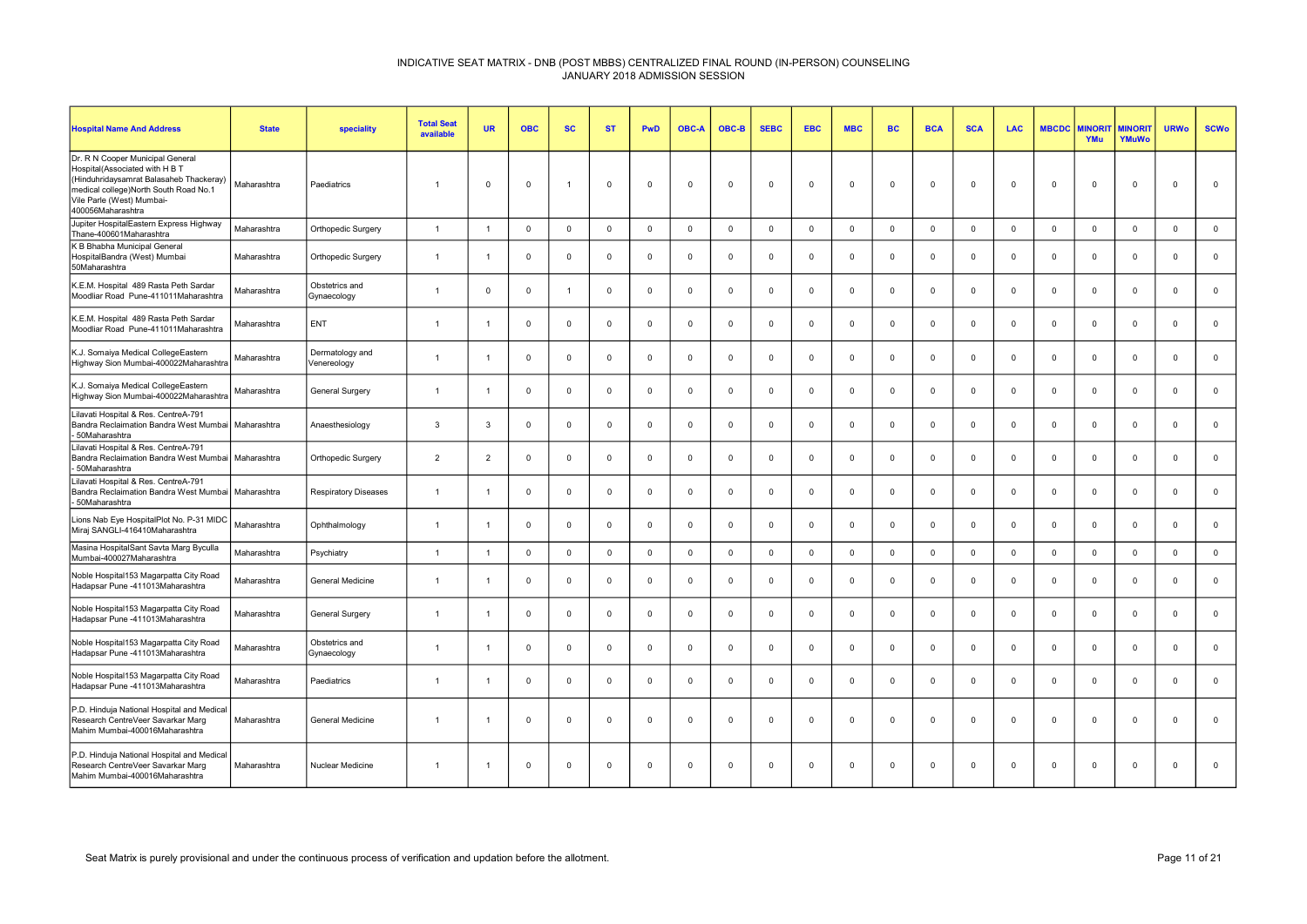| <b>Hospital Name And Address</b>                                                                                                                                                                         | <b>State</b> | speciality                     | <b>Total Seat</b><br>available | <b>UR</b>      | <b>OBC</b>     | <b>SC</b>    | <b>ST</b>   | <b>PwD</b>     | <b>OBC-A</b> | OBC-B       | <b>SEBC</b>  | <b>EBC</b>     | <b>MBC</b>   | <b>BC</b>   | <b>BCA</b>     | <b>SCA</b>  | <b>LAC</b>   | <b>MBCDC</b>   | <b>INORI</b><br>YMu | <b>MINORI</b><br>YMuWo | <b>URWo</b>    | <b>SCWo</b> |
|----------------------------------------------------------------------------------------------------------------------------------------------------------------------------------------------------------|--------------|--------------------------------|--------------------------------|----------------|----------------|--------------|-------------|----------------|--------------|-------------|--------------|----------------|--------------|-------------|----------------|-------------|--------------|----------------|---------------------|------------------------|----------------|-------------|
| Dr. R N Cooper Municipal General<br>Hospital(Associated with H B T<br>(Hinduhridaysamrat Balasaheb Thackeray)<br>medical college)North South Road No.1<br>Vile Parle (West) Mumbai-<br>400056Maharashtra | Maharashtra  | Paediatrics                    | $\overline{1}$                 | $\Omega$       | $\mathbf 0$    | $\mathbf{1}$ | $\mathbf 0$ | $\mathbf 0$    | $^{\circ}$   | $\mathbf 0$ | $\mathbf 0$  | $\mathbf 0$    | $\mathbf 0$  | $\mathbf 0$ | $\mathbf 0$    | $\mathbf 0$ | $\mathbf{0}$ | $\mathbf 0$    | $\mathbf 0$         | $\mathbf 0$            | $\overline{0}$ | $\mathbf 0$ |
| Jupiter HospitalEastern Express Highway<br>Thane-400601Maharashtra                                                                                                                                       | Maharashtra  | Orthopedic Surgery             | $\overline{1}$                 | $\overline{1}$ | $\mathbf 0$    | $\mathbf 0$  | $\mathbf 0$ | $\mathbb O$    | $\mathbf 0$  | $\mathbf 0$ | $\mathbf 0$  | $\mathbf 0$    | $\mathbf 0$  | $\mathbf 0$ | $\mathbf 0$    | $\mathbf 0$ | $\mathbf 0$  | $\mathbf 0$    | $\mathbf 0$         | $\mathsf 0$            | $\mathsf 0$    | $\mathbf 0$ |
| K B Bhabha Municipal General<br>HospitalBandra (West) Mumbai<br>50Maharashtra                                                                                                                            | Maharashtra  | Orthopedic Surgery             | $\overline{1}$                 | -1             | $\Omega$       | $\mathbf 0$  | $^{\circ}$  | $\mathbf 0$    | $\Omega$     | $\mathbf 0$ | $\mathbf 0$  | $\Omega$       | $\mathbf 0$  | $\mathbf 0$ | $\overline{0}$ | $\Omega$    | $\mathbf{0}$ | $\Omega$       | $\mathbf 0$         | $\mathbf{0}$           | $\Omega$       | $\mathbf 0$ |
| K.E.M. Hospital 489 Rasta Peth Sardar<br>Moodliar Road Pune-411011Maharashtra                                                                                                                            | Maharashtra  | Obstetrics and<br>Gynaecology  | $\overline{1}$                 | $\Omega$       | $\mathbf 0$    | $\mathbf{1}$ | $\mathbf 0$ | $\mathbf 0$    | $^{\circ}$   | $\mathbf 0$ | $\mathbf 0$  | $\mathbf 0$    | $\mathbf 0$  | $\mathbf 0$ | $\mathbf 0$    | $\mathbf 0$ | $\mathbf 0$  | $\mathbf 0$    | $\mathbf 0$         | $\mathbf 0$            | $\mathbf 0$    | $\mathbf 0$ |
| K.E.M. Hospital 489 Rasta Peth Sardar<br>Moodliar Road Pune-411011Maharashtra                                                                                                                            | Maharashtra  | ENT                            | $\overline{1}$                 | -1             | $\Omega$       | $\mathbf{0}$ | $\mathbf 0$ | $\mathbf 0$    | $\Omega$     | $\mathbf 0$ | $\mathbf 0$  | $\Omega$       | $\mathbf 0$  | $\mathbf 0$ | $\mathbf 0$    | $\Omega$    | $\mathbf{0}$ | $\Omega$       | $\Omega$            | $\mathbf 0$            | $\Omega$       | $\mathbf 0$ |
| K.J. Somaiya Medical CollegeEastern<br>Highway Sion Mumbai-400022Maharashtra                                                                                                                             | Maharashtra  | Dermatology and<br>Venereology | $\overline{1}$                 | $\overline{1}$ | $\Omega$       | $\mathbf 0$  | $\mathbf 0$ | $\mathbf 0$    | $^{\circ}$   | $\mathbf 0$ | $\mathbf 0$  | $\mathbf 0$    | $\mathbf 0$  | $\mathbf 0$ | $\mathbf 0$    | $\Omega$    | $\mathbf{0}$ | $\mathbf 0$    | $\mathbf 0$         | $\mathbf 0$            | $\mathbf 0$    | $\mathbf 0$ |
| K.J. Somaiya Medical CollegeEastern<br>Highway Sion Mumbai-400022Maharashtra                                                                                                                             | Maharashtra  | <b>General Surgery</b>         | $\overline{1}$                 |                | $\Omega$       | $\mathbf{0}$ | $\mathbf 0$ | $\mathbf 0$    | $\Omega$     | $\mathbf 0$ | $\mathbf 0$  | $\Omega$       | $^{\circ}$   | $\mathbf 0$ | $\Omega$       | $\Omega$    | $\mathbf{0}$ | $\Omega$       | $\Omega$            | $\mathbf{0}$           | $\Omega$       | $\mathbf 0$ |
| Lilavati Hospital & Res. CentreA-791<br>Bandra Reclaimation Bandra West Mumbai   Maharashtra<br>50Maharashtra                                                                                            |              | Anaesthesiology                | $\mathbf{3}$                   | 3              | $\Omega$       | $\mathbf{0}$ | $^{\circ}$  | $\mathbf 0$    | $\Omega$     | $\mathbf 0$ | $\mathbf 0$  | $\Omega$       | $\mathbf{0}$ | $\mathbf 0$ | $\Omega$       | $\Omega$    | $^{\circ}$   | $\Omega$       | $\Omega$            | $\mathbf{0}$           | $\Omega$       | $\mathbf 0$ |
| Lilavati Hospital & Res. CentreA-791<br>Bandra Reclaimation Bandra West Mumbai<br>50Maharashtra                                                                                                          | Maharashtra  | Orthopedic Surgery             | $\overline{2}$                 | $\overline{2}$ | $\mathbf 0$    | $\mathbf 0$  | $\mathbf 0$ | $\mathsf 0$    | $\mathbf 0$  | $\mathbf 0$ | $\mathbf 0$  | $\mathbf 0$    | $\mathbf 0$  | $\mathbf 0$ | $\mathsf 0$    | $\mathbf 0$ | $\mathbf{0}$ | $\mathbf 0$    | $\mathbf 0$         | $\mathsf 0$            | $\mathbf 0$    | $\mathbf 0$ |
| Lilavati Hospital & Res. CentreA-791<br>Bandra Reclaimation Bandra West Mumbai   Maharashtra<br>50Maharashtra                                                                                            |              | Respiratory Diseases           | $\overline{1}$                 |                | $\mathbf 0$    | $\mathbf{0}$ | $^{\circ}$  | $\overline{0}$ | $\Omega$     | $^{\circ}$  | $^{\circ}$   | $\Omega$       | $\mathbf 0$  | $^{\circ}$  | $\mathbf 0$    | $\Omega$    | $^{\circ}$   | $\Omega$       | $\Omega$            | $\mathbf{0}$           | $\Omega$       | $\mathbf 0$ |
| Lions Nab Eye HospitalPlot No. P-31 MIDC<br>Miraj SANGLI-416410Maharashtra                                                                                                                               | Maharashtra  | Ophthalmology                  | $\overline{1}$                 | -1             | $\mathbf 0$    | $\mathbf 0$  | $^{\circ}$  | $\mathbf 0$    | $\Omega$     | $\mathbf 0$ | $\mathbf 0$  | $\Omega$       | $\mathbf 0$  | $\mathbf 0$ | $\mathbf 0$    | $\Omega$    | $^{\circ}$   | 0              | $\mathbf 0$         | $\mathbf 0$            | $\Omega$       | $\mathbf 0$ |
| Masina HospitalSant Savta Marg Byculla<br>Mumbai-400027Maharashtra                                                                                                                                       | Maharashtra  | Psychiatry                     | $\overline{1}$                 | $\overline{1}$ | $\overline{0}$ | $\mathbf 0$  | $\mathbf 0$ | $\mathbf 0$    | $\Omega$     | $\mathbf 0$ | $\mathbf{0}$ | $\Omega$       | $\mathbf 0$  | $\mathbf 0$ | $\overline{0}$ | $^{\circ}$  | $^{\circ}$   | $\mathbf 0$    | $\mathbf{0}$        | $\mathbf 0$            | $\overline{0}$ | $\mathbf 0$ |
| Noble Hospital153 Magarpatta City Road<br>Hadapsar Pune -411013Maharashtra                                                                                                                               | Maharashtra  | General Medicine               | $\overline{1}$                 |                | $\mathbf 0$    | $\mathbf 0$  | $^{\circ}$  | $\mathbf 0$    | $\Omega$     | $\mathbf 0$ | $\mathbf 0$  | $\mathbf 0$    | $\mathbf 0$  | $\mathbf 0$ | $\mathbf 0$    | $\Omega$    | $\mathbf{0}$ | $\mathbf 0$    | $\mathbf 0$         | $\mathbf{0}$           | $\Omega$       | $\mathbf 0$ |
| Noble Hospital153 Magarpatta City Road<br>Hadapsar Pune -411013Maharashtra                                                                                                                               | Maharashtra  | General Surgery                | $\mathbf{1}$                   | -1             | $\overline{0}$ | $\mathbf{0}$ | $^{\circ}$  | $^{\circ}$     | $\Omega$     | $\mathbf 0$ | $\mathbf 0$  | $\Omega$       | $\mathbf{0}$ | $\mathbf 0$ | $\Omega$       | $\Omega$    | $^{\circ}$   | $\Omega$       | $\Omega$            | $\mathbf 0$            | $\Omega$       | $\mathbf 0$ |
| Noble Hospital153 Magarpatta City Road<br>Hadapsar Pune -411013Maharashtra                                                                                                                               | Maharashtra  | Obstetrics and<br>Gynaecology  | $\overline{1}$                 | $\overline{1}$ | $\mathbf 0$    | $\mathbf 0$  | $\mathbf 0$ | $\mathsf 0$    | $\mathbf 0$  | $\mathbf 0$ | $\mathbf 0$  | $\overline{0}$ | $\mathbf 0$  | $\mathbf 0$ | $\mathbf 0$    | $\Omega$    | $\mathbf{0}$ | $\mathbf 0$    | $\mathbf 0$         | $\mathsf 0$            | $\mathbf 0$    | $\mathsf 0$ |
| Noble Hospital153 Magarpatta City Road<br>Hadapsar Pune -411013Maharashtra                                                                                                                               | Maharashtra  | Paediatrics                    | $\overline{1}$                 |                | $\Omega$       | $\mathbf{0}$ | $^{\circ}$  | $\Omega$       | $\Omega$     | $\mathbf 0$ | $^{\circ}$   | $\Omega$       | $\mathbf 0$  | $^{\circ}$  | $\Omega$       | $\Omega$    | $\Omega$     | $\Omega$       | $\Omega$            | $\mathbf{0}$           | $\Omega$       | $\mathbf 0$ |
| P.D. Hinduja National Hospital and Medical<br>Research CentreVeer Savarkar Marg<br>Mahim Mumbai-400016Maharashtra                                                                                        | Maharashtra  | <b>General Medicine</b>        | $\overline{1}$                 | -1             | $\mathbf 0$    | $\mathbf 0$  | $^{\circ}$  | $\mathbf 0$    | $\Omega$     | $\mathbf 0$ | $^{\circ}$   | $\mathbf 0$    | $\mathbf 0$  | $\mathbf 0$ | $\mathbf 0$    | $\Omega$    | $^{\circ}$   | $\overline{0}$ | $\mathbf 0$         | $^{\circ}$             | $\mathbf 0$    | $\mathbf 0$ |
| P.D. Hinduja National Hospital and Medica<br>Research CentreVeer Savarkar Marg<br>Mahim Mumbai-400016Maharashtra                                                                                         | Maharashtra  | <b>Nuclear Medicine</b>        | $\overline{1}$                 | -1             | $\Omega$       | $^{\circ}$   | $^{\circ}$  | $\overline{0}$ | $\Omega$     | $^{\circ}$  | $^{\circ}$   | $\Omega$       | $\mathbf 0$  | $^{\circ}$  | $\Omega$       | $\Omega$    | $^{\circ}$   | $\Omega$       | $^{\circ}$          | $\mathbf{0}$           | $\mathbf 0$    | $\mathbf 0$ |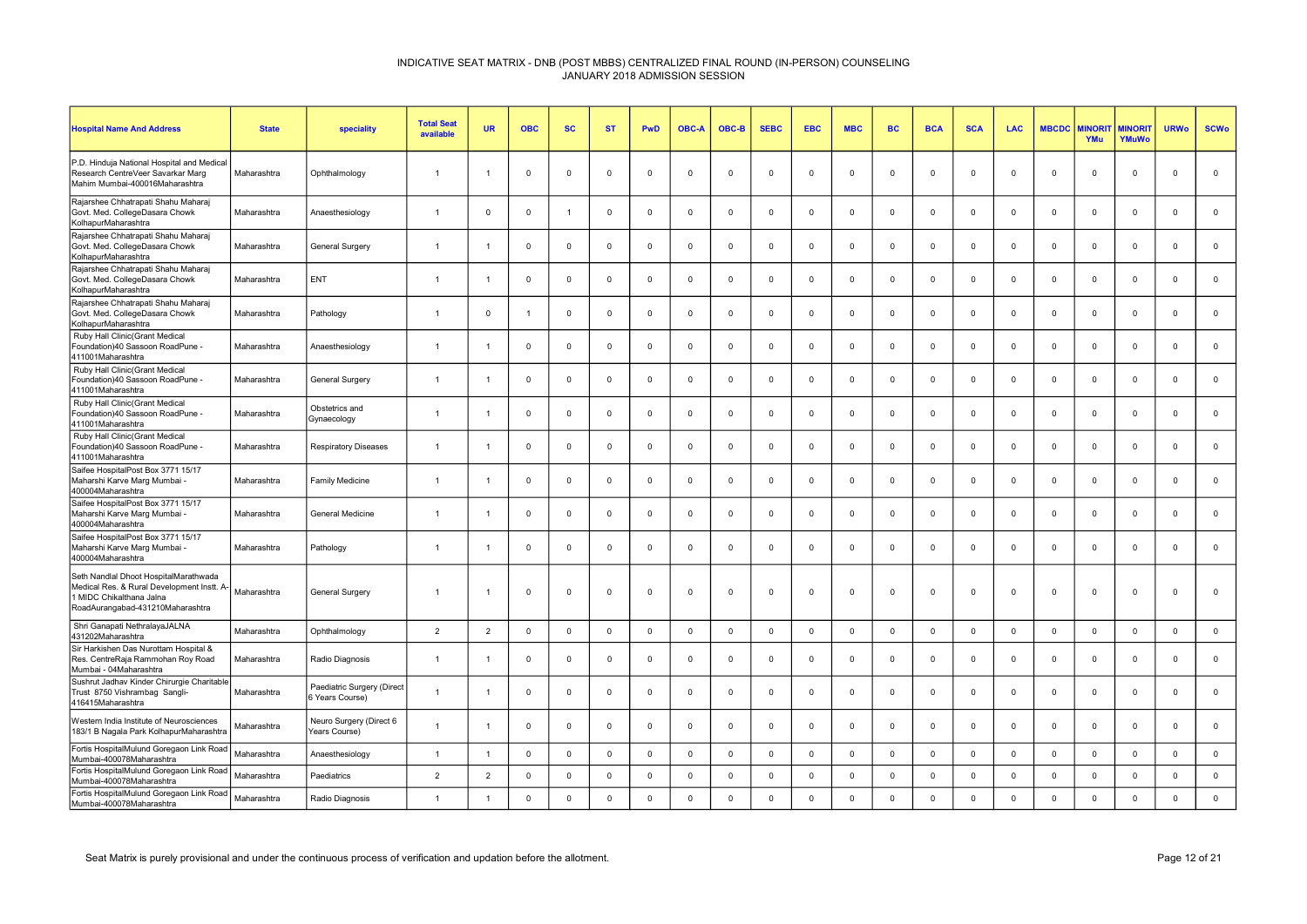| <b>Hospital Name And Address</b>                                                                                                                    | <b>State</b> | speciality                                    | <b>Total Seat</b><br>available | <b>UR</b>      | <b>OBC</b>     | <b>SC</b>      | <b>ST</b>   | <b>PwD</b>     | <b>OBC-A</b> | OBC-B        | <b>SEBC</b>    | <b>EBC</b>  | <b>MBC</b>   | <b>BC</b>   | <b>BCA</b>     | <b>SCA</b>   | <b>LAC</b>   | <b>MBCDC</b> | <b>MINORI</b><br>YMu | <b>MINORIT</b><br>YMuWo | <b>URWo</b>    | <b>SCWo</b> |
|-----------------------------------------------------------------------------------------------------------------------------------------------------|--------------|-----------------------------------------------|--------------------------------|----------------|----------------|----------------|-------------|----------------|--------------|--------------|----------------|-------------|--------------|-------------|----------------|--------------|--------------|--------------|----------------------|-------------------------|----------------|-------------|
| P.D. Hinduja National Hospital and Medical<br>Research CentreVeer Savarkar Marg<br>Mahim Mumbai-400016Maharashtra                                   | Maharashtra  | Ophthalmology                                 | $\overline{1}$                 |                | $\Omega$       | $\mathbf 0$    | $\Omega$    | $\Omega$       | $\Omega$     | $^{\circ}$   | $\Omega$       | $\Omega$    | $\mathbf 0$  | $\mathbf 0$ | $\mathbf 0$    | $\Omega$     | $\mathbf{0}$ | $\Omega$     | $\mathbf 0$          | $\mathbf 0$             | $\Omega$       | $\mathsf 0$ |
| Raiarshee Chhatrapati Shahu Maharai<br>Govt. Med. CollegeDasara Chowk<br>KolhapurMaharashtra                                                        | Maharashtra  | Anaesthesiology                               | $\overline{1}$                 | $\mathbf 0$    | $\overline{0}$ | $\overline{1}$ | $\Omega$    | $\mathbf 0$    | $\mathbf 0$  | $\mathbf 0$  | $\mathbf 0$    | $\mathbf 0$ | $\mathbf 0$  | $\mathbf 0$ | $\overline{0}$ | $\Omega$     | $\mathbf 0$  | $\mathbf 0$  | $\mathbf 0$          | $\mathbf 0$             | $\mathbf 0$    | $\mathbf 0$ |
| Rajarshee Chhatrapati Shahu Maharaj<br>Govt. Med. CollegeDasara Chowk<br>KolhapurMaharashtra                                                        | Maharashtra  | General Surgery                               | $\overline{1}$                 |                | $\Omega$       | $\mathbf 0$    | $\Omega$    | $\mathsf 0$    | $\mathbf 0$  | $\Omega$     | $\Omega$       | $\Omega$    | $\mathsf 0$  | $\mathbf 0$ | $\mathbf 0$    | $\Omega$     | $\mathbf{0}$ | $\mathbf 0$  | $\mathbf 0$          | $\mathsf 0$             | $\Omega$       | $\mathsf 0$ |
| Rajarshee Chhatrapati Shahu Maharaj<br>Govt. Med. CollegeDasara Chowk<br>KolhapurMaharashtra                                                        | Maharashtra  | ENT                                           | $\overline{1}$                 |                | $\Omega$       | $\mathbf 0$    | $\Omega$    | $\Omega$       | $\Omega$     | $\Omega$     | $\Omega$       | $\Omega$    | $\mathbf 0$  | $\mathbf 0$ | $\Omega$       | $\Omega$     | $\mathbf{0}$ | $\Omega$     | $\Omega$             | $\mathbf{0}$            | $\Omega$       | $\mathbf 0$ |
| Rajarshee Chhatrapati Shahu Maharaj<br>Govt. Med. CollegeDasara Chowk<br>KolhapurMaharashtra                                                        | Maharashtra  | Pathology                                     | $\overline{1}$                 | $\mathbf 0$    | $\overline{1}$ | $\mathbf 0$    | $\Omega$    | $\mathbf 0$    | $^{\circ}$   | $\mathbf 0$  | $\overline{0}$ | $\mathbf 0$ | $\mathbf 0$  | $\mathbf 0$ | $\mathbf 0$    | $\mathbf 0$  | $\mathbf 0$  | $\mathbf 0$  | $\mathbf 0$          | $\mathbf 0$             | $\mathbf 0$    | $\mathbf 0$ |
| Ruby Hall Clinic (Grant Medical<br>Foundation)40 Sassoon RoadPune -<br>411001Maharashtra                                                            | Maharashtra  | Anaesthesiology                               | $\overline{1}$                 |                | $\overline{0}$ | $\mathbf 0$    | $\mathbf 0$ | $\mathbf 0$    | $^{\circ}$   | $\mathbf 0$  | $\mathbf 0$    | $\mathbf 0$ | $\mathbf 0$  | $\mathbf 0$ | $\mathbf 0$    | $\mathbf 0$  | $\mathbf 0$  | $\mathbf 0$  | $\mathbf 0$          | $\mathbf 0$             | $\overline{0}$ | $\mathbf 0$ |
| Ruby Hall Clinic (Grant Medical<br>Foundation)40 Sassoon RoadPune -<br>411001Maharashtra                                                            | Maharashtra  | General Surgery                               | $\overline{1}$                 |                | $\Omega$       | $\mathbf 0$    | $\Omega$    | $\Omega$       | $\Omega$     | $\Omega$     | $\Omega$       | $\Omega$    | $\mathbf{0}$ | $\Omega$    | $\Omega$       | $\Omega$     | $\mathbf{0}$ | $\Omega$     | $\Omega$             | $\mathbf{0}$            | $\Omega$       | $\mathbf 0$ |
| Ruby Hall Clinic (Grant Medical<br>Foundation)40 Sassoon RoadPune -<br>411001Maharashtra                                                            | Maharashtra  | Obstetrics and<br>Gynaecology                 | $\overline{1}$                 |                | $\mathbf 0$    | $\mathbf 0$    | $^{\circ}$  | $\mathbf 0$    | $\mathbf 0$  | $^{\circ}$   | $\mathbf 0$    | $\mathbf 0$ | $\mathbf 0$  | $\mathbf 0$ | $\mathbf 0$    | $\Omega$     | $\mathbf 0$  | 0            | $\mathbf 0$          | $\mathbf 0$             | $\overline{0}$ | $\mathbf 0$ |
| Ruby Hall Clinic (Grant Medical<br>Foundation)40 Sassoon RoadPune -<br>411001Maharashtra                                                            | Maharashtra  | <b>Respiratory Diseases</b>                   | $\overline{1}$                 |                | $\overline{0}$ | $\mathbf 0$    | $\Omega$    | $\mathbf 0$    | $\mathbf 0$  | $\mathbf 0$  | $\mathbf 0$    | $\mathbf 0$ | $\mathbf 0$  | $\mathbf 0$ | $\mathbf 0$    | $\Omega$     | $\mathbf 0$  | $\mathbf 0$  | $\mathbf 0$          | $\mathbf{0}$            | $\Omega$       | $\mathsf 0$ |
| Saifee HospitalPost Box 3771 15/17<br>Maharshi Karve Marg Mumbai -<br>400004Maharashtra                                                             | Maharashtra  | Family Medicine                               | $\overline{1}$                 |                | $\Omega$       | $\mathbf 0$    | $\Omega$    | $\overline{0}$ | $\Omega$     | $\Omega$     | $\Omega$       | $\Omega$    | $^{\circ}$   | $\mathbf 0$ | $\Omega$       | $\Omega$     | $\mathbf{0}$ | $\Omega$     | $\Omega$             | $\mathbf{0}$            | $\Omega$       | $\mathbf 0$ |
| Saifee HospitalPost Box 3771 15/17<br>Maharshi Karve Marg Mumbai -<br>400004Maharashtra                                                             | Maharashtra  | General Medicine                              | $\overline{1}$                 |                | $\mathbf 0$    | $\mathbf 0$    | $\Omega$    | $\mathbf 0$    | $\mathbf 0$  | $^{\circ}$   | $\mathbf{0}$   | $\mathbf 0$ | $\mathbf 0$  | $\mathbf 0$ | $\mathbf 0$    | $\Omega$     | $^{\circ}$   | 0            | $\mathbf 0$          | $\mathbf 0$             | $\mathbf{0}$   | 0           |
| Saifee HospitalPost Box 3771 15/17<br>Maharshi Karve Marg Mumbai -<br>400004Maharashtra                                                             | Maharashtra  | Pathology                                     | $\overline{1}$                 |                | $\Omega$       | $\mathbf 0$    | $\Omega$    | $\overline{0}$ | $\Omega$     | $^{\circ}$   | $\mathbf 0$    | $\Omega$    | $\mathbf 0$  | $\mathbf 0$ | $\mathbf 0$    | $^{\circ}$   | $\mathbf 0$  | $\Omega$     | $\mathbf 0$          | $\mathbf{0}$            | $\overline{0}$ | $\mathbf 0$ |
| Seth Nandlal Dhoot HospitalMarathwada<br>Medical Res. & Rural Development Instt. A-<br>1 MIDC Chikalthana Jalna<br>RoadAurangabad-431210Maharashtra | Maharashtra  | General Surgery                               | $\overline{1}$                 |                | $\Omega$       | $\mathbf 0$    | $\Omega$    | $\Omega$       | $\Omega$     | $\mathbf{0}$ | $\Omega$       | $\Omega$    | $\mathbf 0$  | $\mathbf 0$ | $\Omega$       | $\Omega$     | $\mathbf{0}$ | $\Omega$     | $\Omega$             | $\mathbf{0}$            | $\overline{0}$ | $\mathbf 0$ |
| Shri Ganapati NethralayaJALNA<br>431202Maharashtra                                                                                                  | Maharashtra  | Ophthalmology                                 | $\overline{2}$                 | $\overline{2}$ | $\mathbf 0$    | $\mathbf 0$    | $\mathbf 0$ | $\mathbf 0$    | $\mathbf 0$  | $\Omega$     | $\mathbf 0$    | $\mathbf 0$ | $\mathbf 0$  | $\mathbf 0$ | $\mathbf 0$    | $\Omega$     | $\mathbf{0}$ | $\mathbf 0$  | $\mathbf 0$          | $\mathbf 0$             | $\mathbf 0$    | $\mathbf 0$ |
| Sir Harkishen Das Nurottam Hospital &<br>Res. CentreRaja Rammohan Roy Road<br>Mumbai - 04Maharashtra                                                | Maharashtra  | Radio Diagnosis                               | $\overline{1}$                 |                | $\Omega$       | $\mathbf 0$    | $\Omega$    | $\Omega$       | $\Omega$     | $\mathbf 0$  | $\Omega$       | $\Omega$    | $\mathbf 0$  | $\mathbf 0$ | $\Omega$       | $\Omega$     | $\mathbf{0}$ | $\Omega$     | $\Omega$             | $\mathbf 0$             | $\Omega$       | $\mathbf 0$ |
| Sushrut Jadhav Kinder Chirurgie Charitable<br>Trust 8750 Vishrambag Sangli-<br>416415Maharashtra                                                    | Maharashtra  | Paediatric Surgery (Direct<br>6 Years Course) | $\overline{1}$                 |                | $\Omega$       | $\mathsf 0$    | $\mathbf 0$ | $\mathsf 0$    | $\Omega$     | $\mathbf 0$  | $\mathbf 0$    | $\Omega$    | $\mathsf 0$  | $\mathbf 0$ | $\mathbf 0$    | $\mathbf{0}$ | $\mathbf 0$  | $\Omega$     | $\mathbf{0}$         | $\mathbf 0$             | $\mathbf 0$    | $\mathsf 0$ |
| Western India Institute of Neurosciences<br>183/1 B Nagala Park KolhapurMaharashtra                                                                 | Maharashtra  | Neuro Surgery (Direct 6<br>Years Course)      | $\overline{1}$                 |                | $\Omega$       | 0              | $\Omega$    | $\overline{0}$ | $\Omega$     | $\Omega$     | $\Omega$       | $\mathbf 0$ | $\mathbf 0$  | $\Omega$    | 0              | $\Omega$     | $^{\circ}$   | $\Omega$     | $\mathbf 0$          | $\mathbf 0$             | $\Omega$       | $\mathbf 0$ |
| Fortis HospitalMulund Goregaon Link Road<br>Mumbai-400078Maharashtra                                                                                | Maharashtra  | Anaesthesiology                               | $\overline{1}$                 |                | $\overline{0}$ | $\mathbf 0$    | $\Omega$    | $\mathsf 0$    | $^{\circ}$   | $\Omega$     | $\mathbf 0$    | $\Omega$    | $\mathbf 0$  | $\mathbf 0$ | $\mathbf 0$    | $\mathbf 0$  | $\mathbf 0$  | $\mathbf 0$  | $\mathbf{0}$         | $\mathbf 0$             | $\mathbf 0$    | $\mathsf 0$ |
| Fortis HospitalMulund Goregaon Link Road<br>Mumbai-400078Maharashtra                                                                                | Maharashtra  | Paediatrics                                   | $\overline{2}$                 | $\overline{2}$ | $\Omega$       | $\mathsf 0$    | $\Omega$    | $\mathsf 0$    | $\Omega$     | $\mathbf 0$  | $\Omega$       | $\Omega$    | $\mathsf 0$  | $\mathbf 0$ | $\Omega$       | $\Omega$     | $\mathbf 0$  | $\Omega$     | $\Omega$             | $\mathsf 0$             | $\Omega$       | $\mathsf 0$ |
| Fortis HospitalMulund Goregaon Link Road<br>Mumbai-400078Maharashtra                                                                                | Maharashtra  | Radio Diagnosis                               | $\overline{1}$                 |                | $\Omega$       | $\mathbf 0$    | $\Omega$    | $\Omega$       | $\Omega$     | $\Omega$     | $\Omega$       | $\Omega$    | $\mathbf 0$  | $\mathbf 0$ | $\Omega$       | $\Omega$     | $\mathbf 0$  | $\Omega$     | $\mathbf{0}$         | $\Omega$                | $\mathbf 0$    | $\mathbf 0$ |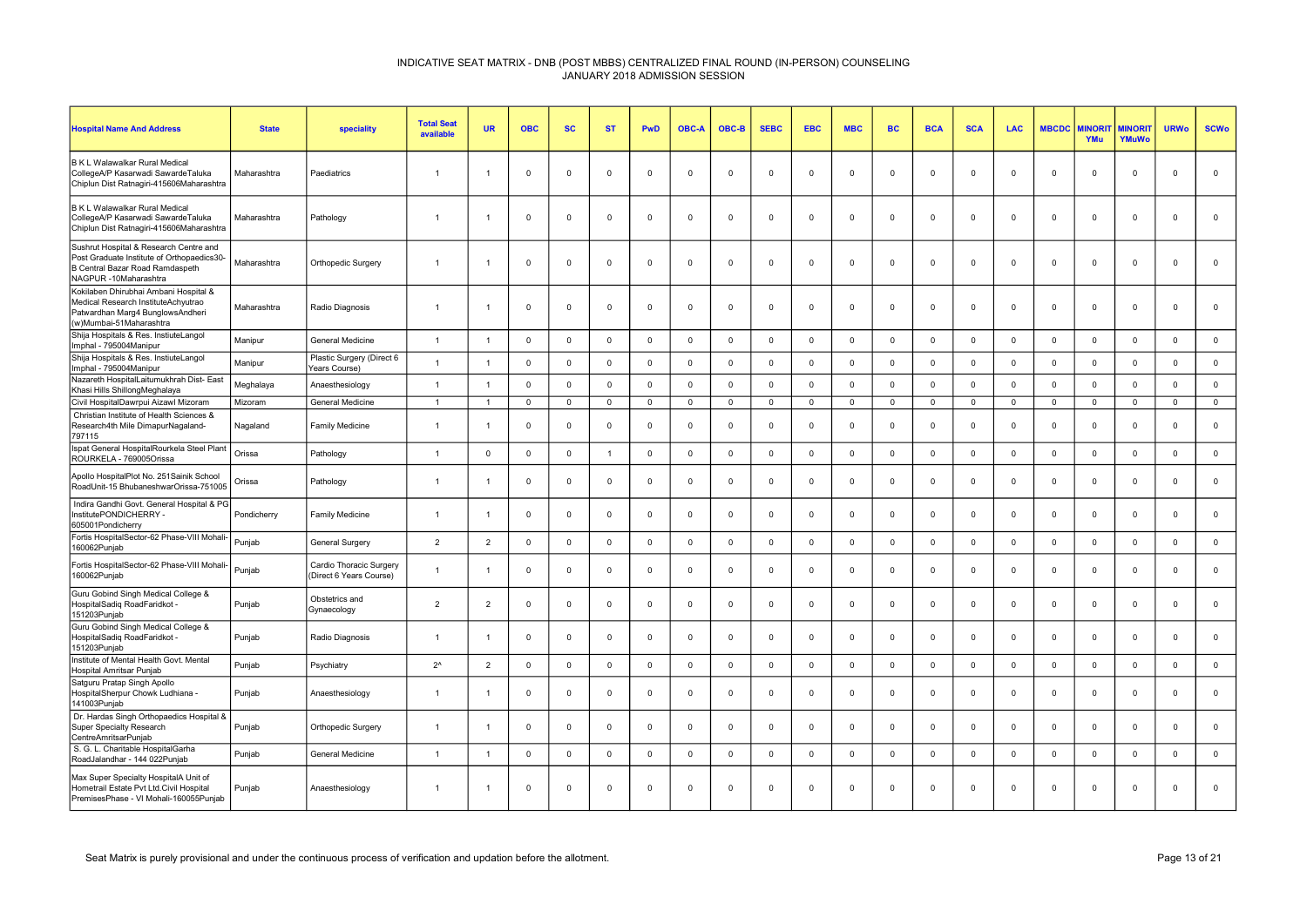| <b>Hospital Name And Address</b>                                                                                                                 | <b>State</b> | speciality                                         | <b>Total Seat</b><br>available | <b>UR</b>      | <b>OBC</b>     | <b>SC</b>   | <b>ST</b>      | <b>PwD</b>     | <b>OBC-A</b> | OBC-B        | <b>SEBC</b>    | <b>EBC</b>   | <b>MBC</b>   | <b>BC</b>      | <b>BCA</b>     | <b>SCA</b>   | <b>LAC</b>   | <b>MBCDC</b> | <b>MINORI</b><br>YMu | <b>MINORIT</b><br>YMuWo | <b>URWo</b>    | <b>SCWo</b>  |
|--------------------------------------------------------------------------------------------------------------------------------------------------|--------------|----------------------------------------------------|--------------------------------|----------------|----------------|-------------|----------------|----------------|--------------|--------------|----------------|--------------|--------------|----------------|----------------|--------------|--------------|--------------|----------------------|-------------------------|----------------|--------------|
| B K L Walawalkar Rural Medical<br>CollegeA/P Kasarwadi SawardeTaluka<br>Chiplun Dist Ratnagiri-415606Maharashtra                                 | Maharashtra  | Paediatrics                                        | $\overline{1}$                 |                | $\Omega$       | $\mathbf 0$ | $\Omega$       | $\Omega$       | $\Omega$     | $\Omega$     | $\Omega$       | $\Omega$     | $\mathbf 0$  | $\mathbf 0$    | $\Omega$       | $\Omega$     | $\mathbf{0}$ | $\Omega$     | $\mathbf 0$          | $\mathbf{0}$            | $\Omega$       | $\mathbf 0$  |
| B K L Walawalkar Rural Medical<br>CollegeA/P Kasarwadi SawardeTaluka<br>Chiplun Dist Ratnagiri-415606Maharashtra                                 | Maharashtra  | Pathology                                          | $\overline{1}$                 |                | $\overline{0}$ | 0           | $\Omega$       | $\mathbf 0$    | $\mathbf 0$  | $\mathbf 0$  | $\mathbf{0}$   | 0            | $\mathbf 0$  | $\mathbf 0$    | $\mathbf 0$    | $\mathbf 0$  | $\mathbf 0$  | $\mathbf 0$  | $\mathbf 0$          | $\mathbf 0$             | $\overline{0}$ | $\mathbf 0$  |
| Sushrut Hospital & Research Centre and<br>Post Graduate Institute of Orthopaedics30-<br>B Central Bazar Road Ramdaspeth<br>NAGPUR -10Maharashtra | Maharashtra  | Orthopedic Surgery                                 | $\overline{1}$                 |                | $\Omega$       | 0           | $\Omega$       | $\mathbf 0$    | $\Omega$     | $^{\circ}$   | $\Omega$       | $\Omega$     | $^{\circ}$   | $\Omega$       | $\overline{0}$ | $\Omega$     | $^{\circ}$   | $\Omega$     | $\mathbf 0$          | $\mathbf{0}$            | $\Omega$       | $\mathbf 0$  |
| Kokilaben Dhirubhai Ambani Hospital &<br>Medical Research InstituteAchyutrao<br>Patwardhan Marg4 BunglowsAndheri<br>(w)Mumbai-51Maharashtra      | Maharashtra  | Radio Diagnosis                                    | $\overline{1}$                 |                | $\overline{0}$ | $\mathbf 0$ | $\Omega$       | $\mathbf 0$    | $\mathbf 0$  | $\mathbf 0$  | $\mathbf 0$    | $\mathbf 0$  | $\mathbf 0$  | $\overline{0}$ | $\mathbf 0$    | $\mathbf 0$  | $\mathbf 0$  | $\mathbf 0$  | $\mathbf 0$          | $\mathbf{0}$            | $\mathbf 0$    | $\mathsf 0$  |
| Shija Hospitals & Res. InstiuteLangol<br>Imphal - 795004Manipur                                                                                  | Manipur      | <b>General Medicine</b>                            | $\overline{1}$                 | $\overline{1}$ | $\Omega$       | $\mathbf 0$ | $\Omega$       | $\overline{0}$ | $\Omega$     | $\Omega$     | $\Omega$       | $\Omega$     | $\mathbf 0$  | $\mathbf 0$    | $\Omega$       | $\Omega$     | $\mathbf{0}$ | $\Omega$     | $\Omega$             | $\mathbf{0}$            | $\overline{0}$ | $\mathbf{0}$ |
| Shija Hospitals & Res. InstiuteLangol<br>Imphal - 795004Manipur                                                                                  | Manipur      | Plastic Surgery (Direct 6<br>Years Course)         | $\overline{1}$                 |                | $\Omega$       | $\mathsf 0$ | $\Omega$       | $\mathbf 0$    | $\Omega$     | $\Omega$     | $\Omega$       | $\Omega$     | $\mathsf 0$  | $\mathbf 0$    | $\Omega$       | $\Omega$     | $\mathbf{0}$ | $\mathbf 0$  | $\mathbf 0$          | $\mathbf{0}$            | $\mathbf 0$    | $\mathsf 0$  |
| Nazareth HospitalLaitumukhrah Dist- East<br>Khasi Hills ShillongMeghalaya                                                                        | Meghalaya    | Anaesthesiology                                    | $\overline{1}$                 |                | $\Omega$       | $\mathbf 0$ | $\Omega$       | $\mathbf 0$    | $\Omega$     | $\Omega$     | $\mathbf 0$    | $\Omega$     | $\mathbf 0$  | $\mathbf 0$    | $\mathbf{0}$   | $\Omega$     | $\mathbf 0$  | $\mathbf 0$  | $\mathbf{0}$         | $\mathbf 0$             | $\mathbf 0$    | $\mathbf 0$  |
| Civil HospitalDawrpui Aizawl Mizoram                                                                                                             | Mizoram      | <b>General Medicine</b>                            | $\overline{1}$                 | $\overline{1}$ | $\mathbf 0$    | $\mathbf 0$ | $\mathsf 0$    | $\mathbf 0$    | $\mathbf 0$  | $\mathbf 0$  | $\mathbf 0$    | $\mathbf{0}$ | $\mathsf 0$  | $\mathbf 0$    | $\mathbf 0$    | $\mathbf{0}$ | $\mathsf 0$  | $\mathbf 0$  | $\mathbf 0$          | $\mathbf 0$             | $\mathbf 0$    | $\mathbf 0$  |
| Christian Institute of Health Sciences &<br>Research4th Mile DimapurNagaland-<br>797115                                                          | Nagaland     | <b>Family Medicine</b>                             | $\overline{1}$                 |                | $\Omega$       | $\mathbf 0$ | $\Omega$       | $\Omega$       | $\Omega$     | $\mathbf 0$  | $\Omega$       | $\Omega$     | $\mathbf 0$  | $\mathbf 0$    | $\Omega$       | $\Omega$     | $\mathbf{0}$ | $\Omega$     | $\Omega$             | $\mathbf{0}$            | $\Omega$       | $\mathbf 0$  |
| Ispat General HospitalRourkela Steel Plant<br>ROURKELA - 769005Orissa                                                                            | Orissa       | Pathology                                          | $\overline{1}$                 | $\mathbf{0}$   | $\Omega$       | $\mathbf 0$ | $\overline{1}$ | $\mathbf 0$    | $\Omega$     | $\Omega$     | $\overline{0}$ | $\Omega$     | $\mathbf 0$  | $\mathbf 0$    | $\Omega$       | $\mathbf{0}$ | $\mathbf 0$  | $\Omega$     | $\Omega$             | $\mathbf 0$             | $\mathbf 0$    | $\mathbf 0$  |
| Apollo HospitalPlot No. 251Sainik School<br>RoadUnit-15 BhubaneshwarOrissa-751005                                                                | Orissa       | Pathology                                          | $\overline{1}$                 |                | $\Omega$       | $\mathbf 0$ | $\Omega$       | $\Omega$       | $\Omega$     | $\mathbf 0$  | $\Omega$       | $\Omega$     | $^{\circ}$   | $\Omega$       | $\Omega$       | $\Omega$     | $^{\circ}$   | $\Omega$     | $\Omega$             | $\mathbf{0}$            | $\Omega$       | $\mathsf 0$  |
| Indira Gandhi Govt. General Hospital & PG<br>InstitutePONDICHERRY -<br>605001Pondicherry                                                         | Pondicherry  | <b>Family Medicine</b>                             | $\overline{1}$                 |                | $\mathbf 0$    | 0           | $\mathbf{0}$   | $\mathbf 0$    | $\mathbf 0$  | 0            | $\mathbf 0$    | $\mathbf 0$  | $\mathbf 0$  | $\mathbf 0$    | $\mathbf 0$    | $\mathbf 0$  | $\mathbf 0$  | $\mathbf 0$  | $\mathbf 0$          | $\overline{0}$          | $\mathbf{0}$   | $\mathbf 0$  |
| Fortis HospitalSector-62 Phase-VIII Mohali-<br>160062Punjab                                                                                      | Punjab       | General Surgery                                    | $\overline{2}$                 | $\overline{2}$ | $\Omega$       | $\mathbf 0$ | $\Omega$       | $\mathsf 0$    | $\Omega$     | $\mathbf 0$  | $\mathbf 0$    | $\Omega$     | $\mathbf 0$  | $\mathbf 0$    | $\Omega$       | $\mathbf{0}$ | $\mathbf{0}$ | $\Omega$     | $\mathbf{0}$         | $\mathbf 0$             | $\mathbf 0$    | $\mathsf 0$  |
| Fortis HospitalSector-62 Phase-VIII Mohali-<br>160062Punjab                                                                                      | Punjab       | Cardio Thoracic Surgery<br>(Direct 6 Years Course) | $\overline{1}$                 | $\overline{1}$ | $\Omega$       | $\mathbf 0$ | $\Omega$       | $\Omega$       | $\Omega$     | $\mathbf{0}$ | $\Omega$       | $\Omega$     | $\mathbf 0$  | $\mathbf 0$    | $\Omega$       | $\Omega$     | $\mathbf{0}$ | $\Omega$     | $\Omega$             | $\mathbf{0}$            | $\Omega$       | $\mathsf 0$  |
| Guru Gobind Singh Medical College &<br>HospitalSadiq RoadFaridkot -<br>151203Punjab                                                              | Punjab       | Obstetrics and<br>Gynaecology                      | $\overline{2}$                 | 2              | $\Omega$       | $\mathbf 0$ | $\Omega$       | $\Omega$       | $\Omega$     | $\Omega$     | $\Omega$       | $\Omega$     | $\mathbf 0$  | $\mathbf 0$    | $\Omega$       | $\Omega$     | $\mathbf{0}$ | $\Omega$     | $\Omega$             | $\mathbf{0}$            | $\Omega$       | $\mathbf{0}$ |
| Guru Gobind Singh Medical College &<br>HospitalSadiq RoadFaridkot -<br>151203Punjab                                                              | Punjab       | Radio Diagnosis                                    | $\overline{1}$                 |                | $\overline{0}$ | 0           | $\Omega$       | $\mathbf 0$    | $^{\circ}$   | $\mathbf 0$  | $\mathbf{0}$   | $\mathbf 0$  | $\mathbf 0$  | $\mathbf 0$    | $\overline{0}$ | $\mathbf 0$  | $\mathbf 0$  | 0            | $\mathbf 0$          | $\mathbf 0$             | $\mathbf{0}$   | $\mathbf 0$  |
| Institute of Mental Health Govt. Mental<br>Hospital Amritsar Punjab                                                                              | Punjab       | Psychiatry                                         | $2^{\wedge}$                   | 2              | $\Omega$       | $\mathbf 0$ | $\Omega$       | $\mathbf 0$    | $\Omega$     | $\Omega$     | $\Omega$       | $\Omega$     | $\mathbf 0$  | $\mathbf 0$    | $\Omega$       | $\Omega$     | $\mathbf 0$  | $\Omega$     | $\mathbf{0}$         | $\mathbf 0$             | $\mathbf 0$    | $\mathbf 0$  |
| Satguru Pratap Singh Apollo<br>HospitalSherpur Chowk Ludhiana -<br>141003Punjab                                                                  | Punjab       | Anaesthesiology                                    | $\overline{1}$                 |                | $\Omega$       | $\mathbf 0$ | $\Omega$       | $\Omega$       | $\Omega$     | $\mathbf 0$  | $\Omega$       | $\Omega$     | $\mathbf 0$  | $\mathbf 0$    | $\Omega$       | $\Omega$     | $\mathbf 0$  | $\Omega$     | $\mathbf{0}$         | $\mathbf 0$             | $\Omega$       | $\mathsf 0$  |
| Dr. Hardas Singh Orthopaedics Hospital &<br>Super Specialty Research<br>CentreAmritsarPunjab                                                     | Punjab       | Orthopedic Surgery                                 | $\overline{1}$                 |                | $\Omega$       | 0           | $\Omega$       | $\Omega$       | $\Omega$     | $^{\circ}$   | $\Omega$       | $\Omega$     | $^{\circ}$   | $\Omega$       | $\Omega$       | $\Omega$     | $\Omega$     | $\Omega$     | $\Omega$             | $\mathbf{0}$            | $\Omega$       | $\mathbf 0$  |
| S. G. L. Charitable HospitalGarha<br>RoadJalandhar - 144 022Punjab                                                                               | Punjab       | General Medicine                                   | $\overline{1}$                 | $\overline{1}$ | $\Omega$       | $\mathbf 0$ | $\Omega$       | $\mathbf 0$    | $\Omega$     | $\Omega$     | $\mathsf 0$    | $\Omega$     | $\mathbf{0}$ | $\mathbf 0$    | $\Omega$       | $\Omega$     | $\mathbf{0}$ | $\mathbf 0$  | $\Omega$             | $\mathbf{0}$            | $\Omega$       | $\mathsf 0$  |
| Max Super Specialty HospitalA Unit of<br>Hometrail Estate Pvt Ltd.Civil Hospital<br>PremisesPhase - VI Mohali-160055Punjab                       | Punjab       | Anaesthesiology                                    | $\overline{1}$                 |                | $\Omega$       | $\mathbf 0$ | $\mathbf 0$    | $\mathbf 0$    | $\Omega$     | $\mathbf 0$  | $\Omega$       | $\Omega$     | $\mathbf{0}$ | $\mathbf 0$    | $\Omega$       | $\Omega$     | $\mathbf 0$  | $\Omega$     | $\mathbf{0}$         | $\mathbf{0}$            | $\mathbf 0$    | $\Omega$     |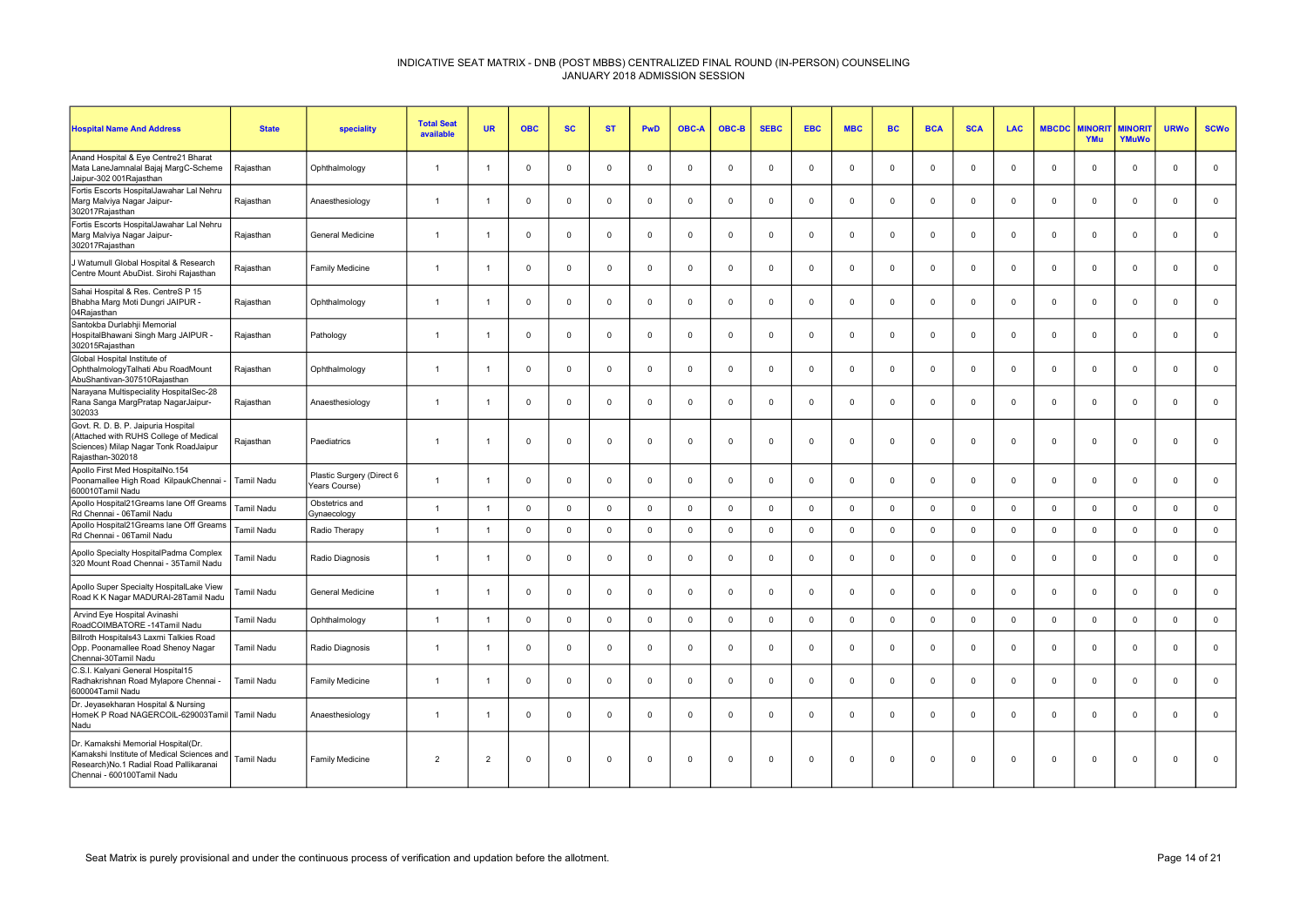| <b>Hospital Name And Address</b>                                                                                                                          | <b>State</b>      | speciality                                 | <b>Total Seat</b><br>available | <b>UR</b>      | <b>OBC</b>  | <b>SC</b>   | <b>ST</b>   | PwD         | <b>OBC-A</b>   | OBC-B       | <b>SEBC</b> | <b>EBC</b>   | <b>MBC</b>   | <b>BC</b>   | <b>BCA</b>     | <b>SCA</b>  | LAC         | <b>MBCDC</b> | <b>MINOR</b><br>YMu | <b>MINORIT</b><br>YMuWo | <b>URWo</b> | <b>SCWo</b>    |
|-----------------------------------------------------------------------------------------------------------------------------------------------------------|-------------------|--------------------------------------------|--------------------------------|----------------|-------------|-------------|-------------|-------------|----------------|-------------|-------------|--------------|--------------|-------------|----------------|-------------|-------------|--------------|---------------------|-------------------------|-------------|----------------|
| Anand Hospital & Eye Centre21 Bharat<br>Mata LaneJamnalal Bajaj MargC-Scheme<br>Jaipur-302 001Rajasthan                                                   | Rajasthan         | Ophthalmology                              | $\overline{1}$                 |                | $\mathbf 0$ | $\Omega$    | $\mathbf 0$ | $\mathbf 0$ | $\Omega$       | $\mathbf 0$ |             | $\Omega$     | $\mathbf 0$  | $\Omega$    | $\mathbf 0$    | $\Omega$    | $\mathbf 0$ | $\Omega$     | $\Omega$            | $\mathbf 0$             | $\mathbf 0$ | $\mathbf 0$    |
| Fortis Escorts HospitalJawahar Lal Nehru<br>Marg Malviya Nagar Jaipur-<br>302017Rajasthan                                                                 | Rajasthan         | Anaesthesiology                            | $\overline{1}$                 |                | $\mathbf 0$ | $\Omega$    | $\mathbf 0$ | $\mathbf 0$ | $\mathbf 0$    | $\mathbf 0$ | $\Omega$    | $\Omega$     | $\mathbf 0$  | $\Omega$    | $\Omega$       | $\Omega$    | $\mathbf 0$ | $\Omega$     | $\Omega$            | $\mathbf 0$             | $^{\circ}$  | $\mathbf 0$    |
| Fortis Escorts HospitalJawahar Lal Nehru<br>Marg Malviya Nagar Jaipur-<br>302017Rajasthan                                                                 | Rajasthan         | General Medicine                           | $\overline{1}$                 | $\overline{1}$ | $\mathbf 0$ | $\Omega$    | $\mathbf 0$ | $\mathbf 0$ | $\Omega$       | $\mathbf 0$ | $^{\circ}$  | $\Omega$     | $\mathbf{0}$ | $\Omega$    | $\overline{0}$ | $\Omega$    | $\mathbf 0$ | $\mathbf{0}$ | $\Omega$            | $\overline{0}$          | $\mathbf 0$ | $\mathbf 0$    |
| J Watumull Global Hospital & Research<br>Centre Mount AbuDist. Sirohi Rajasthan                                                                           | Raiasthan         | Family Medicine                            | $\overline{1}$                 | $\overline{1}$ | $^{\circ}$  | $\Omega$    | $^{\circ}$  | $\mathbf 0$ | $\Omega$       | $\mathbf 0$ | $\Omega$    | $\Omega$     | $^{\circ}$   | $\Omega$    | $\mathbf 0$    | $\Omega$    | $^{\circ}$  | $\mathbf{0}$ | $\Omega$            | $\mathbf{0}$            | $^{\circ}$  | $\mathbf{0}$   |
| Sahai Hospital & Res. CentreS P 15<br>Bhabha Marg Moti Dungri JAIPUR -<br>04Rajasthan                                                                     | Rajasthan         | Ophthalmology                              | $\overline{1}$                 | $\overline{1}$ | $\mathbf 0$ | $\mathbf 0$ | $\mathbf 0$ | $\mathbf 0$ | $\mathbf 0$    | $\mathbf 0$ | $\mathbf 0$ | $\mathbf 0$  | $\mathbf{0}$ | $\mathbf 0$ | $\mathbf 0$    | $^{\circ}$  | $\mathbf 0$ | $^{\circ}$   | $\mathbf 0$         | $\mathbf 0$             | $\mathbf 0$ | $\mathbf 0$    |
| Santokba Durlabhii Memorial<br>HospitalBhawani Singh Marg JAIPUR -<br>302015Rajasthan                                                                     | Rajasthan         | Pathology                                  | $\overline{1}$                 | $\overline{1}$ | $\mathbf 0$ | $\Omega$    | $\mathsf 0$ | $\mathbf 0$ | $\Omega$       | $\mathsf 0$ | $\Omega$    | $\Omega$     | $\mathsf 0$  | $\Omega$    | $\mathbf 0$    | $\Omega$    | $\mathbf 0$ | $\Omega$     | $\Omega$            | $\mathsf 0$             | $\mathbf 0$ | $\mathsf 0$    |
| Global Hospital Institute of<br>OphthalmologyTalhati Abu RoadMount<br>AbuShantivan-307510Rajasthan                                                        | Rajasthan         | Ophthalmology                              | $\overline{1}$                 | $\overline{1}$ | $\mathbf 0$ | $\Omega$    | $\mathbf 0$ | $\mathbf 0$ | $\Omega$       | $\mathbf 0$ | $\Omega$    | $\Omega$     | $\mathbf 0$  | $\Omega$    | $\mathbf 0$    | $\Omega$    | $\mathbf 0$ | $\mathbf 0$  | $\Omega$            | $\mathbf{0}$            | $\mathbf 0$ | $\mathbf 0$    |
| Narayana Multispeciality HospitalSec-28<br>Rana Sanga MargPratap NagarJaipur-<br>302033                                                                   | Raiasthan         | Anaesthesiology                            | $\overline{1}$                 | -1             | $\mathbf 0$ | $\Omega$    | $\mathbf 0$ | $\mathbf 0$ | $\Omega$       | $\mathbf 0$ | $\Omega$    | $\Omega$     | $\mathbf{0}$ | $\Omega$    | $\overline{0}$ | $\Omega$    | $\mathbf 0$ | $\Omega$     | $\Omega$            | $\mathbf 0$             | $\mathbf 0$ | $\mathbf 0$    |
| Govt. R. D. B. P. Jaipuria Hospital<br>(Attached with RUHS College of Medical<br>Sciences) Milap Nagar Tonk RoadJaipur<br>Rajasthan-302018                | Rajasthan         | Paediatrics                                | $\overline{1}$                 | -1             | $\mathbf 0$ | $\Omega$    | $\mathbf 0$ | $\mathbf 0$ | $\mathbf 0$    | $\mathbf 0$ | $\Omega$    | $\Omega$     | $\mathbf 0$  | $\Omega$    | $\mathbf 0$    | $\Omega$    | $\mathbf 0$ | $\Omega$     | $\Omega$            | $\mathbf 0$             | $\mathbf 0$ | $\mathsf 0$    |
| Apollo First Med HospitalNo.154<br>Poonamallee High Road KilpaukChennai -<br>600010Tamil Nadu                                                             | <b>Tamil Nadu</b> | Plastic Surgery (Direct 6<br>Years Course) | $\overline{1}$                 | $\overline{1}$ | $\mathbf 0$ | $\Omega$    | $\mathbf 0$ | $\mathbf 0$ | $^{\circ}$     | $\mathbf 0$ | $\Omega$    | $\mathbf 0$  | $\mathbf 0$  | $\Omega$    | $\mathsf 0$    | $^{\circ}$  | $\mathbf 0$ | $\mathbf 0$  | $\mathbf 0$         | $\mathbf 0$             | $\Omega$    | $\mathsf 0$    |
| Apollo Hospital21 Greams lane Off Greams<br>Rd Chennai - 06Tamil Nadu                                                                                     | Tamil Nadu        | Obstetrics and<br>Gynaecology              | $\overline{1}$                 |                | $\mathbf 0$ | $\Omega$    | $\mathbf 0$ | $\mathbf 0$ | $\Omega$       | $\mathbf 0$ | $\Omega$    | $\Omega$     | $\mathbf{0}$ | $\Omega$    | $\mathbf 0$    | $\Omega$    | $\Omega$    | $\mathbf{0}$ | $\Omega$            | $\mathbf{0}$            | $\mathbf 0$ | $\mathsf 0$    |
| Apollo Hospital21Greams lane Off Greams<br>Rd Chennai - 06Tamil Nadu                                                                                      | <b>Tamil Nadu</b> | Radio Therapy                              | $\overline{1}$                 | $\mathbf{1}$   | $\mathbf 0$ | $\mathbf 0$ | $\mathbf 0$ | $\mathbf 0$ | $\Omega$       | $\mathbf 0$ | $\mathbf 0$ | $\mathbf{0}$ | $\mathsf 0$  | $\mathbf 0$ | $\mathbf 0$    | $\Omega$    | $\Omega$    | $\mathbf 0$  | $\Omega$            | $\mathbf{0}$            | $\mathbf 0$ | $\mathsf 0$    |
| Apollo Specialty HospitalPadma Complex<br>320 Mount Road Chennai - 35Tamil Nadu                                                                           | Tamil Nadu        | Radio Diagnosis                            | $\overline{1}$                 |                | $\mathbf 0$ | $\Omega$    | $\mathbf 0$ | $\mathbf 0$ | $\Omega$       | $\mathbf 0$ | $\Omega$    | $\Omega$     | $\mathbf{0}$ | $\Omega$    | $\overline{0}$ | $\Omega$    | $\mathbf 0$ | $\Omega$     | $\Omega$            | $\mathbf 0$             | $\Omega$    | $\mathbf 0$    |
| Apollo Super Specialty HospitalLake View<br>Road K K Nagar MADURAI-28Tamil Nadu                                                                           | Tamil Nadu        | <b>General Medicine</b>                    | $\overline{1}$                 | $\overline{1}$ | $\mathbf 0$ | $\Omega$    | $\mathbf 0$ | $\mathbf 0$ | $\Omega$       | $\mathbf 0$ | $\Omega$    | $\Omega$     | $\mathbf{0}$ | $\Omega$    | $\mathbf 0$    | $\Omega$    | $\mathbf 0$ | $\mathbf{0}$ | $\Omega$            | $\mathbf 0$             | $\mathbf 0$ | $\mathsf 0$    |
| Arvind Eye Hospital Avinashi<br>RoadCOIMBATORE -14Tamil Nadu                                                                                              | Tamil Nadu        | Ophthalmology                              | $\overline{1}$                 | $\mathbf{1}$   | $\mathsf 0$ | $\mathbf 0$ | $\mathsf 0$ | $\mathsf 0$ | $\overline{0}$ | $\mathsf 0$ | $\mathbf 0$ | $\mathbf 0$  | $\mathsf 0$  | $\mathbf 0$ | $\mathbf 0$    | $\mathbf 0$ | $\mathbf 0$ | $\mathbf 0$  | $\mathbf 0$         | $\mathsf 0$             | $\mathsf 0$ | $\mathbf 0$    |
| Billroth Hospitals43 Laxmi Talkies Road<br>Opp. Poonamallee Road Shenoy Nagar<br>Chennai-30Tamil Nadu                                                     | <b>Tamil Nadu</b> | Radio Diagnosis                            | $\overline{1}$                 | $\overline{1}$ | $\mathbf 0$ | $\Omega$    | $\mathbf 0$ | $\mathbf 0$ | $\Omega$       | $\mathbf 0$ | $\Omega$    | $\Omega$     | $\mathbf{0}$ | $\Omega$    | $\overline{0}$ | $\Omega$    | $\mathbf 0$ | $\Omega$     | $\Omega$            | $\mathbf{0}$            | $\Omega$    | $\mathbf 0$    |
| C.S.I. Kalyani General Hospital15<br>Radhakrishnan Road Mylapore Chennai -<br>600004Tamil Nadu                                                            | <b>Tamil Nadu</b> | Family Medicine                            | $\overline{1}$                 | $\overline{1}$ | $\mathbf 0$ | $\mathbf 0$ | $\mathbf 0$ | $\mathbf 0$ | $\mathbf 0$    | $\mathbf 0$ | $\Omega$    | $\mathbf 0$  | $\mathbf{0}$ | $\mathbf 0$ | $\mathbf 0$    | $^{\circ}$  | $\mathbf 0$ | $\mathbf 0$  | $\mathbf 0$         | $\mathbf 0$             | $\mathbf 0$ | $\mathbf 0$    |
| Dr. Jeyasekharan Hospital & Nursing<br>HomeK P Road NAGERCOIL-629003Tamil Tamil Nadu<br>Nadu                                                              |                   | Anaesthesiology                            | $\overline{1}$                 | $\overline{1}$ | $\mathbf 0$ | $\Omega$    | $\mathbf 0$ | $\mathbf 0$ | $\Omega$       | $\mathbf 0$ | $\Omega$    | $\Omega$     | $\mathbf 0$  | $\Omega$    | $\mathbf 0$    | $\Omega$    | $\mathbf 0$ | $\mathbf{0}$ | $\Omega$            | $\mathbf 0$             | $\mathbf 0$ | $\mathbf 0$    |
| Dr. Kamakshi Memorial Hospital(Dr.<br>Kamakshi Institute of Medical Sciences and<br>Research) No.1 Radial Road Pallikaranai<br>Chennai - 600100Tamil Nadu | Tamil Nadu        | Family Medicine                            | $\overline{2}$                 | $\overline{2}$ | $^{\circ}$  | $\Omega$    | 0           | $\mathbf 0$ | $\Omega$       | $\Omega$    | $\Omega$    | $\Omega$     | $\mathbf 0$  | $\Omega$    | $\Omega$       | $\Omega$    | $\Omega$    | $\Omega$     | $\Omega$            | $\mathbf 0$             | $\Omega$    | $\overline{0}$ |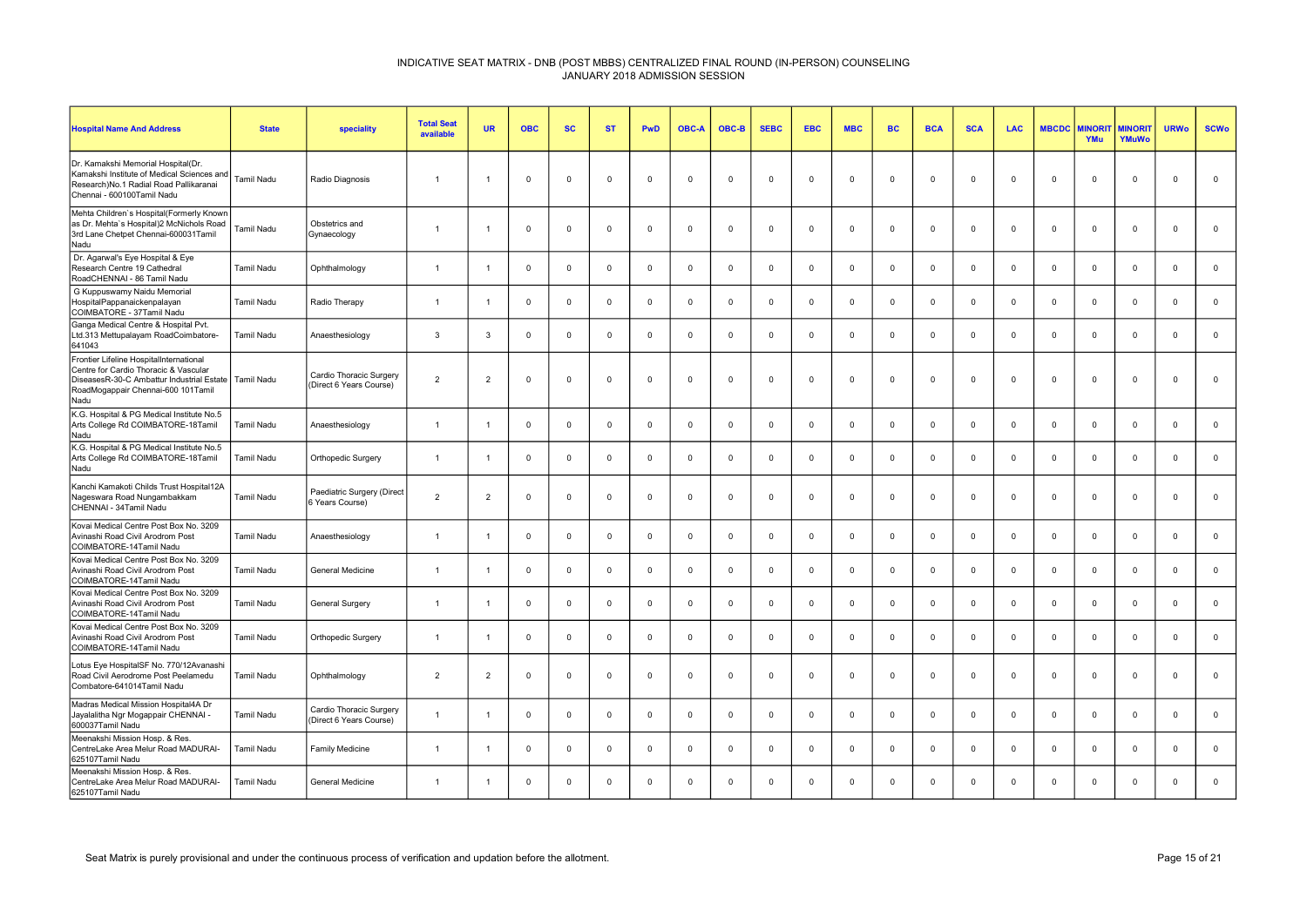| <b>Hospital Name And Address</b>                                                                                                                                            | <b>State</b>      | speciality                                         | <b>Total Seat</b><br>available | <b>UR</b>      | <b>OBC</b>     | <b>SC</b>    | <b>ST</b>   | <b>PwD</b>     | <b>OBC-A</b> | OBC-B        | <b>SEBC</b> | <b>EBC</b>     | <b>MBC</b>   | <b>BC</b>   | <b>BCA</b>     | <b>SCA</b>   | <b>LAC</b>   | <b>MBCDC</b>   | <b>AINORI</b><br>YMu | <b>MINORIT</b><br>YMuWo | <b>URWo</b>    | <b>SCWo</b> |
|-----------------------------------------------------------------------------------------------------------------------------------------------------------------------------|-------------------|----------------------------------------------------|--------------------------------|----------------|----------------|--------------|-------------|----------------|--------------|--------------|-------------|----------------|--------------|-------------|----------------|--------------|--------------|----------------|----------------------|-------------------------|----------------|-------------|
| Dr. Kamakshi Memorial Hospital(Dr.<br>Kamakshi Institute of Medical Sciences and<br>Research) No.1 Radial Road Pallikaranai<br>Chennai - 600100Tamil Nadu                   | <b>Tamil Nadu</b> | Radio Diagnosis                                    | $\mathbf{1}$                   | $\overline{1}$ | $\mathbf 0$    | $\mathbf 0$  | $\mathbf 0$ | $\mathsf 0$    | $\mathbf 0$  | $\mathbf 0$  | $\mathbf 0$ | $\overline{0}$ | $\mathbf 0$  | $\mathbf 0$ | $\mathbf 0$    | $\mathbf 0$  | $\Omega$     | $\overline{0}$ | 0                    | $\mathbf 0$             | $\mathbf 0$    | $\mathbf 0$ |
| Mehta Children's Hospital(Formerly Known<br>as Dr. Mehta's Hospital)2 McNichols Road<br>3rd Lane Chetpet Chennai-600031Tamil<br>Nadu                                        | Tamil Nadu        | Obstetrics and<br>Gynaecology                      | $\overline{1}$                 |                | $\Omega$       | $\mathbf{0}$ | $\Omega$    | $\mathbf 0$    | $\Omega$     | $\mathbf 0$  | $\mathbf 0$ | $\Omega$       | $\mathbf 0$  | $\mathbf 0$ | $\Omega$       | $\Omega$     | $\Omega$     | $\Omega$       | $\Omega$             | $\mathbf{0}$            | $\Omega$       | $\mathbf 0$ |
| Dr. Agarwal's Eye Hospital & Eye<br>Research Centre 19 Cathedral<br>RoadCHENNAI - 86 Tamil Nadu                                                                             | Tamil Nadu        | Ophthalmology                                      | $\overline{1}$                 |                | $\Omega$       | $\mathbf 0$  | $\mathbf 0$ | $\Omega$       | $\Omega$     | $\mathbf 0$  | $\mathbf 0$ | $\Omega$       | $\mathbf 0$  | $\mathbf 0$ | $\Omega$       | $\Omega$     | $\Omega$     | $\Omega$       | $\Omega$             | $\mathbf{0}$            | $\Omega$       | $\mathsf 0$ |
| G Kuppuswamy Naidu Memorial<br>HospitalPappanaickenpalayan<br>COIMBATORE - 37Tamil Nadu                                                                                     | Tamil Nadu        | Radio Therapy                                      | $\overline{1}$                 | -1             | $\Omega$       | $\mathbf 0$  | $\mathbf 0$ | $\mathsf 0$    | $\mathbf 0$  | $\mathbf 0$  | $\mathbf 0$ | $\mathbf 0$    | $\mathbf 0$  | $\mathbf 0$ | $\mathbf 0$    | $\Omega$     | $\mathbf{0}$ | $\Omega$       | $\mathbf 0$          | $\mathsf 0$             | $\Omega$       | $\mathbf 0$ |
| Ganga Medical Centre & Hospital Pvt.<br>Ltd.313 Mettupalayam RoadCoimbatore-<br>641043                                                                                      | Tamil Nadu        | Anaesthesiology                                    | $\mathbf{3}$                   | $\mathbf{B}$   | $\Omega$       | $\mathbf{0}$ | $^{\circ}$  | $\overline{0}$ | $\Omega$     | $\mathbf 0$  | $\mathbf 0$ | $\Omega$       | $\mathbf{0}$ | $\mathbf 0$ | $\Omega$       | $\Omega$     | $^{\circ}$   | $\Omega$       | $\mathbf{0}$         | $\mathbf{0}$            | $\overline{0}$ | $\mathbf 0$ |
| Frontier Lifeline HospitalInternational<br>Centre for Cardio Thoracic & Vascular<br>DiseasesR-30-C Ambattur Industrial Estate<br>RoadMogappair Chennai-600 101Tamil<br>Nadu | <b>Tamil Nadu</b> | Cardio Thoracic Surgery<br>(Direct 6 Years Course) | $\overline{2}$                 | $\overline{2}$ | $\mathbf 0$    | $\mathbf 0$  | $\mathbf 0$ | $\mathsf 0$    | $\mathbf 0$  | $\mathbf 0$  | $\mathbf 0$ | $\mathbf 0$    | $\mathsf 0$  | $\mathbf 0$ | $\mathbf 0$    | $\mathbf 0$  | $\mathbf 0$  | $\mathbf 0$    | $\mathbf 0$          | $\mathsf 0$             | $\mathbf 0$    | $\mathbf 0$ |
| K.G. Hospital & PG Medical Institute No.5<br>Arts College Rd COIMBATORE-18Tamil<br>Nadu                                                                                     | Tamil Nadu        | Anaesthesiology                                    |                                |                | $\overline{0}$ | $\mathbf{0}$ | $\Omega$    | $\overline{0}$ | $\Omega$     | $\mathbf 0$  | $\mathbf 0$ | $\Omega$       | $\mathbf 0$  | $\mathbf 0$ | $\Omega$       | $\Omega$     | $\mathbf 0$  | $\Omega$       | $\Omega$             | $\mathbf{0}$            | $\Omega$       | $\mathbf 0$ |
| K.G. Hospital & PG Medical Institute No.5<br>Arts College Rd COIMBATORE-18Tamil<br>Nadu                                                                                     | Tamil Nadu        | Orthopedic Surgery                                 | $\overline{1}$                 | -1             | $\overline{0}$ | $\mathbf 0$  | $\mathbf 0$ | $\mathbb O$    | $\Omega$     | $\mathbf 0$  | $\mathbf 0$ | $\Omega$       | $\mathbf 0$  | $\mathbf 0$ | $\mathbf 0$    | $\mathbf{0}$ | $\mathbf{0}$ | $\mathbf 0$    | $\Omega$             | $\mathbf 0$             | $\overline{0}$ | $\mathbf 0$ |
| Kanchi Kamakoti Childs Trust Hospital12A<br>Nageswara Road Nungambakkam<br>CHENNAI - 34Tamil Nadu                                                                           | Tamil Nadu        | Paediatric Surgery (Direct<br>6 Years Course)      | $\overline{2}$                 | $\overline{2}$ | $\Omega$       | $\mathbf{0}$ | $\mathbf 0$ | $\mathbf 0$    | $\Omega$     | $\mathbf 0$  | $\mathbf 0$ | $\Omega$       | $\mathsf 0$  | $\mathbf 0$ | $\Omega$       | $\Omega$     | $\Omega$     | $\Omega$       | $\mathbf{0}$         | $\mathbf 0$             | $\overline{0}$ | $\mathbf 0$ |
| Kovai Medical Centre Post Box No. 3209<br>Avinashi Road Civil Arodrom Post<br>COIMBATORE-14Tamil Nadu                                                                       | Tamil Nadu        | Anaesthesiology                                    | $\overline{1}$                 |                | $\mathbf 0$    | $\mathbf 0$  | $\mathbf 0$ | $\mathbf 0$    | $\mathbf 0$  | $\mathbf 0$  | $\mathbf 0$ | $\mathbf 0$    | $\mathbf 0$  | $\mathbf 0$ | $\mathbf 0$    | $\mathbf{0}$ | $\mathbf 0$  | $\mathbf 0$    | $\mathbf 0$          | $\mathbf 0$             | $\overline{0}$ | $\mathbf 0$ |
| Kovai Medical Centre Post Box No. 3209<br>Avinashi Road Civil Arodrom Post<br>COIMBATORE-14Tamil Nadu                                                                       | Tamil Nadu        | General Medicine                                   | $\overline{1}$                 | -1             | $\overline{0}$ | $\mathbf{0}$ | $^{\circ}$  | $\overline{0}$ | $\Omega$     | $^{\circ}$   | $^{\circ}$  | $\Omega$       | $\mathbf{0}$ | $^{\circ}$  | $\Omega$       | $\Omega$     | $^{\circ}$   | $\Omega$       | $\mathbf{0}$         | $^{\circ}$              | $\mathbf{0}$   | $\mathbf 0$ |
| Kovai Medical Centre Post Box No. 3209<br>Avinashi Road Civil Arodrom Post<br>COIMBATORE-14Tamil Nadu                                                                       | Tamil Nadu        | <b>General Surgery</b>                             | $\overline{1}$                 | $\overline{1}$ | $\Omega$       | $\mathbf 0$  | $\mathbf 0$ | $\mathsf 0$    | $\mathbf 0$  | $\mathbf 0$  | $\mathbf 0$ | $\mathbf 0$    | $\mathbf 0$  | $\mathbf 0$ | $\mathsf 0$    | $\Omega$     | $\mathbf{0}$ | $\mathbf 0$    | $\mathbf 0$          | $\mathbf{0}$            | $\mathbf 0$    | $\mathsf 0$ |
| Kovai Medical Centre Post Box No. 3209<br>Avinashi Road Civil Arodrom Post<br>COIMBATORE-14Tamil Nadu                                                                       | Tamil Nadu        | Orthopedic Surgery                                 | $\overline{1}$                 | -1             | $\mathbf 0$    | $\mathbf 0$  | $^{\circ}$  | $\mathsf 0$    | $\mathbf 0$  | $\mathbf 0$  | $\mathbf 0$ | $\mathbf 0$    | $\mathbf 0$  | $\mathbf 0$ | $\overline{0}$ | $\mathbf 0$  | $\mathbf 0$  | $\mathbf 0$    | $\mathbf 0$          | $\mathbf 0$             | $\Omega$       | $\mathbf 0$ |
| Lotus Eye HospitalSF No. 770/12Avanashi<br>Road Civil Aerodrome Post Peelamedu<br>Combatore-641014Tamil Nadu                                                                | Tamil Nadu        | Ophthalmology                                      | $\overline{2}$                 | $\overline{2}$ | $\mathbf 0$    | $\mathbf 0$  | $\mathbf 0$ | $\mathsf 0$    | $\mathbf 0$  | $\mathbf 0$  | $\mathbf 0$ | $\mathbf 0$    | $\mathbf 0$  | $\mathbf 0$ | $\mathbf 0$    | $\mathbf 0$  | $\mathbf 0$  | $\mathbf 0$    | $\mathbf 0$          | $\mathsf 0$             | $\mathbf 0$    | $\mathbf 0$ |
| Madras Medical Mission Hospital4A Dr<br>Jayalalitha Ngr Mogappair CHENNAI -<br>600037Tamil Nadu                                                                             | Tamil Nadu        | Cardio Thoracic Surgery<br>(Direct 6 Years Course) | $\overline{1}$                 |                | $\mathbf 0$    | $\mathbf 0$  | $^{\circ}$  | $\mathsf 0$    | $\mathbf 0$  | $\mathbf 0$  | $\mathbf 0$ | $\mathbf 0$    | $\mathbf 0$  | $\mathbf 0$ | $\mathbf 0$    | $\mathbf 0$  | $\mathbf{0}$ | $\mathbf 0$    | $\mathbf 0$          | $\mathsf 0$             | $\overline{0}$ | $\mathbf 0$ |
| Meenakshi Mission Hosp. & Res.<br>CentreLake Area Melur Road MADURAI-<br>625107Tamil Nadu                                                                                   | Tamil Nadu        | Family Medicine                                    | $\overline{1}$                 | -1             | $\overline{0}$ | $\mathbf 0$  | $\mathbf 0$ | $\mathsf 0$    | $\mathbf 0$  | $\mathbf{0}$ | $\mathbf 0$ | $\mathbf 0$    | $\mathbf 0$  | $\mathbf 0$ | $\mathbf 0$    | $\Omega$     | $\mathbf{0}$ | $\mathbf 0$    | $\mathbf 0$          | $\mathbf{0}$            | $\Omega$       | $\mathbf 0$ |
| Meenakshi Mission Hosp. & Res.<br>CentreLake Area Melur Road MADURAI-<br>625107Tamil Nadu                                                                                   | Tamil Nadu        | General Medicine                                   | $\overline{1}$                 |                | $\Omega$       | $^{\circ}$   | $\Omega$    | $\Omega$       | $\Omega$     | $\Omega$     | $\mathbf 0$ | $\Omega$       | $\Omega$     | $^{\circ}$  | $\Omega$       | $\Omega$     | $^{\circ}$   | $\Omega$       | $\Omega$             | $\mathbf{0}$            | $\Omega$       | $\mathbf 0$ |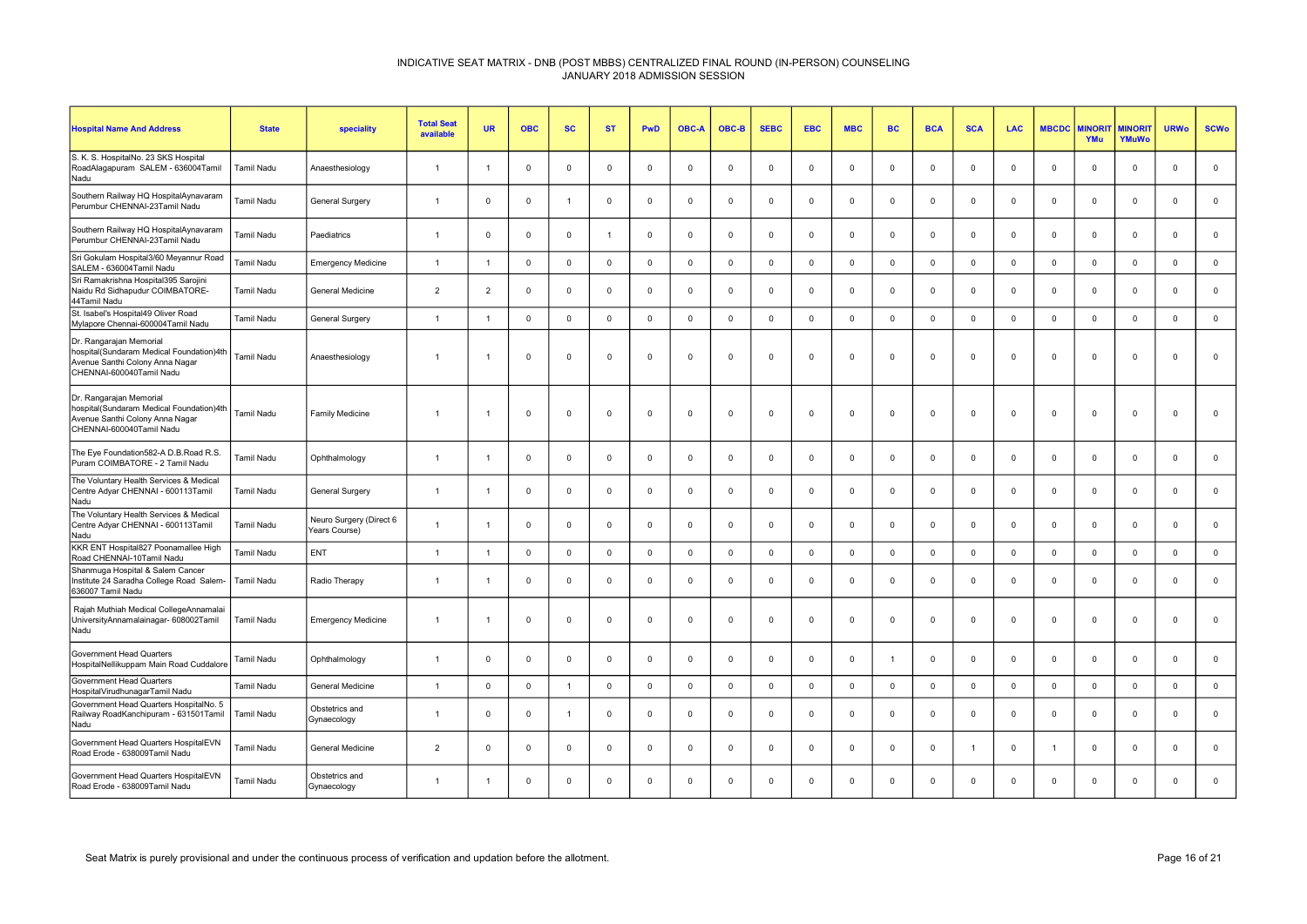| <b>Hospital Name And Address</b>                                                                                                   | <b>State</b>      | speciality                               | <b>Total Seat</b><br>available | <b>UR</b>      | <b>OBC</b>  | <b>SC</b>    | <b>ST</b>      | PwD          | <b>OBC-A</b> | OBC-B        | <b>SEBC</b> | <b>EBC</b>     | <b>MBC</b>          | <b>BC</b>   | <b>BCA</b>     | <b>SCA</b>     | <b>LAC</b>  | <b>MBCDC</b> | <b>MINORI</b><br>YMu | <b>MINORIT</b><br>YMuWo | <b>URWo</b>  | <b>SCWo</b>  |
|------------------------------------------------------------------------------------------------------------------------------------|-------------------|------------------------------------------|--------------------------------|----------------|-------------|--------------|----------------|--------------|--------------|--------------|-------------|----------------|---------------------|-------------|----------------|----------------|-------------|--------------|----------------------|-------------------------|--------------|--------------|
| S. K. S. HospitalNo. 23 SKS Hospital<br>RoadAlagapuram SALEM - 636004Tamil<br>Nadu                                                 | <b>Tamil Nadu</b> | Anaesthesiology                          | $\overline{1}$                 | -1             | $^{\circ}$  | $\Omega$     | $^{\circ}$     | $^{\circ}$   | $\Omega$     | $^{\circ}$   | $\Omega$    | $\Omega$       | $^{\circ}$          | $^{\circ}$  | $\Omega$       | $\Omega$       | $^{\circ}$  | $\Omega$     | $\Omega$             | $^{\circ}$              | $\mathbf{0}$ | $\mathbf 0$  |
| Southern Railway HQ HospitalAynavaram<br>Perumbur CHENNAI-23Tamil Nadu                                                             | Tamil Nadu        | <b>General Surgery</b>                   | $\overline{1}$                 | $\mathbf 0$    | $\mathbf 0$ | $\mathbf{1}$ | $\mathbf 0$    | $\mathbf 0$  | $\mathbf 0$  | $\mathbf 0$  | $\mathbf 0$ | $\overline{0}$ | $\mathbf 0$         | $\mathbf 0$ | $\overline{0}$ | $\Omega$       | $\mathbf 0$ | $\mathbf 0$  | $\mathbf 0$          | $\mathbf 0$             | $\mathbf 0$  | $\mathbf 0$  |
| Southern Railway HQ HospitalAynavaram<br>Perumbur CHENNAI-23Tamil Nadu                                                             | Tamil Nadu        | Paediatrics                              | $\overline{1}$                 | $^{\circ}$     | $\mathbf 0$ | $\mathbf{0}$ | $\overline{1}$ | $\mathbf{0}$ | $\Omega$     | $\mathbf{0}$ | $^{\circ}$  | $\Omega$       | $^{\circ}$          | $\Omega$    | $\mathbf 0$    | $\Omega$       | $^{\circ}$  | $\Omega$     | $\Omega$             | $\mathbf{0}$            | $\mathbf 0$  | $\mathbf{0}$ |
| Sri Gokulam Hospital3/60 Meyannur Road<br>SALEM - 636004Tamil Nadu                                                                 | Tamil Nadu        | <b>Emergency Medicine</b>                | $\overline{1}$                 | $\overline{1}$ | $\mathbf 0$ | $\mathbf 0$  | $\mathbf 0$    | $\mathbf 0$  | $\Omega$     | $\mathbf 0$  | $\mathbf 0$ | $\Omega$       | $\mathsf 0$         | $\mathbf 0$ | $\Omega$       | $\Omega$       | $\mathbf 0$ | $\mathbf 0$  | $\Omega$             | $\mathbf{0}$            | $\mathbf 0$  | $\mathbf 0$  |
| Sri Ramakrishna Hospital395 Sarojini<br>Naidu Rd Sidhapudur COIMBATORE-<br>44Tamil Nadu                                            | Tamil Nadu        | General Medicine                         | $\overline{2}$                 | $\overline{2}$ | $\mathbf 0$ | $\mathbf 0$  | $\mathbf 0$    | $\mathbf 0$  | $\Omega$     | $\mathbf 0$  | $^{\circ}$  | $\mathbf 0$    | $\mathbf 0$         | $\Omega$    | $\mathbf 0$    | $\mathbf 0$    | $^{\circ}$  | $\Omega$     | $\Omega$             | $\mathbf 0$             | $\Omega$     | $\mathbf 0$  |
| St. Isabel's Hospital49 Oliver Road<br>Mylapore Chennai-600004Tamil Nadu                                                           | <b>Tamil Nadu</b> | General Surgery                          | $\mathbf{1}$                   | $\overline{1}$ | $\mathbf 0$ | $\Omega$     | $\mathbf 0$    | $\mathbf 0$  | $\Omega$     | $\mathbf 0$  | $\mathbf 0$ | $\Omega$       | $\mathbf 0$         | $\mathbf 0$ | $\Omega$       | $\Omega$       | $\mathbf 0$ | $\Omega$     | $\Omega$             | $\mathbf{0}$            | $\mathbf 0$  | $\mathbf{0}$ |
| Dr. Rangarajan Memorial<br>hospital(Sundaram Medical Foundation)4th<br>Avenue Santhi Colony Anna Nagar<br>CHENNAI-600040Tamil Nadu | Tamil Nadu        | Anaesthesiology                          | $\overline{1}$                 | -1             | $\mathbf 0$ | $\Omega$     | $^{\circ}$     | $\mathbf{0}$ | $\Omega$     | $\Omega$     | $\Omega$    | $\Omega$       | $\mathbf 0$         | $^{\circ}$  | $\Omega$       | $\Omega$       | $\Omega$    | $\Omega$     | $\Omega$             | $\mathbf{0}$            | $\Omega$     | $\mathbf{0}$ |
| Dr. Rangarajan Memorial<br>hospital(Sundaram Medical Foundation)4th<br>Avenue Santhi Colony Anna Nagar<br>CHENNAI-600040Tamil Nadu | Tamil Nadu        | Family Medicine                          | $\overline{1}$                 | -1             | $\mathsf 0$ | $\mathbf 0$  | $\mathbf 0$    | $\mathbf 0$  | $\mathbf 0$  | $\mathbf 0$  | $\Omega$    | $\mathbf 0$    | $\mathbf 0$         | $\mathbf 0$ | $\overline{0}$ | $\mathbf 0$    | $\Omega$    | $\mathbf 0$  | $\mathbf 0$          | $\mathbf{0}$            | $\mathbf 0$  | $\mathbf 0$  |
| The Eye Foundation582-A D.B.Road R.S.<br>Puram COIMBATORE - 2 Tamil Nadu                                                           | Tamil Nadu        | Ophthalmology                            | $\overline{1}$                 | $\overline{1}$ | $\mathbf 0$ | $\mathbf 0$  | $\mathbf 0$    | $\mathbf 0$  | $\Omega$     | $\mathbf 0$  | $\Omega$    | $\Omega$       | $\mathbf 0$         | $^{\circ}$  | $\overline{0}$ | $\mathbf 0$    | $^{\circ}$  | $\mathbf 0$  | $\mathbf 0$          | $\mathbf 0$             | $\mathbf{0}$ | $\mathbf 0$  |
| The Voluntary Health Services & Medical<br>Centre Adyar CHENNAI - 600113Tamil<br>Nadu                                              | <b>Tamil Nadu</b> | <b>General Surgery</b>                   | $\overline{1}$                 | $\overline{1}$ | $\mathbf 0$ | $\mathbf 0$  | $\mathbf 0$    | $\mathsf 0$  | $\Omega$     | $\mathsf 0$  | $\mathbf 0$ | $\Omega$       | $\mathbf 0$         | $\mathbf 0$ | $\overline{0}$ | $\Omega$       | $\mathbf 0$ | $\mathbf 0$  | $\mathbf 0$          | $\mathbf 0$             | $\mathbf 0$  | $\mathbf 0$  |
| The Voluntary Health Services & Medical<br>Centre Adyar CHENNAI - 600113Tamil<br>Nadu                                              | <b>Tamil Nadu</b> | Neuro Surgery (Direct 6<br>Years Course) | $\overline{1}$                 | $\overline{1}$ | $\mathbf 0$ | $\mathbf 0$  | $\mathbf 0$    | $\mathbf 0$  | $\Omega$     | $\mathbf 0$  | $\Omega$    | $\overline{0}$ | $\mathbf 0$         | $\Omega$    | $\mathbf 0$    | $\mathbf 0$    | $\mathbf 0$ | $\mathbf 0$  | $\mathbf 0$          | $\mathbf{0}$            | $\Omega$     | $\mathbf 0$  |
| KKR ENT Hospital827 Poonamallee High<br>Road CHENNAI-10Tamil Nadu                                                                  | <b>Tamil Nadu</b> | ENT                                      | $\overline{1}$                 | $\overline{1}$ | $\mathbf 0$ | $\mathbf 0$  | $\mathbf 0$    | $\mathbf 0$  | $\Omega$     | $\mathbf 0$  | $\mathbf 0$ | $\Omega$       | $\mathsf{O}\xspace$ | $\mathbf 0$ | $\mathbf 0$    | $\mathbf 0$    | $\mathbf 0$ | $\mathbf 0$  | $\mathbf{0}$         | $\mathbf 0$             | $\mathbf 0$  | $\mathbf 0$  |
| Shanmuga Hospital & Salem Cancer<br>Institute 24 Saradha College Road Salem-<br>636007 Tamil Nadu                                  | Tamil Nadu        | Radio Therapy                            | $\overline{1}$                 | $\overline{1}$ | $\mathbf 0$ | $\mathbf{0}$ | $\mathbf 0$    | $\mathbf{0}$ | $\Omega$     | $\mathbf{0}$ | $^{\circ}$  | $\Omega$       | $\mathbf 0$         | $^{\circ}$  | $\Omega$       | $\Omega$       | $\mathbf 0$ | $\Omega$     | $\Omega$             | $\mathbf{0}$            | $\Omega$     | $\mathbf 0$  |
| Rajah Muthiah Medical CollegeAnnamalai<br>UniversityAnnamalainagar- 608002Tamil<br>Nadu                                            | Tamil Nadu        | <b>Emergency Medicine</b>                | $\overline{1}$                 | $\overline{1}$ | $\mathbf 0$ | $\Omega$     | $\mathbf 0$    | $\mathbf 0$  | $\Omega$     | $\mathbf 0$  | $\mathbf 0$ | $\Omega$       | $\mathbf 0$         | $\mathbf 0$ | $\overline{0}$ | $\Omega$       | $\mathbf 0$ | $\Omega$     | $\mathbf{0}$         | $^{\circ}$              | $\mathbf 0$  | $\mathbf 0$  |
| Government Head Quarters<br>HospitalNellikuppam Main Road Cuddalore                                                                | Tamil Nadu        | Ophthalmology                            | $\overline{1}$                 | $\mathbf 0$    | $\mathbf 0$ | 0            | $\mathbf 0$    | $\mathbf 0$  | $\Omega$     | $\mathbf 0$  | $\Omega$    | $\mathbf 0$    | $\mathbf 0$         |             | $\overline{0}$ | $\mathbf 0$    | $\Omega$    | $\mathbf 0$  | $\mathbf 0$          | $\mathbf 0$             | $\mathbf 0$  | $\mathbf 0$  |
| Government Head Quarters<br>HospitalVirudhunagarTamil Nadu                                                                         | <b>Tamil Nadu</b> | <b>General Medicine</b>                  | $\mathbf{1}$                   | $\mathbf 0$    | $\mathbf 0$ | $\mathbf{1}$ | $\mathbf 0$    | $\mathbf 0$  | $\Omega$     | $\mathbf 0$  | $\mathbf 0$ | $\Omega$       | $\mathbf 0$         | $\mathbf 0$ | $\Omega$       | $\Omega$       | $\mathbf 0$ | $\Omega$     | $\Omega$             | $\mathbf{0}$            | $\mathbf 0$  | $\mathbf{0}$ |
| Government Head Quarters HospitalNo. 5<br>Railway RoadKanchipuram - 631501Tamil<br>Nadu                                            | Tamil Nadu        | Obstetrics and<br>Gynaecology            | $\overline{1}$                 | $\Omega$       | $\mathbf 0$ | 1            | $\mathbf 0$    | $\mathbf 0$  | $\Omega$     | $\mathbf{0}$ | $\Omega$    | $\Omega$       | $\mathbf 0$         | $\Omega$    | $\mathbf 0$    | $\Omega$       | $\Omega$    | $\Omega$     | $\Omega$             | $\mathbf{0}$            | $\Omega$     | $\mathbf 0$  |
| Government Head Quarters HospitalEVN<br>Road Erode - 638009Tamil Nadu                                                              | Tamil Nadu        | General Medicine                         | $\overline{2}$                 | $\Omega$       | $\mathsf 0$ | $\mathbf 0$  | $\mathsf 0$    | $\mathsf 0$  | $\mathbf 0$  | $\mathsf 0$  | $^{\circ}$  | $\mathbf 0$    | $\mathsf 0$         | $\mathbf 0$ | $\mathbf 0$    | $\overline{1}$ | $\mathbf 0$ | 1            | $\mathbf 0$          | $\mathbf{0}$            | $\Omega$     | $\mathsf 0$  |
| Government Head Quarters HospitalEVN<br>Road Erode - 638009Tamil Nadu                                                              | <b>Tamil Nadu</b> | Obstetrics and<br>Gynaecology            | $\overline{1}$                 | -1             | $\Omega$    | $\Omega$     | $^{\circ}$     | $\mathbf 0$  | $\Omega$     | $\mathbf{0}$ | $\Omega$    | $\Omega$       | $\mathbf 0$         | $^{\circ}$  | $\Omega$       | $\Omega$       | $\Omega$    | $\Omega$     | $\Omega$             | $\mathbf{0}$            | $\Omega$     | $\Omega$     |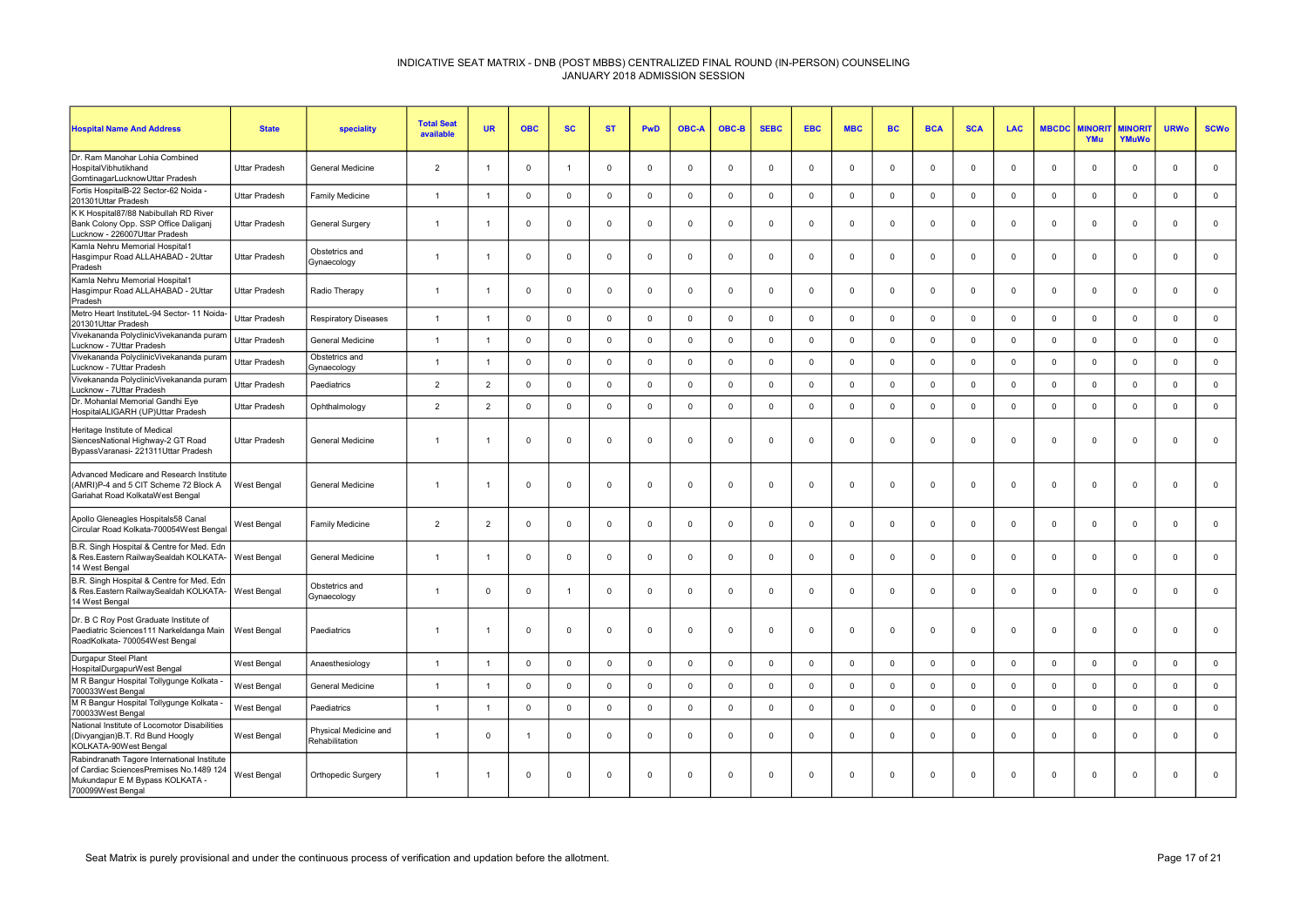| <b>Hospital Name And Address</b>                                                                                                               | <b>State</b>         | speciality                              | <b>Total Seat</b><br>available | <b>UR</b>                | <b>OBC</b>  | <b>SC</b>    | <b>ST</b>   | <b>PwD</b>   | <b>OBC-A</b> | OBC-B        | <b>SEBC</b> | <b>EBC</b>     | <b>MBC</b>          | <b>BC</b>   | <b>BCA</b>     | <b>SCA</b>  | <b>LAC</b>  | <b>MBCDC</b> | <b><i>INORI</i></b><br>YMu | <b>MINORIT</b><br>YMuWo | <b>URWo</b>    | <b>SCWo</b>  |
|------------------------------------------------------------------------------------------------------------------------------------------------|----------------------|-----------------------------------------|--------------------------------|--------------------------|-------------|--------------|-------------|--------------|--------------|--------------|-------------|----------------|---------------------|-------------|----------------|-------------|-------------|--------------|----------------------------|-------------------------|----------------|--------------|
| Dr. Ram Manohar Lohia Combined<br>HospitalVibhutikhand<br>GomtinagarLucknowUttar Pradesh                                                       | <b>Uttar Pradesh</b> | <b>General Medicine</b>                 | $\overline{2}$                 | $\overline{1}$           | $\mathbf 0$ | 1            | $^{\circ}$  | $\mathbf 0$  | $\Omega$     | $\mathbf{0}$ | $^{\circ}$  | $\Omega$       | $\mathbf 0$         | $^{\circ}$  | $\Omega$       | $\Omega$    | $\mathbf 0$ | $\Omega$     | $\Omega$                   | $\mathbf{0}$            | $\overline{0}$ | $\mathbf 0$  |
| Fortis HospitalB-22 Sector-62 Noida -<br>201301Uttar Pradesh                                                                                   | <b>Uttar Pradesh</b> | Family Medicine                         | $\overline{1}$                 | $\overline{1}$           | $\mathbf 0$ | $\mathbf 0$  | $\mathbf 0$ | $\mathsf 0$  | $\mathbf 0$  | $\mathbf 0$  | $\mathbf 0$ | $\mathbf 0$    | $\mathbf 0$         | $\mathbf 0$ | $\mathbf 0$    | $\mathbf 0$ | $\mathbf 0$ | $\mathbf 0$  | $\mathbf 0$                | $\mathsf 0$             | $\mathbf 0$    | $\mathbf 0$  |
| K K Hospital87/88 Nabibullah RD River<br>Bank Colony Opp. SSP Office Daliganj<br>Lucknow - 226007Uttar Pradesh                                 | <b>Uttar Pradesh</b> | <b>General Surgery</b>                  | $\overline{1}$                 | $\overline{1}$           | $\mathbf 0$ | $\Omega$     | $\mathbf 0$ | $\mathbf 0$  | $\Omega$     | $\mathbf{0}$ | $^{\circ}$  | $\Omega$       | $\mathbf 0$         | $\mathbf 0$ | $\Omega$       | $\Omega$    | $\mathbf 0$ | $\Omega$     | $\mathbf{0}$               | $\mathbf{0}$            | $\Omega$       | $\mathbf 0$  |
| Kamla Nehru Memorial Hospital1<br>Hasgimpur Road ALLAHABAD - 2Uttar<br>Pradesh                                                                 | Uttar Pradesh        | Obstetrics and<br>Gynaecology           | $\overline{1}$                 | -1                       | $\mathbf 0$ | $\mathbf{0}$ | $\mathbf 0$ | $\mathbf{0}$ | $\Omega$     | $\mathbf{0}$ | $^{\circ}$  | $\Omega$       | $\mathbf 0$         | $^{\circ}$  | $\Omega$       | $\Omega$    | $^{\circ}$  | $\Omega$     | $^{\circ}$                 | $\mathbf{0}$            | $\mathbf{0}$   | $\mathbf 0$  |
| Kamla Nehru Memorial Hospital1<br>Hasgimpur Road ALLAHABAD - 2Uttar<br>Pradesh                                                                 | <b>Uttar Pradesh</b> | Radio Therapy                           | $\overline{1}$                 | $\overline{1}$           | $\mathbf 0$ | $\Omega$     | $^{\circ}$  | $\mathbf 0$  | $\Omega$     | $\mathbf{0}$ | $^{\circ}$  | $\Omega$       | $\mathbf 0$         | $\Omega$    | $\mathbf 0$    | $\Omega$    | $\mathbf 0$ | $\Omega$     | $\Omega$                   | $\mathbf{0}$            | $\Omega$       | $\mathbf 0$  |
| Metro Heart InstituteL-94 Sector- 11 Noida-<br>201301Uttar Pradesh                                                                             | <b>Uttar Pradesh</b> | <b>Respiratory Diseases</b>             | $\mathbf{1}$                   | $\overline{1}$           | $\mathbf 0$ | $\Omega$     | $\mathbf 0$ | $\mathbf 0$  | $\Omega$     | $\mathbf{0}$ | $\mathbf 0$ | $\Omega$       | $\mathbf 0$         | $\Omega$    | $\Omega$       | $\Omega$    | $\mathbf 0$ | $\Omega$     | $\Omega$                   | $\mathbf{0}$            | $\mathbf 0$    | $\mathbf{0}$ |
| Vivekananda PolyclinicVivekananda puram<br>Lucknow - 7Uttar Pradesh                                                                            | <b>Uttar Pradesh</b> | General Medicine                        | $\overline{1}$                 | $\overline{1}$           | $\mathsf 0$ | $\mathbf 0$  | $\mathsf 0$ | $\mathsf 0$  | $\Omega$     | $\mathsf 0$  | $\mathbf 0$ | $\overline{0}$ | $\mathsf 0$         | $\Omega$    | $\mathsf 0$    | $\mathbf 0$ | $\mathbf 0$ | $\mathbf 0$  | $\mathbf 0$                | $\mathbf{0}$            | $\mathsf 0$    | $\mathbf 0$  |
| Vivekananda PolyclinicVivekananda puram<br>Lucknow - 7Uttar Pradesh                                                                            | <b>Uttar Pradesh</b> | Obstetrics and<br>Gynaecology           | $\overline{1}$                 | $\overline{1}$           | $\mathbf 0$ | $\Omega$     | $\mathsf 0$ | $\mathbf 0$  | $\Omega$     | $\mathbf 0$  | $\mathbf 0$ | $\Omega$       | $\mathsf{O}\xspace$ | $\mathbf 0$ | $\mathbf 0$    | $\Omega$    | $\Omega$    | $\Omega$     | $\mathbf 0$                | $\mathbf{0}$            | $\mathbf 0$    | $\mathsf 0$  |
| Vivekananda PolyclinicVivekananda puram<br>Lucknow - 7Uttar Pradesh                                                                            | Uttar Pradesh        | Paediatrics                             | $\overline{2}$                 | $\overline{2}$           | $\Omega$    | $\mathbf 0$  | $\mathbf 0$ | $\mathbf{0}$ | $\Omega$     | $\Omega$     | $\Omega$    | $\Omega$       | $\mathbf 0$         | $\Omega$    | $\Omega$       | $\Omega$    | $\Omega$    | 0            | $\Omega$                   | $\Omega$                | $\Omega$       | $\mathsf 0$  |
| Dr. Mohanlal Memorial Gandhi Eye<br>HospitalALIGARH (UP)Uttar Pradesh                                                                          | <b>Uttar Pradesh</b> | Ophthalmology                           | $\overline{2}$                 | $\overline{2}$           | $\mathbf 0$ | $\mathbf 0$  | $\mathbf 0$ | $\mathbf 0$  | $\Omega$     | $\mathbf 0$  | $\mathbf 0$ | $\Omega$       | $\mathsf{O}\xspace$ | $\mathbf 0$ | $\mathbf 0$    | $\Omega$    | $\mathbf 0$ | $\Omega$     | $\mathbf 0$                | $\mathbf{0}$            | $\Omega$       | $\mathsf 0$  |
| Heritage Institute of Medical<br>SiencesNational Highway-2 GT Road<br>BypassVaranasi- 221311Uttar Pradesh                                      | Uttar Pradesh        | General Medicine                        | $\overline{1}$                 | -1                       | $\mathbf 0$ | $\mathbf 0$  | $\mathbf 0$ | $\mathbf 0$  | $\Omega$     | $\mathbf 0$  | $\Omega$    | $\Omega$       | 0                   | $^{\circ}$  | $\mathbf 0$    | $\Omega$    | $\Omega$    | $\Omega$     | $\mathbf 0$                | $\mathbf{0}$            | $\Omega$       | $\mathbf 0$  |
| Advanced Medicare and Research Institute<br>(AMRI)P-4 and 5 CIT Scheme 72 Block A<br>Gariahat Road KolkataWest Bengal                          | West Bengal          | General Medicine                        | $\overline{1}$                 | $\overline{\phantom{0}}$ | $\mathbf 0$ | $\mathbf 0$  | $\mathbf 0$ | $\mathbf 0$  | $\mathbf 0$  | $\mathbf 0$  | $^{\circ}$  | $\Omega$       | $\mathbf 0$         | $\mathbf 0$ | $\overline{0}$ | $\mathbf 0$ | 0           | $\Omega$     | $\mathbf 0$                | $\mathbf{0}$            | $\mathbf 0$    | $\mathbf 0$  |
| Apollo Gleneagles Hospitals58 Canal<br>Circular Road Kolkata-700054West Benga                                                                  | West Bengal          | Family Medicine                         | $\overline{2}$                 | $\overline{2}$           | $\Omega$    | $\Omega$     | $^{\circ}$  | $\mathbf 0$  | $\Omega$     | $\mathbf{0}$ | $\Omega$    | $\Omega$       | $\mathbf 0$         | $\Omega$    | $\Omega$       | $\Omega$    | $\Omega$    | $\Omega$     | $\Omega$                   | $\Omega$                | $\Omega$       | $\mathbf 0$  |
| B.R. Singh Hospital & Centre for Med. Edn<br>& Res.Eastern RailwaySealdah KOLKATA-<br>14 West Bengal                                           | West Bengal          | <b>General Medicine</b>                 | $\overline{1}$                 | -1                       | $\Omega$    | $\Omega$     | $^{\circ}$  | $\mathbf 0$  | $\Omega$     | $\mathbf{0}$ | $\Omega$    | $\Omega$       | $\mathbf 0$         | $\Omega$    | $\Omega$       | $\Omega$    | $\Omega$    | $\Omega$     | $\Omega$                   | $\mathbf{0}$            | $\Omega$       | $\mathbf{0}$ |
| B.R. Singh Hospital & Centre for Med. Edn<br>& Res.Eastern RailwaySealdah KOLKATA-<br>14 West Bengal                                           | West Bengal          | Obstetrics and<br>Gynaecology           | $\overline{1}$                 | $\mathbf 0$              | $\mathbf 0$ | 1            | $\mathbf 0$ | $\mathbf 0$  | $\mathbf 0$  | $\mathbf 0$  | $\mathbf 0$ | $\mathbf 0$    | 0                   | $\mathbf 0$ | $\mathbf 0$    | $\mathbf 0$ | 0           | $\mathbf 0$  | $\mathbf 0$                | $\mathbf 0$             | $\overline{0}$ | $\mathbf 0$  |
| Dr. B C Roy Post Graduate Institute of<br>Paediatric Sciences111 Narkeldanga Main<br>RoadKolkata- 700054West Bengal                            | West Bengal          | Paediatrics                             | $\overline{1}$                 | $\overline{1}$           | $\mathbf 0$ | $\mathbf 0$  | $\mathbf 0$ | $\mathbf 0$  | $\mathbf 0$  | $\mathbf 0$  | $\mathbf 0$ | $\Omega$       | $\mathbf 0$         | $\mathbf 0$ | $\overline{0}$ | $\mathbf 0$ | $\Omega$    | $\mathbf 0$  | $\mathbf 0$                | $\mathbf 0$             | $\mathbf 0$    | $\mathbf 0$  |
| Durgapur Steel Plant<br>HospitalDurgapurWest Bengal                                                                                            | West Bengal          | Anaesthesiology                         | $\overline{1}$                 | $\overline{1}$           | $\mathbf 0$ | $\Omega$     | $\mathbf 0$ | $\mathbf 0$  | $\Omega$     | $\Omega$     | $\mathbf 0$ | $\Omega$       | $\mathbf 0$         | $\Omega$    | $\Omega$       | $\Omega$    | $\mathbf 0$ | $\Omega$     | $\Omega$                   | $\mathbf 0$             | $\Omega$       | $\mathbf 0$  |
| M R Bangur Hospital Tollygunge Kolkata<br>700033West Bengal                                                                                    | West Bengal          | General Medicine                        | $\overline{1}$                 | $\overline{1}$           | $\mathbf 0$ | $\mathbf 0$  | $\mathbf 0$ | $\mathsf 0$  | $\mathbf 0$  | $\mathbf{0}$ | $\mathbf 0$ | $\overline{0}$ | $\mathsf 0$         | $\mathbf 0$ | $\mathbf 0$    | $\mathbf 0$ | $\mathbf 0$ | $\mathbf 0$  | $\mathbf 0$                | $\mathbf{0}$            | $\mathsf 0$    | $\mathbf 0$  |
| M R Bangur Hospital Tollygunge Kolkata -<br>700033West Bengal                                                                                  | West Bengal          | Paediatrics                             | $\overline{1}$                 | $\overline{1}$           | $\mathbf 0$ | $\mathbf 0$  | $\mathbf 0$ | $\mathbf 0$  | $\Omega$     | $\mathbf 0$  | $\mathbf 0$ | $\Omega$       | $\mathsf{O}\xspace$ | $\Omega$    | $\mathbf 0$    | $\Omega$    | $\mathbf 0$ | $\Omega$     | $\Omega$                   | $\mathbf{0}$            | $\Omega$       | $\mathbf 0$  |
| National Institute of Locomotor Disabilities<br>(Divyangjan) B.T. Rd Bund Hoogly<br>KOLKATA-90West Bengal                                      | West Bengal          | Physical Medicine and<br>Rehabilitation | $\overline{1}$                 | $\mathbf 0$              | - 1         | $\mathbf 0$  | $\mathbf 0$ | $\mathbf 0$  | $\mathbf 0$  | $\mathbf 0$  | $\mathbf 0$ | $\mathbf 0$    | $\mathbf 0$         | $\mathbf 0$ | $\overline{0}$ | 0           | $^{\circ}$  | $\mathbf 0$  | $\mathbf 0$                | $\mathbf{0}$            | $\overline{0}$ | $\mathbf 0$  |
| Rabindranath Tagore International Institute<br>of Cardiac SciencesPremises No.1489 124<br>Mukundapur E M Bypass KOLKATA -<br>700099West Bengal | West Bengal          | Orthopedic Surgery                      | $\overline{1}$                 | $\overline{1}$           | $\mathbf 0$ | $\mathbf 0$  | $\mathbf 0$ | $\mathbf 0$  | $\mathbf 0$  | $\mathbf 0$  | $\Omega$    | $\mathbf 0$    | $\mathbf 0$         | $\mathbf 0$ | $\overline{0}$ | $\mathbf 0$ | 0           | 0            | $\mathbf 0$                | $\mathbf 0$             | $\mathbf 0$    | $\mathbf 0$  |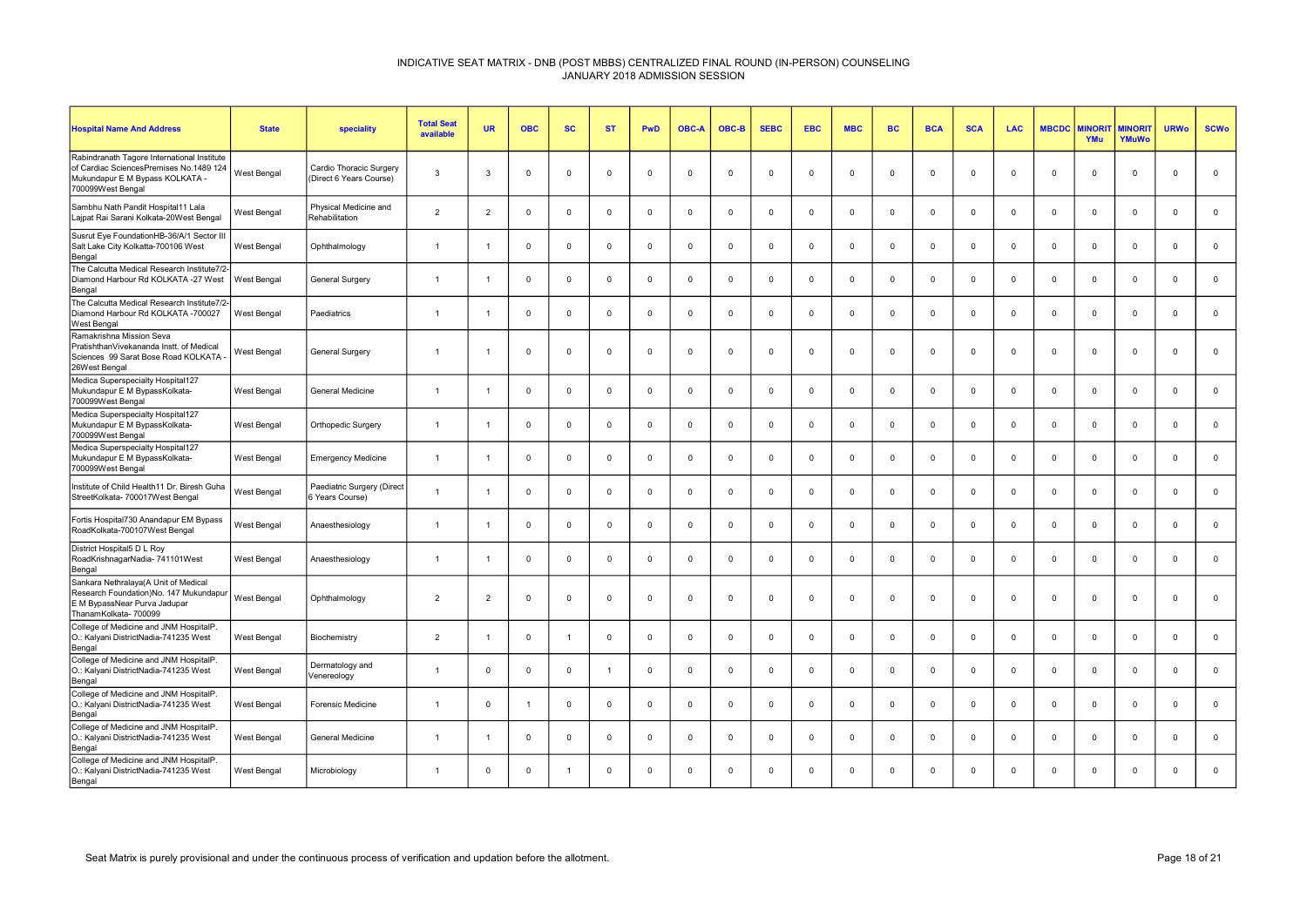| <b>Hospital Name And Address</b>                                                                                                               | <b>State</b> | speciality                                         | <b>Total Seat</b><br>available | <b>UR</b>      | <b>OBC</b>     | <b>SC</b>      | <b>ST</b>      | <b>PwD</b>     | <b>OBC-A</b> | OBC-B       | <b>SEBC</b> | <b>EBC</b>  | <b>MBC</b>  | <b>BC</b>   | <b>BCA</b>  | <b>SCA</b>  | <b>LAC</b>  | <b>MBCDC</b> | <b>MINORI</b><br>YMu | <b>MINORIT</b><br><b>YMuWo</b> | <b>URWo</b>    | <b>SCWo</b>  |
|------------------------------------------------------------------------------------------------------------------------------------------------|--------------|----------------------------------------------------|--------------------------------|----------------|----------------|----------------|----------------|----------------|--------------|-------------|-------------|-------------|-------------|-------------|-------------|-------------|-------------|--------------|----------------------|--------------------------------|----------------|--------------|
| Rabindranath Tagore International Institute<br>of Cardiac SciencesPremises No.1489 124<br>Mukundapur E M Bypass KOLKATA -<br>700099West Bengal | West Bengal  | Cardio Thoracic Surgery<br>(Direct 6 Years Course) | 3                              | -3             | $\Omega$       | $\mathbf{0}$   | $\Omega$       | $\Omega$       | $\Omega$     | $\Omega$    | $\Omega$    | $\Omega$    | $\mathbf 0$ | $\mathbf 0$ | $\Omega$    | $\Omega$    | $^{\circ}$  | $\Omega$     | $^{\circ}$           | $\mathbf 0$                    | $\Omega$       | $\mathbf{0}$ |
| Sambhu Nath Pandit Hospital11 Lala<br>Lajpat Rai Sarani Kolkata-20West Bengal                                                                  | West Bengal  | Physical Medicine and<br>Rehabilitation            | $\overline{2}$                 | 2              | $\Omega$       | $\mathbf 0$    | $\Omega$       | $\overline{0}$ | $\Omega$     | $\Omega$    | $\Omega$    | $\mathbf 0$ | $\mathbf 0$ | $\mathbf 0$ | $\Omega$    | $\Omega$    | $\mathbf 0$ | $\mathbf 0$  | $\mathbf 0$          | $\mathbf 0$                    | $\overline{0}$ | $\mathbf 0$  |
| Susrut Eye FoundationHB-36/A/1 Sector III<br>Salt Lake City Kolkatta-700106 West<br>Bengal                                                     | West Bengal  | Ophthalmology                                      | $\overline{1}$                 |                | $\Omega$       | $\mathbf{0}$   | $\Omega$       | $\Omega$       | $\Omega$     | $\Omega$    | $\Omega$    | $\Omega$    | $\mathbf 0$ | $\mathbf 0$ | $\Omega$    | $\Omega$    | $\mathbf 0$ | $\Omega$     | $\mathbf{0}$         | $\mathbf 0$                    | $\Omega$       | $\mathbf 0$  |
| The Calcutta Medical Research Institute7/2<br>Diamond Harbour Rd KOLKATA -27 West<br>Bengal                                                    | West Bengal  | <b>General Surgery</b>                             | $\overline{1}$                 |                | $\mathbf 0$    | $\mathbf 0$    | $\mathbf{0}$   | $\mathbf 0$    | $^{\circ}$   | $\mathbf 0$ | $\mathbf 0$ | $\mathbf 0$ | $\mathbf 0$ | $\mathsf 0$ | $\mathbf 0$ | $\mathbf 0$ | $\mathbf 0$ | $\mathbf 0$  | $\mathbf 0$          | $\mathsf 0$                    | $\overline{0}$ | $\mathbf 0$  |
| The Calcutta Medical Research Institute7/2<br>Diamond Harbour Rd KOLKATA -700027<br><b>West Bengal</b>                                         | West Bengal  | Paediatrics                                        | $\overline{1}$                 |                | $\overline{0}$ | $\mathbf 0$    | $\Omega$       | $\mathbf 0$    | $\Omega$     | $^{\circ}$  | $\mathbf 0$ | $\mathbf 0$ | $\mathbf 0$ | $\mathbf 0$ | $\mathbf 0$ | $^{\circ}$  | $\mathbf 0$ | $\mathbf 0$  | $\mathbf 0$          | $\mathbf 0$                    | $\overline{0}$ | $\mathbf 0$  |
| Ramakrishna Mission Seva<br>PratishthanVivekananda Instt. of Medical<br>Sciences 99 Sarat Bose Road KOLKATA<br>26West Bengal                   | West Bengal  | General Surgery                                    | $\overline{1}$                 |                | $\mathbf 0$    | $\mathbf{0}$   | $\mathbf{0}$   | $\mathbf 0$    | $^{\circ}$   | $^{\circ}$  | $\mathbf 0$ | $\mathbf 0$ | $\mathbf 0$ | $\mathbf 0$ | $\mathbf 0$ | $^{\circ}$  | $\mathbf 0$ | $\mathbf 0$  | $^{\circ}$           | $\mathbf 0$                    | $\overline{0}$ | $\mathbf{0}$ |
| Medica Superspecialty Hospital127<br>Mukundapur E M BypassKolkata-<br>700099West Bengal                                                        | West Bengal  | General Medicine                                   |                                |                | $\overline{0}$ | $\mathbf 0$    | $\Omega$       | $\mathbf 0$    | $^{\circ}$   | $\Omega$    | $\Omega$    | $\mathbf 0$ | $\mathbf 0$ | $\mathbf 0$ | $\mathbf 0$ | $\Omega$    | $\mathbf 0$ | $\Omega$     | $\mathbf 0$          | $\mathsf 0$                    | $\overline{0}$ | $\mathbf 0$  |
| Medica Superspecialty Hospital127<br>Mukundapur E M BypassKolkata-<br>700099West Bengal                                                        | West Bengal  | Orthopedic Surgery                                 | $\overline{1}$                 |                | $\Omega$       | $\mathbf{0}$   | $\Omega$       | $\Omega$       | $\Omega$     | $^{\circ}$  | $\Omega$    | $\Omega$    | $^{\circ}$  | $\mathbf 0$ | $\Omega$    | $^{\circ}$  | $^{\circ}$  | $\Omega$     | $^{\circ}$           | $^{\circ}$                     | $\Omega$       | $\mathbf 0$  |
| Medica Superspecialty Hospital127<br>Mukundapur E M BypassKolkata-<br>700099West Bengal                                                        | West Bengal  | <b>Emergency Medicine</b>                          | $\overline{1}$                 |                | $\overline{0}$ | $\mathbf 0$    | $\mathbf 0$    | $\mathbf 0$    | $^{\circ}$   | $\mathbf 0$ | $\mathbf 0$ | $\mathbf 0$ | $\mathbf 0$ | $\mathsf 0$ | $\mathbf 0$ | $\mathbf 0$ | $\mathbf 0$ | $\mathbf 0$  | $\mathbf 0$          | $\mathbf 0$                    | $\overline{0}$ | $\mathbf 0$  |
| Institute of Child Health11 Dr. Biresh Guha<br>StreetKolkata- 700017West Bengal                                                                | West Bengal  | Paediatric Surgery (Direct<br>6 Years Course)      |                                |                | $\Omega$       | $^{\circ}$     | $\Omega$       | $\Omega$       | $\Omega$     | $^{\circ}$  | $\Omega$    | $\Omega$    | $^{\circ}$  | $\mathbf 0$ | $\Omega$    | $^{\circ}$  | $\mathbf 0$ | $\Omega$     | $^{\circ}$           | $\mathbf 0$                    | $\Omega$       | $\mathbf 0$  |
| Fortis Hospital730 Anandapur EM Bypass<br>RoadKolkata-700107West Bengal                                                                        | West Bengal  | Anaesthesiology                                    | $\overline{1}$                 |                | $\overline{0}$ | $\mathbf 0$    | $\Omega$       | $\mathbf 0$    | $\Omega$     | $^{\circ}$  | $\Omega$    | $\mathbf 0$ | $^{\circ}$  | $\mathbf 0$ | $\Omega$    | $^{\circ}$  | $\mathbf 0$ | $\Omega$     | $\mathbf 0$          | $\mathbf 0$                    | $\Omega$       | $\mathbf 0$  |
| District Hospital5 D L Roy<br>RoadKrishnagarNadia- 741101West<br>Bengal                                                                        | West Bengal  | Anaesthesiology                                    | $\overline{1}$                 |                | $^{\circ}$     | $\mathbf 0$    | $\Omega$       | $\overline{0}$ | $\Omega$     | $^{\circ}$  | $\Omega$    | $\Omega$    | $\mathbf 0$ | $\mathbf 0$ | $\Omega$    | $\Omega$    | $\mathbf 0$ | $\Omega$     | $^{\circ}$           | $\mathbf 0$                    | $\Omega$       | $\mathbf 0$  |
| Sankara Nethralaya(A Unit of Medical<br>Research Foundation)No. 147 Mukundapur<br>E M BypassNear Purva Jadupar<br>ThanamKolkata- 700099        | West Bengal  | Ophthalmology                                      | $\overline{2}$                 | $\overline{2}$ | $\mathbf 0$    | $\mathbf 0$    | $\mathbf{0}$   | $\mathbf 0$    | $^{\circ}$   | $\mathbf 0$ | $\mathbf 0$ | $\mathbf 0$ | $\mathbf 0$ | $\mathbf 0$ | $\mathbf 0$ | $\mathbf 0$ | $\mathbf 0$ | $\mathbf 0$  | $\mathbf 0$          | $\mathbf 0$                    | $\mathbf 0$    | $\mathbf 0$  |
| College of Medicine and JNM HospitalP<br>O.: Kalyani DistrictNadia-741235 West<br>Bengal                                                       | West Bengal  | Biochemistry                                       | $\overline{2}$                 |                | $\Omega$       | $\overline{1}$ | $\Omega$       | $\Omega$       | $\Omega$     | $\mathbf 0$ | $\Omega$    | $\Omega$    | $\mathbf 0$ | $\mathbf 0$ | $\Omega$    | $^{\circ}$  | $\mathbf 0$ | $\Omega$     | $\mathbf{0}$         | $\mathbf 0$                    | $\Omega$       | $\mathbf 0$  |
| College of Medicine and JNM HospitalP.<br>O.: Kalyani DistrictNadia-741235 West<br>Bengal                                                      | West Bengal  | Dermatology and<br>Venereology                     | $\overline{1}$                 | $\Omega$       | $\Omega$       | $\mathbf{0}$   | $\overline{1}$ | $\Omega$       | $\Omega$     | $\Omega$    | $\Omega$    | $\Omega$    | $^{\circ}$  | $\mathbf 0$ | $\Omega$    | $\Omega$    | $^{\circ}$  | $\Omega$     | $^{\circ}$           | $\mathbf 0$                    | $\Omega$       | $^{\circ}$   |
| College of Medicine and JNM HospitalP.<br>O.: Kalyani DistrictNadia-741235 West<br>Bengal                                                      | West Bengal  | <b>Forensic Medicine</b>                           |                                | $\Omega$       | $\mathbf{1}$   | $\mathbf 0$    | $\Omega$       | $\mathbf 0$    | $\Omega$     | $\Omega$    | $\Omega$    | $\Omega$    | $\mathbf 0$ | $\mathbf 0$ | $\Omega$    | $\Omega$    | $\mathbf 0$ | $\Omega$     | $\mathbf{0}$         | $\mathsf 0$                    | $\Omega$       | $\mathbf 0$  |
| College of Medicine and JNM HospitalP.<br>O.: Kalyani DistrictNadia-741235 West<br>Bengal                                                      | West Bengal  | General Medicine                                   | $\overline{1}$                 |                | $\overline{0}$ | $\mathbf 0$    | $\mathbf{0}$   | $\mathbf 0$    | $^{\circ}$   | $\mathbf 0$ | $\mathbf 0$ | $\mathbf 0$ | $\mathbf 0$ | $\mathbf 0$ | $\mathbf 0$ | $\mathbf 0$ | $\mathbf 0$ | $\mathbf 0$  | $\mathbf 0$          | $\mathbf 0$                    | $\overline{0}$ | $\mathbf 0$  |
| College of Medicine and JNM HospitalP.<br>O.: Kalyani DistrictNadia-741235 West<br>Bengal                                                      | West Bengal  | Microbiology                                       | $\overline{1}$                 | $\Omega$       | $\overline{0}$ | 1              | $\Omega$       | $\Omega$       | $\Omega$     | $\Omega$    | $\Omega$    | $\Omega$    | $\Omega$    | $\mathbf 0$ | $\Omega$    | $\Omega$    | $\mathbf 0$ | $\Omega$     | $\mathbf 0$          | $\mathbf 0$                    | $\Omega$       | $\mathbf 0$  |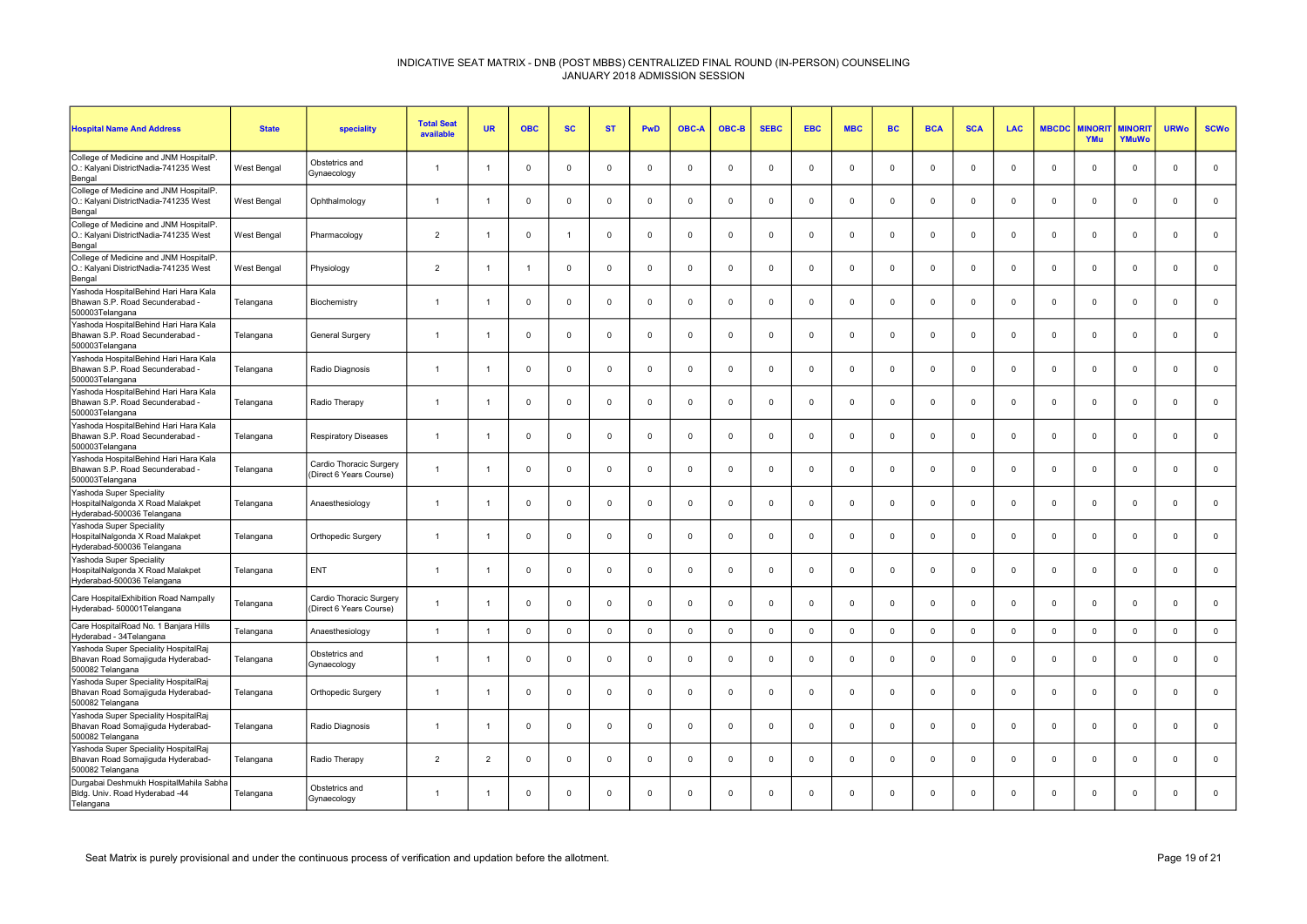| <b>Hospital Name And Address</b>                                                              | <b>State</b> | speciality                                         | <b>Total Seat</b><br>available | <b>UR</b>      | <b>OBC</b>     | <b>SC</b>    | <b>ST</b>   | <b>PwD</b>     | <b>OBC-A</b> | OBC-B        | <b>SEBC</b> | <b>EBC</b>     | <b>MBC</b>   | <b>BC</b>   | <b>BCA</b>  | <b>SCA</b>  | <b>LAC</b>  | <b>MBCDC</b> | <b><i>INORI</i></b><br>YMu | <b>MINORIT</b><br>YMuWo | <b>URWo</b>    | <b>SCWo</b>  |
|-----------------------------------------------------------------------------------------------|--------------|----------------------------------------------------|--------------------------------|----------------|----------------|--------------|-------------|----------------|--------------|--------------|-------------|----------------|--------------|-------------|-------------|-------------|-------------|--------------|----------------------------|-------------------------|----------------|--------------|
| College of Medicine and JNM HospitalP.<br>O.: Kalyani DistrictNadia-741235 West<br>Bengal     | West Bengal  | Obstetrics and<br>Gynaecology                      | $\overline{1}$                 | -1             | $\mathbf 0$    | $\mathbf{0}$ | $\mathbf 0$ | $\mathbf{0}$   | $\Omega$     | $\mathbf{0}$ | $\mathbf 0$ | $\Omega$       | $\mathbf 0$  | $\mathbf 0$ | $\mathbf 0$ | $\Omega$    | $\mathbf 0$ | $\Omega$     | $\Omega$                   | $^{\circ}$              | $\overline{0}$ | $\mathsf 0$  |
| College of Medicine and JNM HospitalP.<br>O.: Kalyani DistrictNadia-741235 West<br>Bengal     | West Bengal  | Ophthalmology                                      | $\overline{1}$                 | -1             | $\mathbf 0$    | $\mathbf 0$  | $\mathbf 0$ | $\mathbf 0$    | $\mathbf 0$  | $\mathbf 0$  | $\mathbf 0$ | $\overline{0}$ | $\mathbf 0$  | $\mathbf 0$ | $\mathbf 0$ | $\mathbf 0$ | 0           | $\mathbf 0$  | $\mathbf 0$                | $\mathbf 0$             | $\mathbf 0$    | $\mathbf 0$  |
| College of Medicine and JNM HospitalP.<br>O.: Kalyani DistrictNadia-741235 West<br>Bengal     | West Bengal  | Pharmacology                                       | $\overline{2}$                 | $\overline{1}$ | $\mathbf 0$    | 1            | $^{\circ}$  | $\mathbf 0$    | $\Omega$     | $\mathbf{0}$ | $\Omega$    | $\Omega$       | $\mathbf 0$  | $\Omega$    | $\mathbf 0$ | $\Omega$    | $^{\circ}$  | $\Omega$     | $\mathbf 0$                | $\mathbf{0}$            | $\Omega$       | $\mathbf 0$  |
| College of Medicine and JNM HospitalP.<br>O.: Kalyani DistrictNadia-741235 West<br>Bengal     | West Bengal  | Physiology                                         | $\overline{2}$                 | $\overline{1}$ | $\overline{1}$ | $\Omega$     | $\mathbf 0$ | $\mathbf 0$    | $\Omega$     | $\mathbf{0}$ | $\mathbf 0$ | $\Omega$       | $\mathbf 0$  | $\mathbf 0$ | $\Omega$    | $\Omega$    | $\Omega$    | $\Omega$     | $\Omega$                   | $\mathbf 0$             | $\Omega$       | $\mathbf 0$  |
| Yashoda HospitalBehind Hari Hara Kala<br>Bhawan S.P. Road Secunderabad<br>500003Telangana     | Telangana    | Biochemistry                                       | $\overline{1}$                 | $\overline{1}$ | $\mathsf 0$    | $\mathbf 0$  | $\mathsf 0$ | $\mathbf 0$    | $\mathbf 0$  | $\mathbf 0$  | $\mathbf 0$ | $\mathbf 0$    | $\mathbf 0$  | $\mathbf 0$ | $\mathbf 0$ | $\mathbf 0$ | $\Omega$    | $\mathbf 0$  | $\mathbf 0$                | $\mathbf 0$             | $\mathbf 0$    | $\mathbf 0$  |
| Yashoda HospitalBehind Hari Hara Kala<br>Bhawan S.P. Road Secunderabad -<br>500003Telangana   | Telangana    | General Surgery                                    | $\overline{1}$                 | -1             | $\mathbf 0$    | $\mathbf{0}$ | $^{\circ}$  | $\mathbf{0}$   | $\Omega$     | $\mathbf{0}$ | $^{\circ}$  | $\Omega$       | $\mathbf 0$  | $\Omega$    | $\Omega$    | $\Omega$    | $\mathbf 0$ | $\Omega$     | $\Omega$                   | $\mathbf{0}$            | $\Omega$       | $\mathbf 0$  |
| Yashoda HospitalBehind Hari Hara Kala<br>Bhawan S.P. Road Secunderabad -<br>500003Telangana   | Telangana    | Radio Diagnosis                                    | $\overline{1}$                 | $\overline{1}$ | $\mathbf 0$    | $\mathbf 0$  | $\mathbf 0$ | $\mathsf 0$    | $\Omega$     | $\mathsf 0$  | $\mathbf 0$ | $\mathbf 0$    | $\mathsf 0$  | $\mathbf 0$ | $\mathbf 0$ | $\Omega$    | $\mathbf 0$ | $\Omega$     | $\Omega$                   | $\mathsf 0$             | $\Omega$       | $\mathsf 0$  |
| Yashoda HospitalBehind Hari Hara Kala<br>Bhawan S.P. Road Secunderabad<br>500003Telangana     | Telangana    | Radio Therapy                                      | $\overline{1}$                 | $\overline{1}$ | $\mathsf 0$    | $\mathbf 0$  | $\mathbf 0$ | $\mathbf 0$    | $\mathbf 0$  | $\mathbf 0$  | $\mathbf 0$ | $\mathbf 0$    | $\mathbf 0$  | $\mathbf 0$ | $\mathbf 0$ | $\mathbf 0$ | $\mathbf 0$ | $\mathbf 0$  | $\mathbf 0$                | $\mathbf 0$             | $\Omega$       | $\mathbf 0$  |
| Yashoda HospitalBehind Hari Hara Kala<br>Bhawan S.P. Road Secunderabad -<br>500003Telangana   | Telangana    | <b>Respiratory Diseases</b>                        | $\overline{1}$                 | $\overline{1}$ | $^{\circ}$     | $\mathbf{0}$ | $^{\circ}$  | $\overline{0}$ | $\Omega$     | $\mathbf{0}$ | $^{\circ}$  | $\Omega$       | $\mathbf{0}$ | $^{\circ}$  | $\Omega$    | $\Omega$    | $^{\circ}$  | $\Omega$     | $\Omega$                   | $\mathbf{0}$            | $\Omega$       | $\mathbf{0}$ |
| Yashoda HospitalBehind Hari Hara Kala<br>Bhawan S.P. Road Secunderabad -<br>500003Telangana   | Telangana    | Cardio Thoracic Surgery<br>(Direct 6 Years Course) | $\overline{1}$                 | $\overline{1}$ | $\mathbf 0$    | 0            | $\mathbf 0$ | $\mathbf 0$    | $\mathbf 0$  | $\mathbf 0$  | $\mathbf 0$ | $\mathbf 0$    | 0            | $\mathbf 0$ | $^{\circ}$  | $\mathbf 0$ | 0           | 0            | $\mathbf 0$                | $\mathbf 0$             | $\mathbf{0}$   | $\mathbf 0$  |
| Yashoda Super Speciality<br>HospitalNalgonda X Road Malakpet<br>Hyderabad-500036 Telangana    | Telangana    | Anaesthesiology                                    | $\overline{1}$                 | -1             | $\mathbf 0$    | $\mathbf 0$  | $\mathbf 0$ | $\mathbf 0$    | $\mathbf 0$  | $\mathbf 0$  | $\mathbf 0$ | $\mathbf 0$    | $\mathbf 0$  | $\mathbf 0$ | $\mathbf 0$ | $\Omega$    | $\mathbf 0$ | $\Omega$     | $\mathbf 0$                | $\mathbf{0}$            | $\Omega$       | $\mathbf 0$  |
| Yashoda Super Speciality<br>HospitalNalgonda X Road Malakpet<br>Hyderabad-500036 Telangana    | Telangana    | Orthopedic Surgery                                 | $\overline{1}$                 | $\overline{1}$ | $\mathbf 0$    | $\mathbf{0}$ | $\mathbf 0$ | $\mathbf 0$    | $\Omega$     | $\mathbf{0}$ | $\mathbf 0$ | $\Omega$       | $\mathbf 0$  | $\Omega$    | $\mathbf 0$ | $\Omega$    | $\mathbf 0$ | $\Omega$     | $\Omega$                   | $\mathbf 0$             | $\Omega$       | $\mathbf 0$  |
| Yashoda Super Speciality<br>HospitalNalgonda X Road Malakpet<br>Hyderabad-500036 Telangana    | Telangana    | ENT                                                | $\overline{1}$                 | $\overline{1}$ | $\mathbf 0$    | 0            | $\mathbf 0$ | $\mathbf 0$    | $\Omega$     | $\mathbf 0$  | $\Omega$    | $\mathbf 0$    | $\mathbf 0$  | $\Omega$    | $\mathbf 0$ | $\mathbf 0$ | $\Omega$    | $\mathbf 0$  | $\mathbf 0$                | $\mathbf{0}$            | $\Omega$       | $\mathbf 0$  |
| Care HospitalExhibition Road Nampally<br>Hyderabad- 500001Telangana                           | Telangana    | Cardio Thoracic Surgery<br>(Direct 6 Years Course) | $\overline{1}$                 | -1             | $\Omega$       | $\Omega$     | $\mathbf 0$ | $\mathbf{0}$   | $\Omega$     | $\mathbf{0}$ | $\Omega$    | $\Omega$       | $\mathbf 0$  | $\mathbf 0$ | $\Omega$    | $\Omega$    | $\Omega$    | $\Omega$     | $\Omega$                   | $^{\circ}$              | $\Omega$       | $\mathbf 0$  |
| Care HospitalRoad No. 1 Banjara Hills<br>Hyderabad - 34Telangana                              | Telangana    | Anaesthesiology                                    | $\overline{1}$                 | $\overline{1}$ | $\mathbf 0$    | $\mathbf 0$  | $\mathsf 0$ | $\mathsf 0$    | $\mathbf 0$  | $\mathbf{0}$ | $\mathsf 0$ | $\Omega$       | $\mathsf 0$  | $\mathsf 0$ | $\mathbf 0$ | $\mathbf 0$ | $\mathbf 0$ | $\mathbf 0$  | $\Omega$                   | $\mathsf 0$             | $\mathbf 0$    | $\mathbf 0$  |
| Yashoda Super Speciality HospitalRaj<br>Bhavan Road Somajiguda Hyderabad-<br>500082 Telangana | Telangana    | Obstetrics and<br>Gynaecology                      | $\overline{1}$                 | $\overline{1}$ | $\mathbf 0$    | $\Omega$     | $^{\circ}$  | $\mathbf{0}$   | $\Omega$     | $\mathbf{0}$ | $^{\circ}$  | $\Omega$       | $\mathbf 0$  | $^{\circ}$  | $\Omega$    | $\Omega$    | $^{\circ}$  | $\Omega$     | $\Omega$                   | $\mathbf{0}$            | $\Omega$       | $\mathbf 0$  |
| Yashoda Super Speciality HospitalRaj<br>Bhavan Road Somajiguda Hyderabad-<br>500082 Telangana | Telangana    | Orthopedic Surgery                                 | $\mathbf{1}$                   | -1             | $\mathbf 0$    | $\mathbf 0$  | $\mathbf 0$ | $\mathbf{0}$   | $\Omega$     | $\mathbf{0}$ | $\mathbf 0$ | $\Omega$       | $\mathbf 0$  | $\mathbf 0$ | $\mathbf 0$ | $\Omega$    | $\mathbf 0$ | $\Omega$     | $\Omega$                   | $\mathbf{0}$            | $\Omega$       | $\mathbf 0$  |
| Yashoda Super Speciality HospitalRaj<br>Bhavan Road Somajiguda Hyderabad-<br>500082 Telangana | Telangana    | Radio Diagnosis                                    | $\overline{1}$                 | -1             | $\mathbf 0$    | $\mathbf 0$  | $\mathbf 0$ | $\mathbf 0$    | 0            | $\mathbf 0$  | $\Omega$    | 0              | 0            | $\mathbf 0$ | $\mathbf 0$ | 0           | $\mathbf 0$ | 0            | $\mathbf 0$                | $\mathbf 0$             | $\mathbf{0}$   | $\mathbf 0$  |
| Yashoda Super Speciality HospitalRaj<br>Bhavan Road Somajiguda Hyderabad-<br>500082 Telangana | Telangana    | Radio Therapy                                      | $\overline{2}$                 | $\overline{2}$ | $\mathbf 0$    | 0            | $\mathbf 0$ | $\mathbf 0$    | $\Omega$     | $\mathbf{0}$ | $\Omega$    | $\Omega$       | 0            | $\Omega$    | $\mathbf 0$ | $\mathbf 0$ | $\Omega$    | $\Omega$     | $\mathbf 0$                | $\mathbf{0}$            | $\Omega$       | $\mathbf 0$  |
| Durgabai Deshmukh HospitalMahila Sabha<br>Bldg. Univ. Road Hyderabad -44<br>Telangana         | Telangana    | Obstetrics and<br>Gynaecology                      | $\overline{1}$                 | -1             | $\Omega$       | $\Omega$     | $\mathbf 0$ | $\mathbf{0}$   | $\Omega$     | $\mathbf{0}$ | $\Omega$    | $\Omega$       | $\mathbf 0$  | $\mathbf 0$ | $\Omega$    | $\Omega$    | $\Omega$    | $\Omega$     | $\Omega$                   | $\Omega$                | $\Omega$       | $\Omega$     |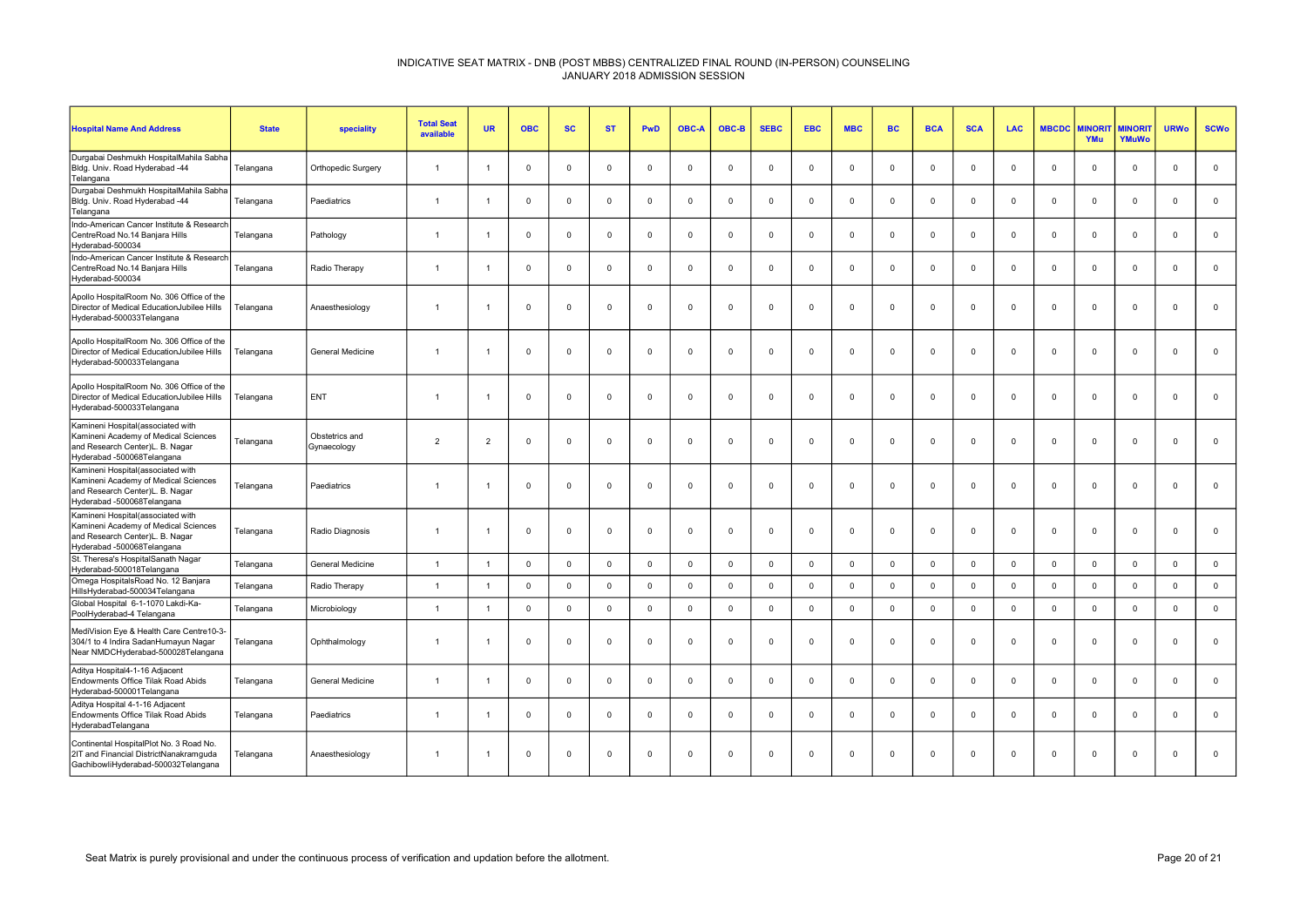| <b>Hospital Name And Address</b>                                                                                                           | <b>State</b> | speciality                    | <b>Total Seat</b><br>available | <b>UR</b>      | <b>OBC</b>     | <b>SC</b>    | <b>ST</b>   | PwD            | <b>OBC-A</b> | OBC-B       | <b>SEBC</b>  | <b>EBC</b>     | <b>MBC</b>   | <b>BC</b>   | <b>BCA</b>     | <b>SCA</b>   | <b>LAC</b>   | <b>MBCDC</b> | <b>AINORI</b><br>YMu | <b>AINORI</b><br>YMuWo | <b>URWo</b>    | <b>SCWo</b>  |
|--------------------------------------------------------------------------------------------------------------------------------------------|--------------|-------------------------------|--------------------------------|----------------|----------------|--------------|-------------|----------------|--------------|-------------|--------------|----------------|--------------|-------------|----------------|--------------|--------------|--------------|----------------------|------------------------|----------------|--------------|
| Durgabai Deshmukh HospitalMahila Sabha<br>Bldg. Univ. Road Hyderabad -44<br>Telangana                                                      | Telangana    | Orthopedic Surgery            |                                |                | $\Omega$       | $\mathbf 0$  | $\Omega$    | $\mathsf 0$    | $\Omega$     | $\mathbf 0$ | $\Omega$     | $\Omega$       | $\mathsf 0$  | $\mathbf 0$ | $\mathbf 0$    | $\Omega$     | $\Omega$     | $\Omega$     | $\mathbf 0$          | $\mathsf 0$            | $\mathbf 0$    | $\mathbf 0$  |
| Durgabai Deshmukh HospitalMahila Sabha<br>Bldg. Univ. Road Hyderabad -44<br>Telangana                                                      | Telangana    | Paediatrics                   | $\overline{1}$                 |                | $\Omega$       | $\mathbf{0}$ | $^{\circ}$  | $\mathbf 0$    | $\Omega$     | $\mathbf 0$ | $\mathbf 0$  | $\Omega$       | $\mathbf 0$  | $\mathbf 0$ | $\Omega$       | $\Omega$     | $\mathbf{0}$ | $\Omega$     | $\Omega$             | $\mathbf{0}$           | $\Omega$       | $\mathbf 0$  |
| Indo-American Cancer Institute & Research<br>CentreRoad No.14 Banjara Hills<br>Hyderabad-500034                                            | Telangana    | Pathology                     |                                |                | $\mathbf 0$    | $\mathbf 0$  | $^{\circ}$  | $\mathsf 0$    | $\mathbf 0$  | $\mathbf 0$ | $\mathbf 0$  | $\Omega$       | $\mathbf 0$  | $\mathbf 0$ | $\mathbf 0$    | $\mathbf 0$  | $\mathbf 0$  | $\Omega$     | $\mathbf 0$          | $\mathbf{0}$           | $\overline{0}$ | $\mathbf 0$  |
| Indo-American Cancer Institute & Research<br>CentreRoad No.14 Banjara Hills<br>Hyderabad-500034                                            | Telangana    | Radio Therapy                 | $\overline{1}$                 | -1             | $\Omega$       | $\mathbf{0}$ | $\Omega$    | $\overline{0}$ | $\Omega$     | $^{\circ}$  | $^{\circ}$   | $\Omega$       | $^{\circ}$   | $^{\circ}$  | $\mathbf 0$    | $\Omega$     | $^{\circ}$   | $\Omega$     | $\mathbf{0}$         | $\mathbf{0}$           | $\mathbf{0}$   | $\mathbf 0$  |
| Apollo HospitalRoom No. 306 Office of the<br>Director of Medical EducationJubilee Hills<br>Hyderabad-500033Telangana                       | Telangana    | Anaesthesiology               |                                |                | $\overline{0}$ | $\mathbf{0}$ | $\mathbf 0$ | $\mathbf 0$    | $\Omega$     | $\mathbf 0$ | $\mathbf 0$  | $\mathbf 0$    | $^{\circ}$   | $\mathbf 0$ | $\mathbf 0$    | $\Omega$     | $^{\circ}$   | $\Omega$     | $\mathbf 0$          | $\mathbf{0}$           | $\overline{0}$ | $\mathbf 0$  |
| Apollo HospitalRoom No. 306 Office of the<br>Director of Medical EducationJubilee Hills<br>Hyderabad-500033Telangana                       | Telangana    | General Medicine              | $\overline{1}$                 | -1             | $\mathbf 0$    | $\mathbf 0$  | $\mathbf 0$ | $\mathsf 0$    | $\mathbf 0$  | $\mathbf 0$ | $\mathbf 0$  | $\overline{0}$ | $\mathsf 0$  | $\mathbf 0$ | $\overline{0}$ | $\mathbf 0$  | $\mathsf 0$  | $\mathbf 0$  | $\mathbf 0$          | $\mathbf 0$            | $\mathsf 0$    | $\mathbf 0$  |
| Apollo HospitalRoom No. 306 Office of the<br>Director of Medical EducationJubilee Hills<br>Hyderabad-500033Telangana                       | Telangana    | ENT                           | $\mathbf{1}$                   |                | $\mathbf 0$    | $^{\circ}$   | $^{\circ}$  | $\mathbf 0$    | $\mathbf 0$  | $\mathbf 0$ | $^{\circ}$   | $\mathbf 0$    | $\mathbf 0$  | $^{\circ}$  | $\mathbf 0$    | $\mathbf 0$  | $\mathbf{0}$ | 0            | $\mathbf 0$          | $\mathbf 0$            | $\mathbf 0$    | $\mathbf 0$  |
| Kamineni Hospital(associated with<br>Kamineni Academy of Medical Sciences<br>and Research Center)L. B. Nagar<br>Hyderabad -500068Telangana | Telangana    | Obstetrics and<br>Gynaecology | 2                              | $\overline{2}$ | $\mathbf 0$    | $\mathbf 0$  | $\mathbf 0$ | $\mathbf 0$    | $\Omega$     | $\mathbf 0$ | $\mathbf 0$  | $\mathbf 0$    | $\mathbf 0$  | $\mathbf 0$ | $\mathbf 0$    | $\Omega$     | $\mathbf{0}$ | $\Omega$     | $\mathbf 0$          | $\mathbf{0}$           | $\mathbf 0$    | $\mathbf 0$  |
| Kamineni Hospital(associated with<br>Kamineni Academy of Medical Sciences<br>and Research Center)L. B. Nagar<br>Hyderabad -500068Telangana | Telangana    | Paediatrics                   | -1                             |                | $\mathbf 0$    | $\mathbf 0$  | $\mathbf 0$ | $\mathsf 0$    | $\Omega$     | $\mathbf 0$ | $\mathbf 0$  | $\mathbf 0$    | $\mathbf 0$  | $\mathbf 0$ | $\overline{0}$ | $\Omega$     | $\mathbf{0}$ | $\Omega$     | $\mathbf 0$          | $\mathbf 0$            | $\Omega$       | $\mathbf 0$  |
| Kamineni Hospital(associated with<br>Kamineni Academy of Medical Sciences<br>and Research Center)L. B. Nagar<br>Hyderabad -500068Telangana | Telangana    | Radio Diagnosis               | $\overline{1}$                 | -1             | $\overline{0}$ | $\mathbf{0}$ | $\mathbf 0$ | $\mathbf 0$    | $\mathbf 0$  | $\mathbf 0$ | $\mathbf 0$  | $\mathbf 0$    | $\mathbf 0$  | $\mathbf 0$ | $\mathbf 0$    | $\mathbf 0$  | $\mathbf{0}$ | $\mathbf 0$  | $\mathbf{0}$         | $\mathbf 0$            | $\mathbf 0$    | $\mathbf{0}$ |
| St. Theresa's HospitalSanath Nagar<br>Hyderabad-500018Telangana                                                                            | Telangana    | <b>General Medicine</b>       | $\overline{1}$                 | $\mathbf{1}$   | $\overline{0}$ | $\mathbf{0}$ | $\Omega$    | $\mathbf 0$    | $\Omega$     | $\mathbf 0$ | $\mathbf{0}$ | $\Omega$       | $\mathbf 0$  | $\mathbf 0$ | $\mathbf{0}$   | $\mathbf{0}$ | $\mathbf{0}$ | $\Omega$     | $\mathbf{0}$         | $\mathbf{0}$           | $\mathbf 0$    | $\mathbf 0$  |
| Omega HospitalsRoad No. 12 Banjara<br>HillsHyderabad-500034Telangana                                                                       | Telangana    | Radio Therapy                 | $\overline{1}$                 | $\overline{1}$ | $\mathbf{0}$   | $\mathbf 0$  | $\mathbf 0$ | $\mathbf 0$    | $\Omega$     | $\mathbf 0$ | $\mathbf 0$  | $\Omega$       | $\mathbf{0}$ | $\mathbf 0$ | $\mathbf 0$    | $\Omega$     | $\mathbf{0}$ | $\Omega$     | $\Omega$             | $\mathbf{0}$           | $\mathbf 0$    | $\mathbf 0$  |
| Global Hospital 6-1-1070 Lakdi-Ka-<br>PoolHyderabad-4 Telangana                                                                            | Telangana    | Microbiology                  | $\overline{1}$                 |                | $\mathbf 0$    | $\mathsf 0$  | $\Omega$    | $\mathsf 0$    | $\Omega$     | $\mathsf 0$ | $\mathsf 0$  | $\mathbf 0$    | $\mathbf 0$  | $\mathsf 0$ | $\mathbf 0$    | $\Omega$     | $\mathbf 0$  | $\mathbf 0$  | $\mathsf 0$          | $\mathbf 0$            | $\Omega$       | $\mathsf 0$  |
| MediVision Eye & Health Care Centre10-3-<br>304/1 to 4 Indira SadanHumayun Nagar<br>Near NMDCHyderabad-500028Telangana                     | Telangana    | Ophthalmology                 | -1                             |                | $\Omega$       | $\Omega$     | $\Omega$    | $\overline{0}$ | $\Omega$     | $\mathbf 0$ | $\mathbf 0$  | $\Omega$       | $\mathbf 0$  | $\Omega$    | $\Omega$       | $\Omega$     | $\Omega$     | $\Omega$     | $\Omega$             | $\Omega$               | $\Omega$       | $\mathbf 0$  |
| Aditya Hospital4-1-16 Adjacent<br>Endowments Office Tilak Road Abids<br>Hyderabad-500001Telangana                                          | Telangana    | <b>General Medicine</b>       |                                |                | $\Omega$       | $^{\circ}$   | $\Omega$    | $\mathbf{0}$   | $\Omega$     | $^{\circ}$  | $\Omega$     | $\Omega$       | $^{\circ}$   | $\Omega$    | $\Omega$       | $\Omega$     | $\Omega$     | $\Omega$     | $\Omega$             | $^{\circ}$             | $\Omega$       | $\mathbf{0}$ |
| Aditya Hospital 4-1-16 Adjacent<br>Endowments Office Tilak Road Abids<br>HyderabadTelangana                                                | Telangana    | Paediatrics                   | $\overline{1}$                 |                | $\Omega$       | $\mathbf{0}$ | $\Omega$    | $\overline{0}$ | $\Omega$     | $\mathbf 0$ | $\Omega$     | $\Omega$       | $\mathbf 0$  | $\mathbf 0$ | $\Omega$       | $\Omega$     | $\Omega$     | $\Omega$     | $\Omega$             | $\mathbf{0}$           | $\Omega$       | $\mathbf 0$  |
| Continental HospitalPlot No. 3 Road No.<br>2IT and Financial DistrictNanakramguda<br>GachibowliHyderabad-500032Telangana                   | Telangana    | Anaesthesiology               | $\overline{1}$                 |                | $\Omega$       | $\mathbf 0$  | $\mathbf 0$ | $\mathbf 0$    | $\mathbf 0$  | $\mathsf 0$ | $\mathbf 0$  | $\mathbf 0$    | $\mathsf 0$  | $\mathbf 0$ | $\mathbf 0$    | $\Omega$     | $\mathbf 0$  | $\Omega$     | $\mathbf 0$          | $\Omega$               | $\mathbf 0$    | $\mathbf 0$  |